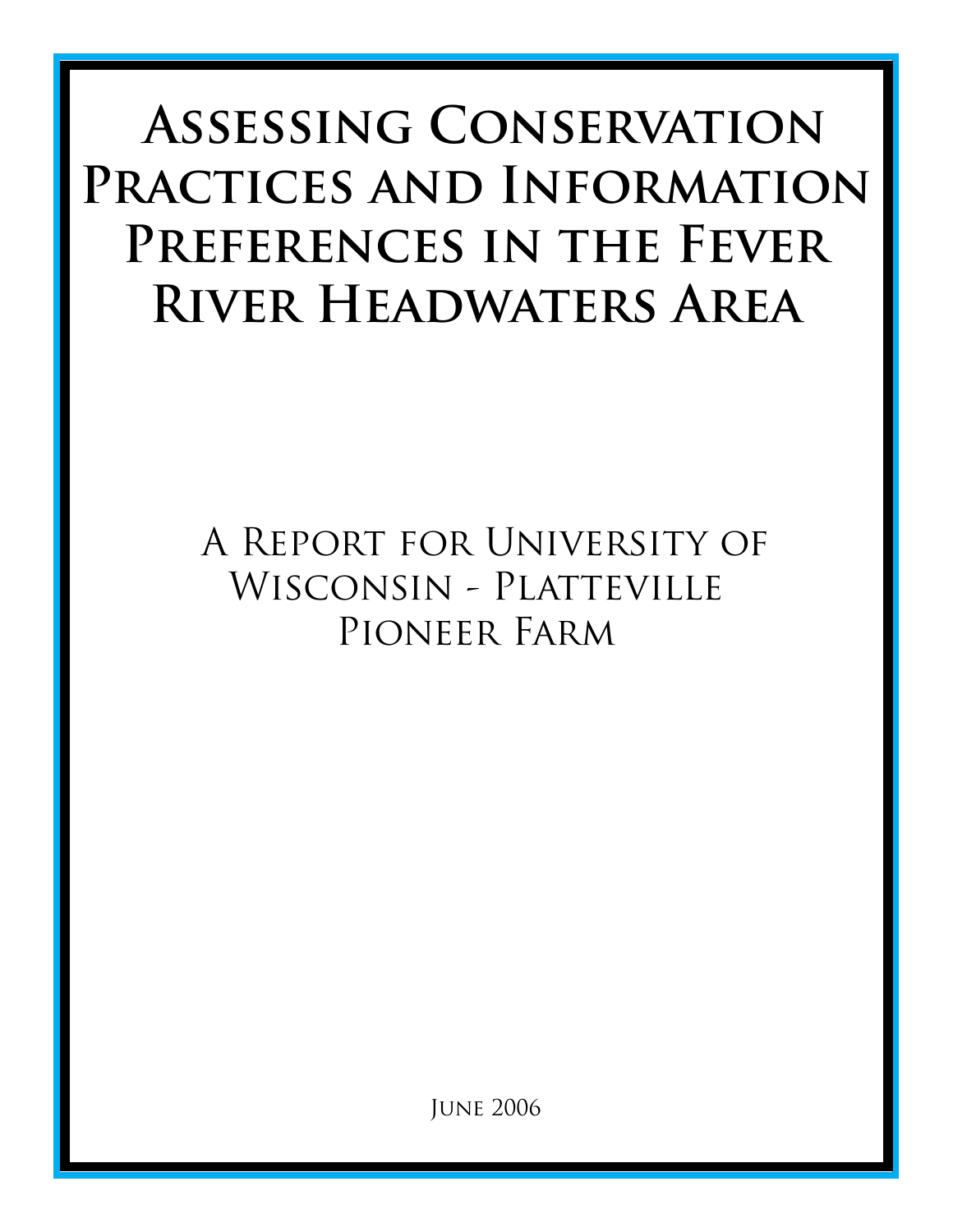# **Assessing Conservation Practices and Information Preferences in the Fever River Headwaters Area**

# A Report for University of Wisconsin - Platteville PIONEER FARM

June 2006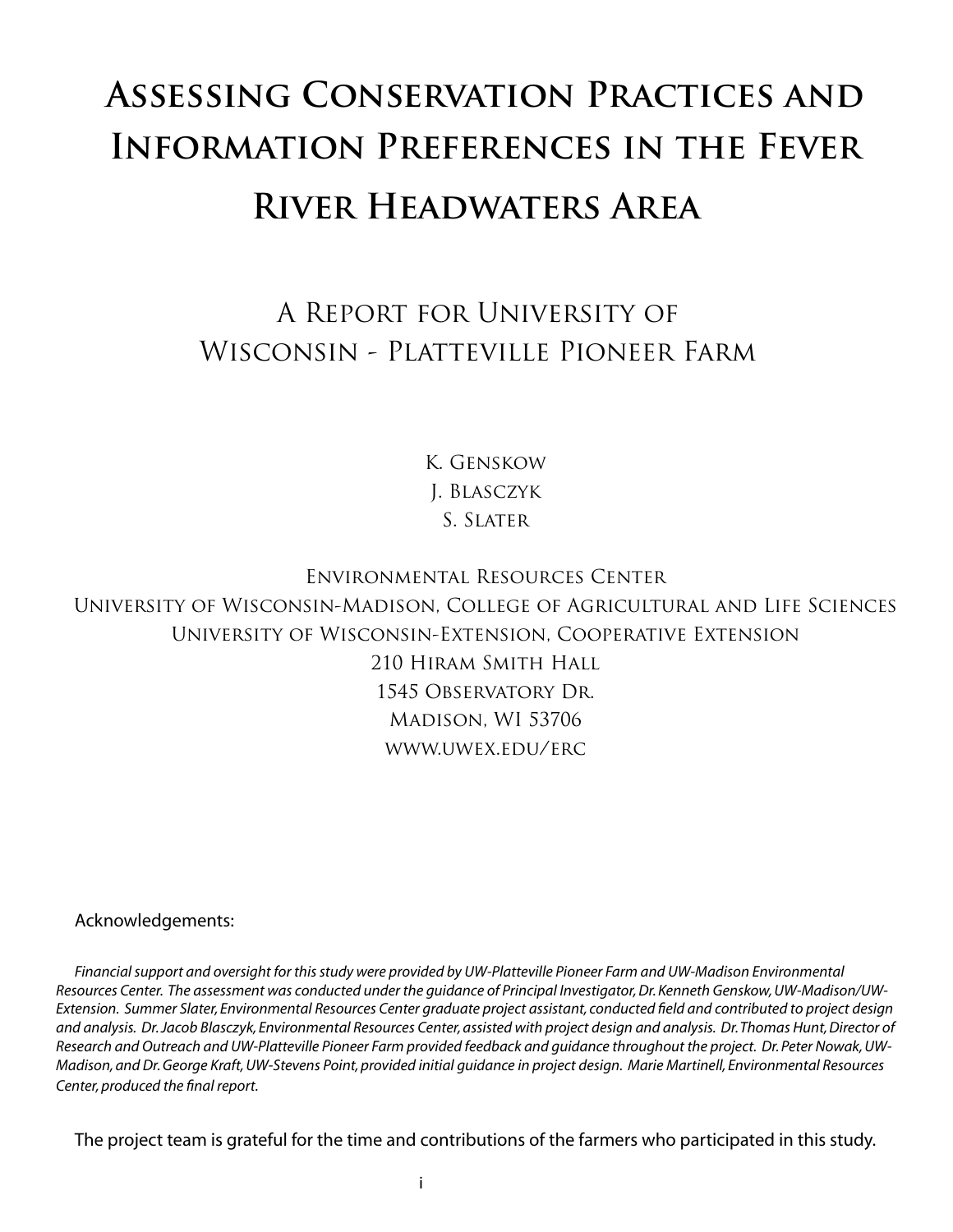# **Assessing Conservation Practices and Information Preferences in the Fever River Headwaters Area**

# A Report for University of Wisconsin - Platteville Pioneer Farm

K. Genskow J. Blasczyk S. SLATER

Environmental Resources Center University of Wisconsin-Madison, College of Agricultural and Life Sciences University of Wisconsin-Extension, Cooperative Extension 210 Hiram Smith Hall 1545 Observatory Dr. Madison, WI 53706 www.uwex.edu/erc

Acknowledgements:

*Financial support and oversight for this study were provided by UW-Platteville Pioneer Farm and UW-Madison Environmental Resources Center. The assessment was conducted under the guidance of Principal Investigator, Dr. Kenneth Genskow, UW-Madison/UW-Extension. Summer Slater, Environmental Resources Center graduate project assistant, conducted field and contributed to project design and analysis. Dr. Jacob Blasczyk, Environmental Resources Center, assisted with project design and analysis. Dr. Thomas Hunt, Director of Research and Outreach and UW-Platteville Pioneer Farm provided feedback and guidance throughout the project. Dr. Peter Nowak, UW-Madison, and Dr. George Kraft, UW-Stevens Point, provided initial guidance in project design. Marie Martinell, Environmental Resources Center, produced the final report.*

The project team is grateful for the time and contributions of the farmers who participated in this study.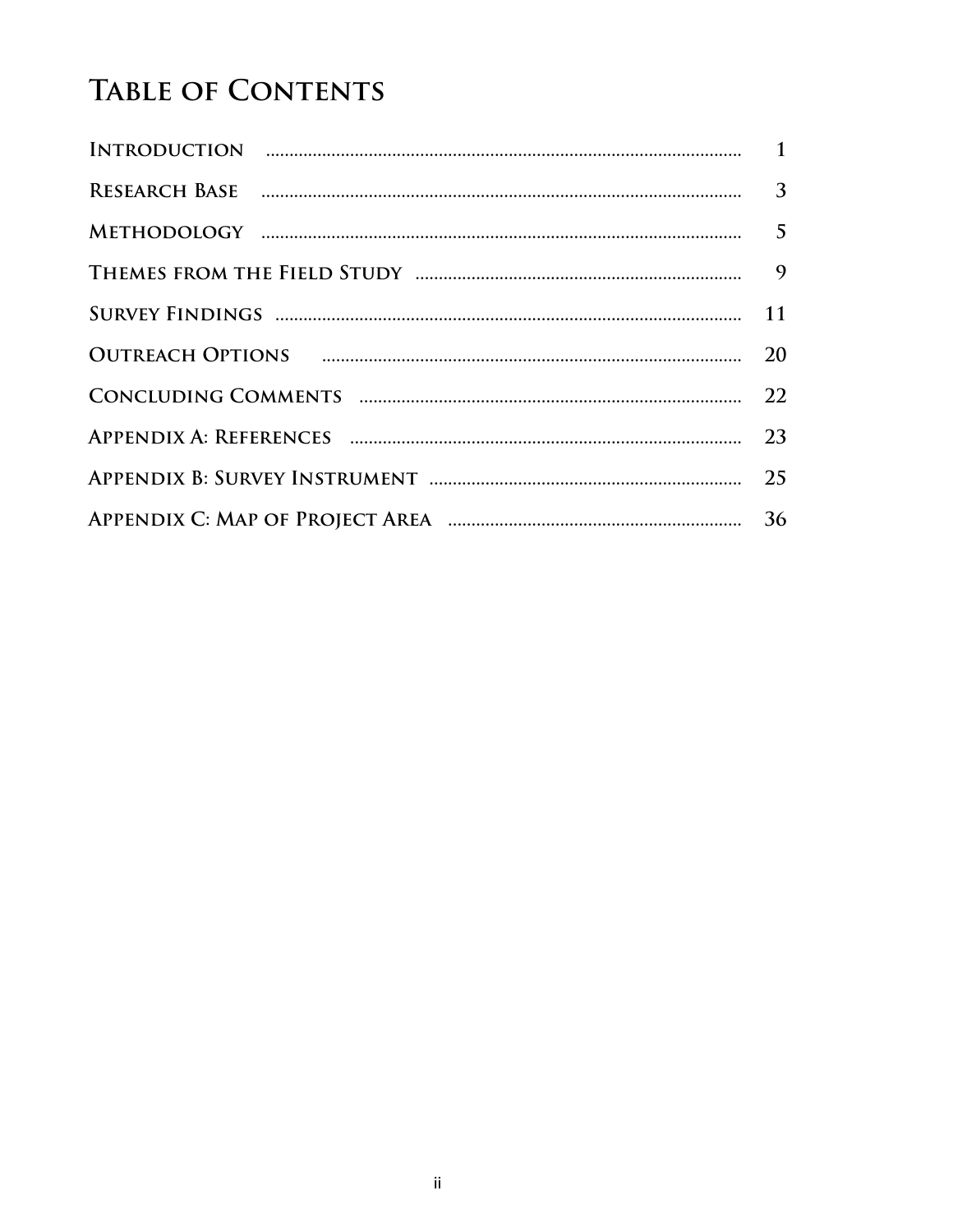# **TABLE OF CONTENTS**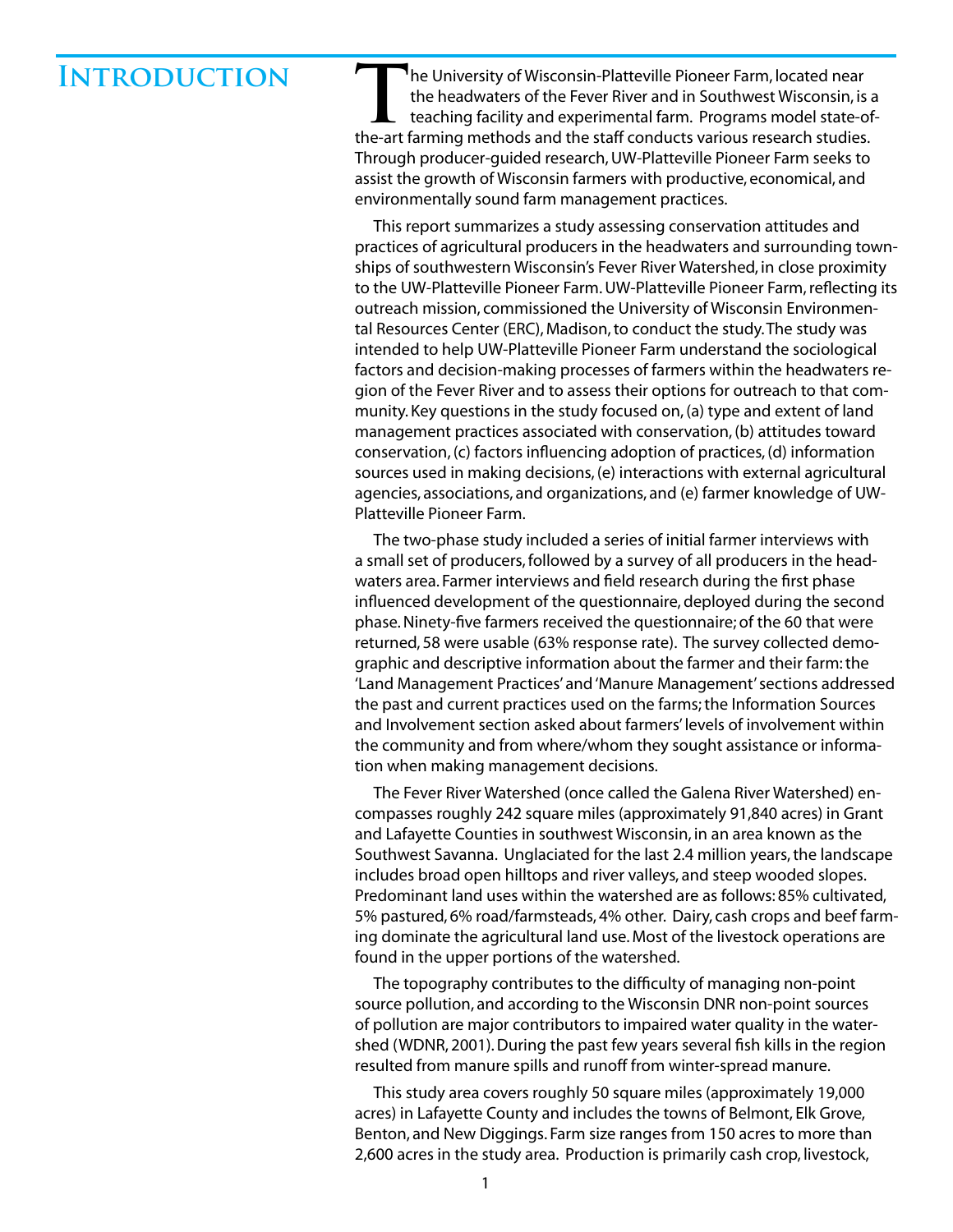### **Introduction**

**T**he University of Wisconsin-Platteville Pioneer Farm, located near the headwaters of the Fever River and in Southwest Wisconsin, is a teaching facility and experimental farm. Programs model state-ofthe-art farming methods and the staff conducts various research studies. Through producer-guided research, UW-Platteville Pioneer Farm seeks to assist the growth of Wisconsin farmers with productive, economical, and environmentally sound farm management practices.

This report summarizes a study assessing conservation attitudes and practices of agricultural producers in the headwaters and surrounding townships of southwestern Wisconsin's Fever River Watershed, in close proximity to the UW-Platteville Pioneer Farm. UW-Platteville Pioneer Farm, reflecting its outreach mission, commissioned the University of Wisconsin Environmental Resources Center (ERC), Madison, to conduct the study. The study was intended to help UW-Platteville Pioneer Farm understand the sociological factors and decision-making processes of farmers within the headwaters region of the Fever River and to assess their options for outreach to that community. Key questions in the study focused on, (a) type and extent of land management practices associated with conservation, (b) attitudes toward conservation, (c) factors influencing adoption of practices, (d) information sources used in making decisions, (e) interactions with external agricultural agencies, associations, and organizations, and (e) farmer knowledge of UW-Platteville Pioneer Farm.

The two-phase study included a series of initial farmer interviews with a small set of producers, followed by a survey of all producers in the headwaters area. Farmer interviews and field research during the first phase influenced development of the questionnaire, deployed during the second phase. Ninety-five farmers received the questionnaire; of the 60 that were returned, 58 were usable (63% response rate). The survey collected demographic and descriptive information about the farmer and their farm: the 'Land Management Practices' and 'Manure Management' sections addressed the past and current practices used on the farms; the Information Sources and Involvement section asked about farmers' levels of involvement within the community and from where/whom they sought assistance or information when making management decisions.

The Fever River Watershed (once called the Galena River Watershed) encompasses roughly 242 square miles (approximately 91,840 acres) in Grant and Lafayette Counties in southwest Wisconsin, in an area known as the Southwest Savanna. Unglaciated for the last 2.4 million years, the landscape includes broad open hilltops and river valleys, and steep wooded slopes. Predominant land uses within the watershed are as follows: 85% cultivated, 5% pastured, 6% road/farmsteads, 4% other. Dairy, cash crops and beef farming dominate the agricultural land use. Most of the livestock operations are found in the upper portions of the watershed.

The topography contributes to the difficulty of managing non-point source pollution, and according to the Wisconsin DNR non-point sources of pollution are major contributors to impaired water quality in the watershed (WDNR, 2001). During the past few years several fish kills in the region resulted from manure spills and runoff from winter-spread manure.

This study area covers roughly 50 square miles (approximately 19,000 acres) in Lafayette County and includes the towns of Belmont, Elk Grove, Benton, and New Diggings. Farm size ranges from 150 acres to more than 2,600 acres in the study area. Production is primarily cash crop, livestock,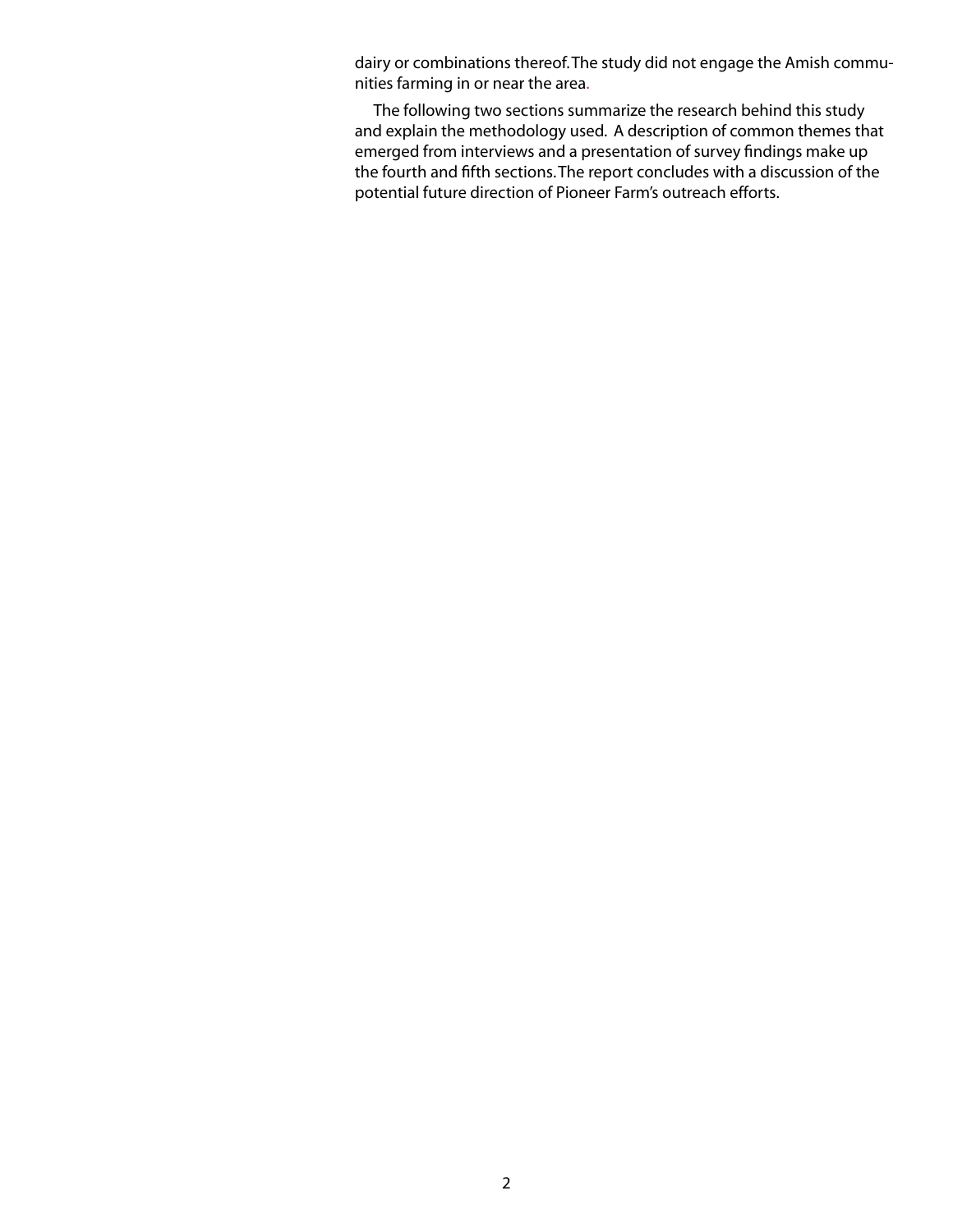dairy or combinations thereof. The study did not engage the Amish communities farming in or near the area.

The following two sections summarize the research behind this study and explain the methodology used. A description of common themes that emerged from interviews and a presentation of survey findings make up the fourth and fifth sections. The report concludes with a discussion of the potential future direction of Pioneer Farm's outreach efforts.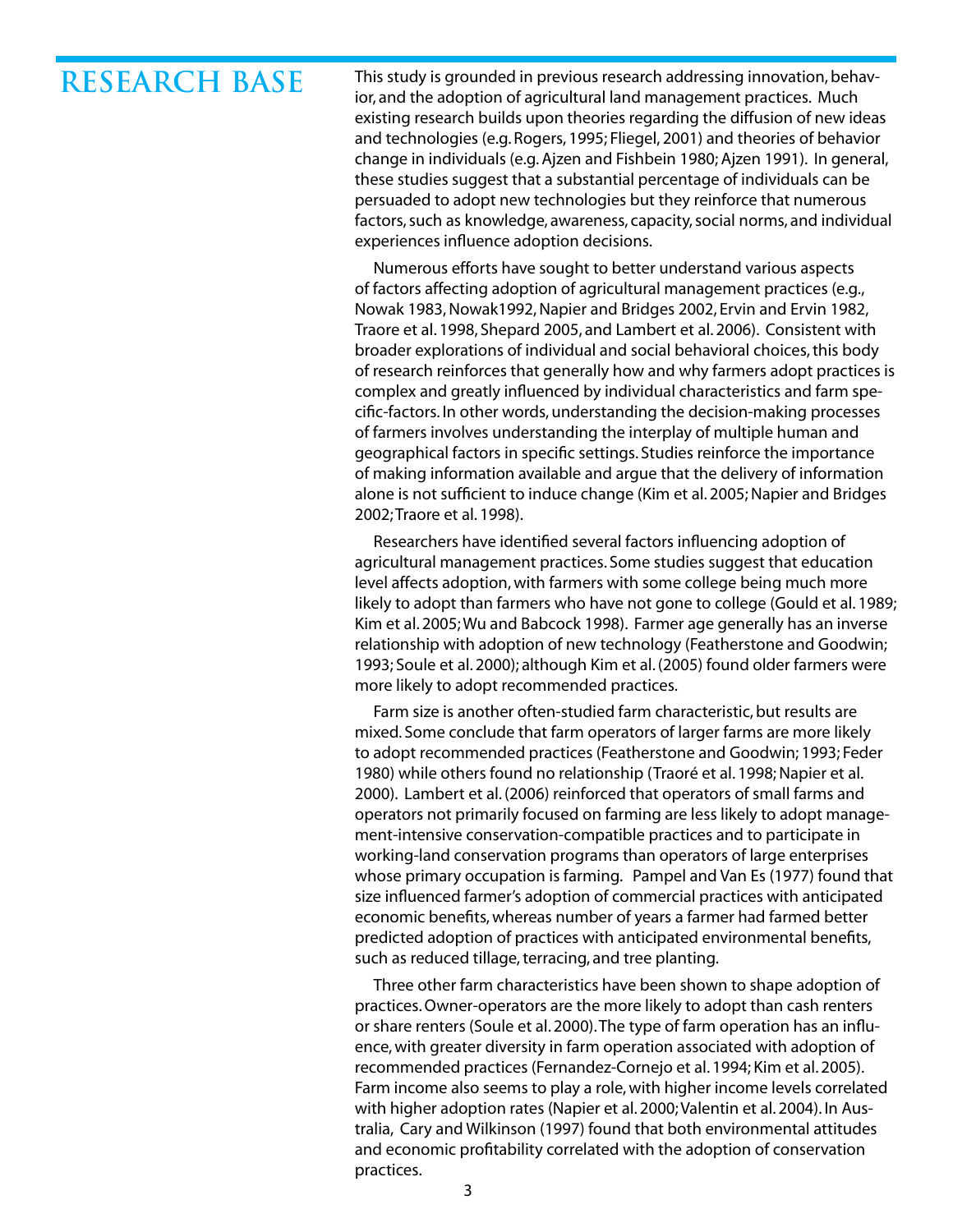# **RESEARCH BASE**

This study is grounded in previous research addressing innovation, behavior, and the adoption of agricultural land management practices. Much existing research builds upon theories regarding the diffusion of new ideas and technologies (e.g. Rogers, 1995; Fliegel, 2001) and theories of behavior change in individuals (e.g. Ajzen and Fishbein 1980; Ajzen 1991). In general, these studies suggest that a substantial percentage of individuals can be persuaded to adopt new technologies but they reinforce that numerous factors, such as knowledge, awareness, capacity, social norms, and individual experiences influence adoption decisions.

Numerous efforts have sought to better understand various aspects of factors affecting adoption of agricultural management practices (e.g., Nowak 1983, Nowak1992, Napier and Bridges 2002, Ervin and Ervin 1982, Traore et al. 1998, Shepard 2005, and Lambert et al. 2006). Consistent with broader explorations of individual and social behavioral choices, this body of research reinforces that generally how and why farmers adopt practices is complex and greatly influenced by individual characteristics and farm specific-factors. In other words, understanding the decision-making processes of farmers involves understanding the interplay of multiple human and geographical factors in specific settings. Studies reinforce the importance of making information available and argue that the delivery of information alone is not sufficient to induce change (Kim et al. 2005; Napier and Bridges 2002; Traore et al. 1998).

Researchers have identified several factors influencing adoption of agricultural management practices. Some studies suggest that education level affects adoption, with farmers with some college being much more likely to adopt than farmers who have not gone to college (Gould et al. 1989; Kim et al. 2005; Wu and Babcock 1998). Farmer age generally has an inverse relationship with adoption of new technology (Featherstone and Goodwin; 1993; Soule et al. 2000); although Kim et al. (2005) found older farmers were more likely to adopt recommended practices.

Farm size is another often-studied farm characteristic, but results are mixed. Some conclude that farm operators of larger farms are more likely to adopt recommended practices (Featherstone and Goodwin; 1993; Feder 1980) while others found no relationship (Traoré et al. 1998; Napier et al. 2000). Lambert et al. (2006) reinforced that operators of small farms and operators not primarily focused on farming are less likely to adopt management-intensive conservation-compatible practices and to participate in working-land conservation programs than operators of large enterprises whose primary occupation is farming. Pampel and Van Es (1977) found that size influenced farmer's adoption of commercial practices with anticipated economic benefits, whereas number of years a farmer had farmed better predicted adoption of practices with anticipated environmental benefits, such as reduced tillage, terracing, and tree planting.

Three other farm characteristics have been shown to shape adoption of practices. Owner-operators are the more likely to adopt than cash renters or share renters (Soule et al. 2000). The type of farm operation has an influence, with greater diversity in farm operation associated with adoption of recommended practices (Fernandez-Cornejo et al. 1994; Kim et al. 2005). Farm income also seems to play a role, with higher income levels correlated with higher adoption rates (Napier et al. 2000; Valentin et al. 2004). In Australia, Cary and Wilkinson (1997) found that both environmental attitudes and economic profitability correlated with the adoption of conservation practices.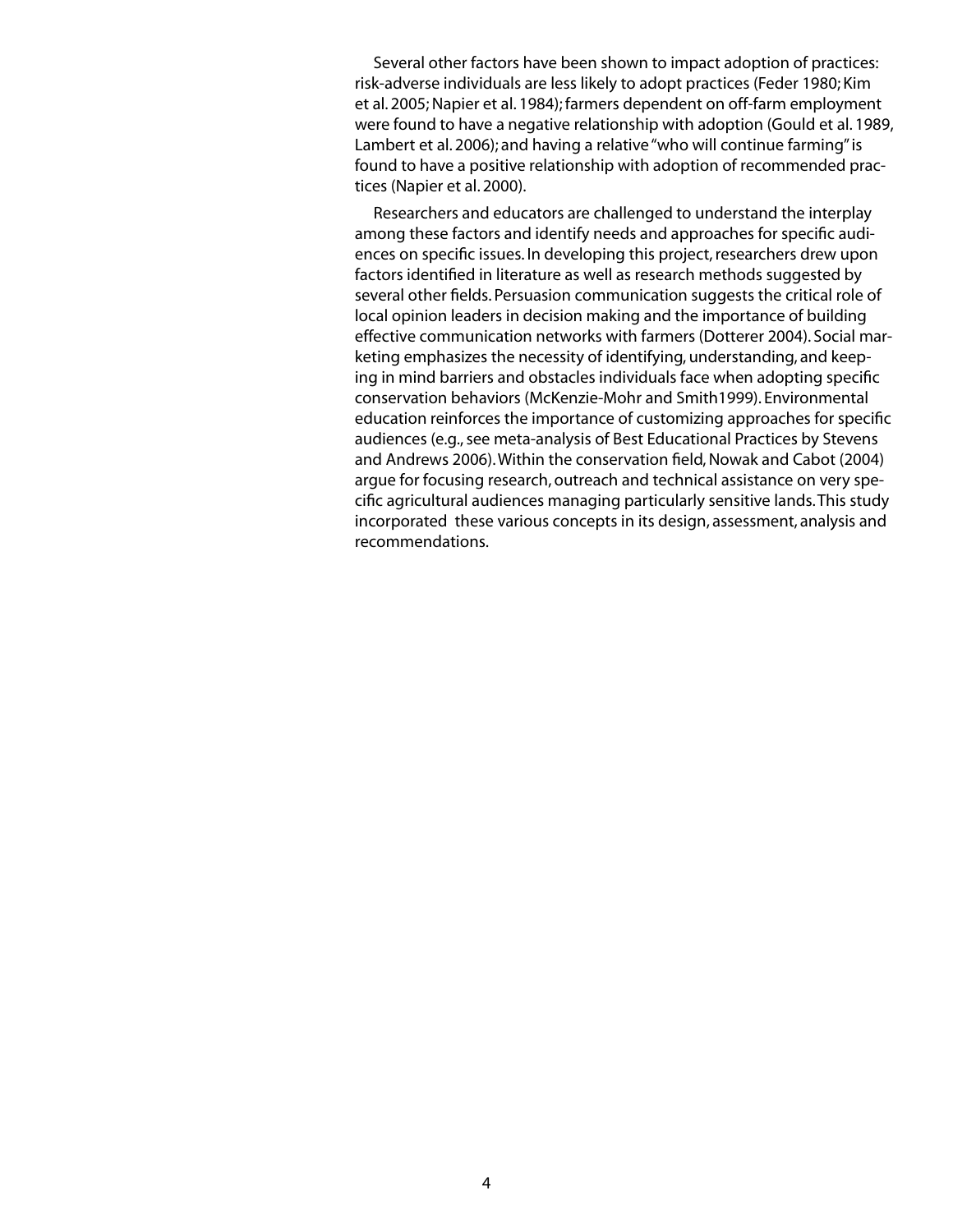Several other factors have been shown to impact adoption of practices: risk-adverse individuals are less likely to adopt practices (Feder 1980; Kim et al. 2005; Napier et al. 1984); farmers dependent on off-farm employment were found to have a negative relationship with adoption (Gould et al. 1989, Lambert et al. 2006); and having a relative "who will continue farming" is found to have a positive relationship with adoption of recommended practices (Napier et al. 2000).

Researchers and educators are challenged to understand the interplay among these factors and identify needs and approaches for specific audiences on specific issues. In developing this project, researchers drew upon factors identified in literature as well as research methods suggested by several other fields. Persuasion communication suggests the critical role of local opinion leaders in decision making and the importance of building effective communication networks with farmers (Dotterer 2004). Social marketing emphasizes the necessity of identifying, understanding, and keeping in mind barriers and obstacles individuals face when adopting specific conservation behaviors (McKenzie-Mohr and Smith1999). Environmental education reinforces the importance of customizing approaches for specific audiences (e.g., see meta-analysis of Best Educational Practices by Stevens and Andrews 2006). Within the conservation field, Nowak and Cabot (2004) argue for focusing research, outreach and technical assistance on very specific agricultural audiences managing particularly sensitive lands. This study incorporated these various concepts in its design, assessment, analysis and recommendations.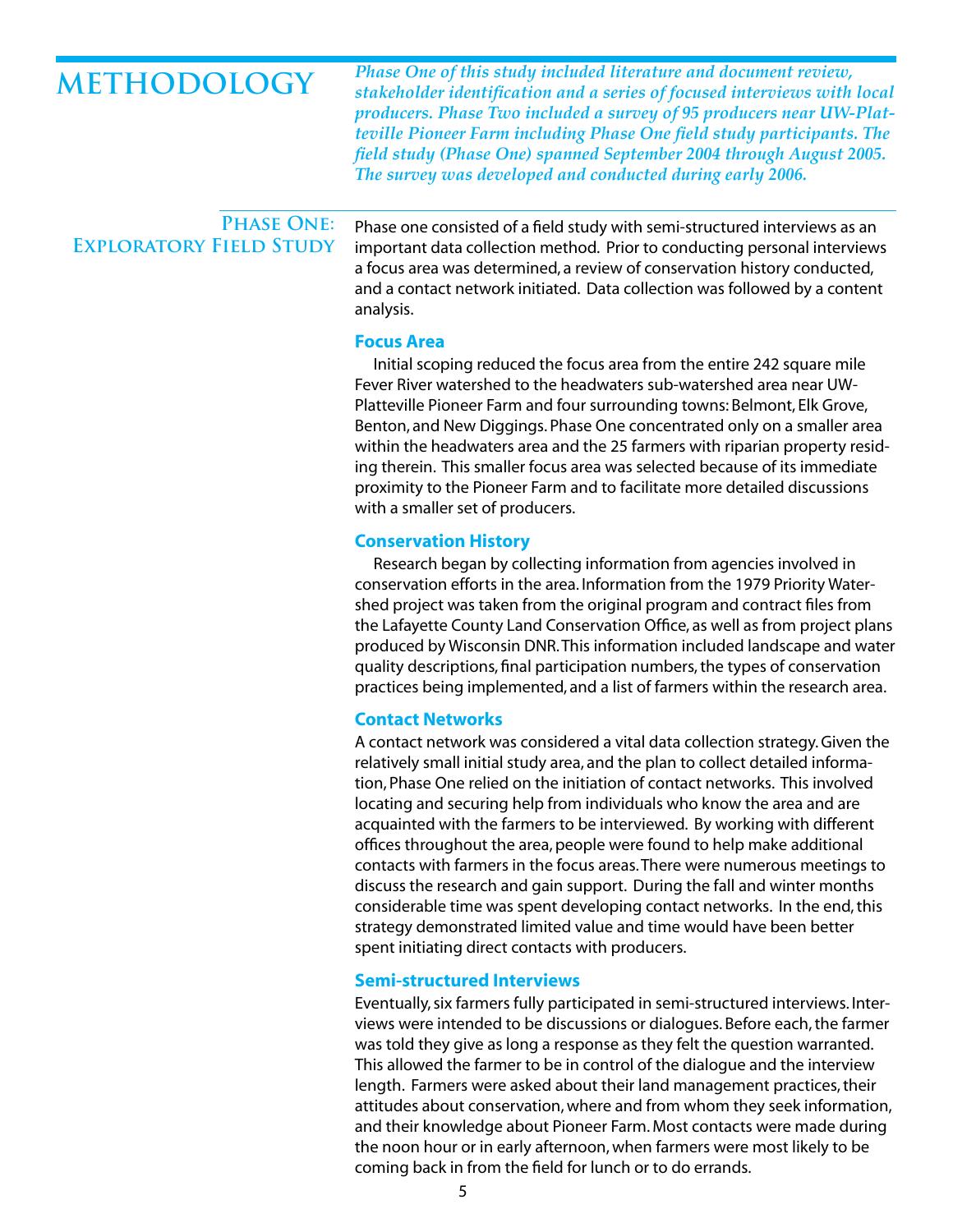## **METHODOLOGY**

*Phase One of this study included literature and document review, stakeholder identification and a series of focused interviews with local producers. Phase Two included a survey of 95 producers near UW-Platteville Pioneer Farm including Phase One field study participants. The field study (Phase One) spanned September 2004 through August 2005. The survey was developed and conducted during early 2006.*

### **Phase One: Exploratory Field Study**

Phase one consisted of a field study with semi-structured interviews as an important data collection method. Prior to conducting personal interviews a focus area was determined, a review of conservation history conducted, and a contact network initiated. Data collection was followed by a content analysis.

#### **Focus Area**

Initial scoping reduced the focus area from the entire 242 square mile Fever River watershed to the headwaters sub-watershed area near UW-Platteville Pioneer Farm and four surrounding towns: Belmont, Elk Grove, Benton, and New Diggings. Phase One concentrated only on a smaller area within the headwaters area and the 25 farmers with riparian property residing therein. This smaller focus area was selected because of its immediate proximity to the Pioneer Farm and to facilitate more detailed discussions with a smaller set of producers.

#### **Conservation History**

Research began by collecting information from agencies involved in conservation efforts in the area. Information from the 1979 Priority Watershed project was taken from the original program and contract files from the Lafayette County Land Conservation Office, as well as from project plans produced by Wisconsin DNR. This information included landscape and water quality descriptions, final participation numbers, the types of conservation practices being implemented, and a list of farmers within the research area.

#### **Contact Networks**

A contact network was considered a vital data collection strategy. Given the relatively small initial study area, and the plan to collect detailed information, Phase One relied on the initiation of contact networks. This involved locating and securing help from individuals who know the area and are acquainted with the farmers to be interviewed. By working with different offices throughout the area, people were found to help make additional contacts with farmers in the focus areas. There were numerous meetings to discuss the research and gain support. During the fall and winter months considerable time was spent developing contact networks. In the end, this strategy demonstrated limited value and time would have been better spent initiating direct contacts with producers.

#### **Semi-structured Interviews**

Eventually, six farmers fully participated in semi-structured interviews. Interviews were intended to be discussions or dialogues. Before each, the farmer was told they give as long a response as they felt the question warranted. This allowed the farmer to be in control of the dialogue and the interview length. Farmers were asked about their land management practices, their attitudes about conservation, where and from whom they seek information, and their knowledge about Pioneer Farm. Most contacts were made during the noon hour or in early afternoon, when farmers were most likely to be coming back in from the field for lunch or to do errands.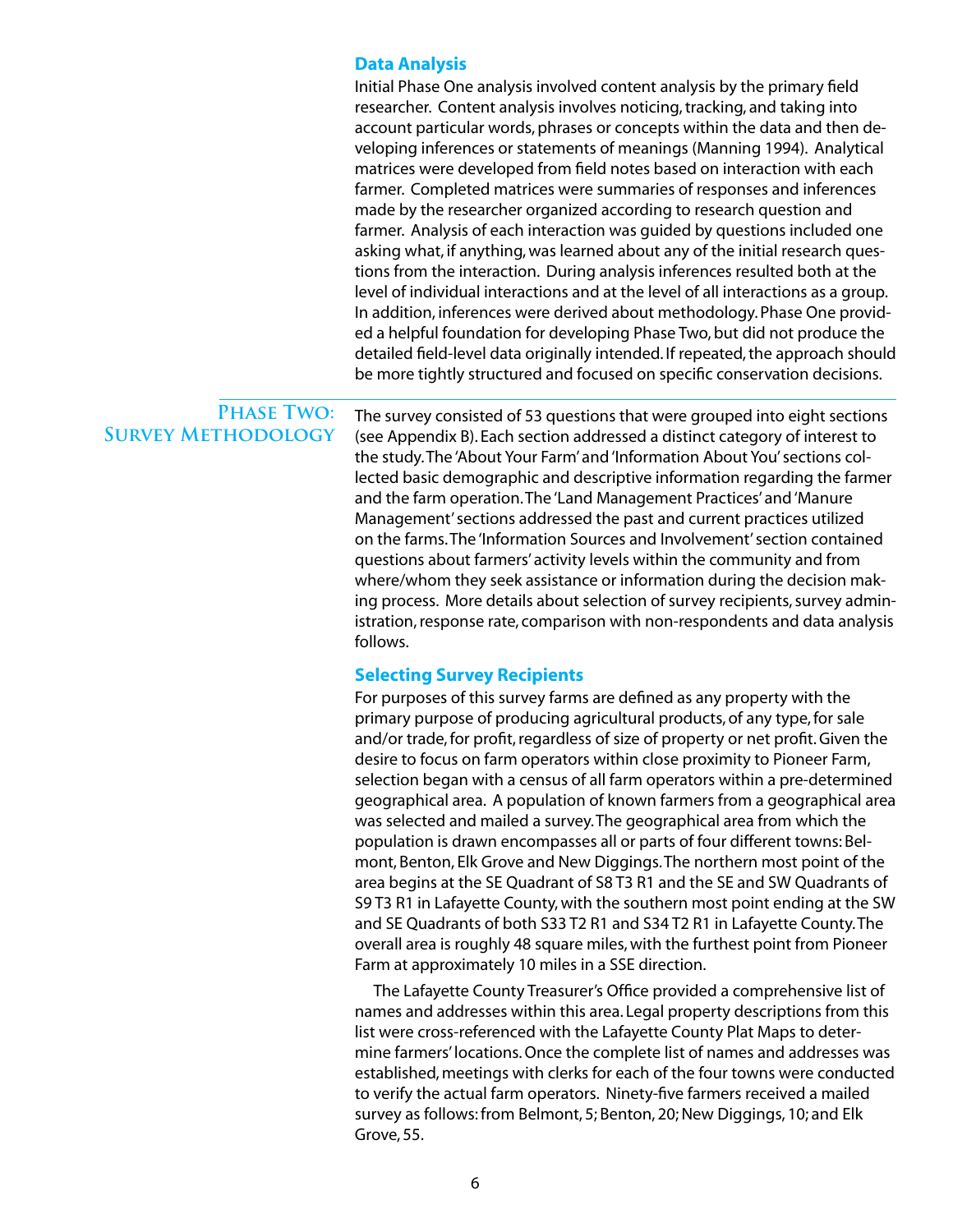#### **Data Analysis**

Initial Phase One analysis involved content analysis by the primary field researcher. Content analysis involves noticing, tracking, and taking into account particular words, phrases or concepts within the data and then developing inferences or statements of meanings (Manning 1994). Analytical matrices were developed from field notes based on interaction with each farmer. Completed matrices were summaries of responses and inferences made by the researcher organized according to research question and farmer. Analysis of each interaction was guided by questions included one asking what, if anything, was learned about any of the initial research questions from the interaction. During analysis inferences resulted both at the level of individual interactions and at the level of all interactions as a group. In addition, inferences were derived about methodology. Phase One provided a helpful foundation for developing Phase Two, but did not produce the detailed field-level data originally intended. If repeated, the approach should be more tightly structured and focused on specific conservation decisions.

#### PHASE TWO: **Survey Methodology**

The survey consisted of 53 questions that were grouped into eight sections (see Appendix B). Each section addressed a distinct category of interest to the study. The 'About Your Farm' and 'Information About You' sections collected basic demographic and descriptive information regarding the farmer and the farm operation. The 'Land Management Practices' and 'Manure Management' sections addressed the past and current practices utilized on the farms. The 'Information Sources and Involvement' section contained questions about farmers' activity levels within the community and from where/whom they seek assistance or information during the decision making process. More details about selection of survey recipients, survey administration, response rate, comparison with non-respondents and data analysis follows.

#### **Selecting Survey Recipients**

For purposes of this survey farms are defined as any property with the primary purpose of producing agricultural products, of any type, for sale and/or trade, for profit, regardless of size of property or net profit. Given the desire to focus on farm operators within close proximity to Pioneer Farm, selection began with a census of all farm operators within a pre-determined geographical area. A population of known farmers from a geographical area was selected and mailed a survey. The geographical area from which the population is drawn encompasses all or parts of four different towns: Belmont, Benton, Elk Grove and New Diggings. The northern most point of the area begins at the SE Quadrant of S8 T3 R1 and the SE and SW Quadrants of S9 T3 R1 in Lafayette County, with the southern most point ending at the SW and SE Quadrants of both S33 T2 R1 and S34 T2 R1 in Lafayette County. The overall area is roughly 48 square miles, with the furthest point from Pioneer Farm at approximately 10 miles in a SSE direction.

The Lafayette County Treasurer's Office provided a comprehensive list of names and addresses within this area. Legal property descriptions from this list were cross-referenced with the Lafayette County Plat Maps to determine farmers' locations. Once the complete list of names and addresses was established, meetings with clerks for each of the four towns were conducted to verify the actual farm operators. Ninety-five farmers received a mailed survey as follows: from Belmont, 5; Benton, 20; New Diggings, 10; and Elk Grove, 55.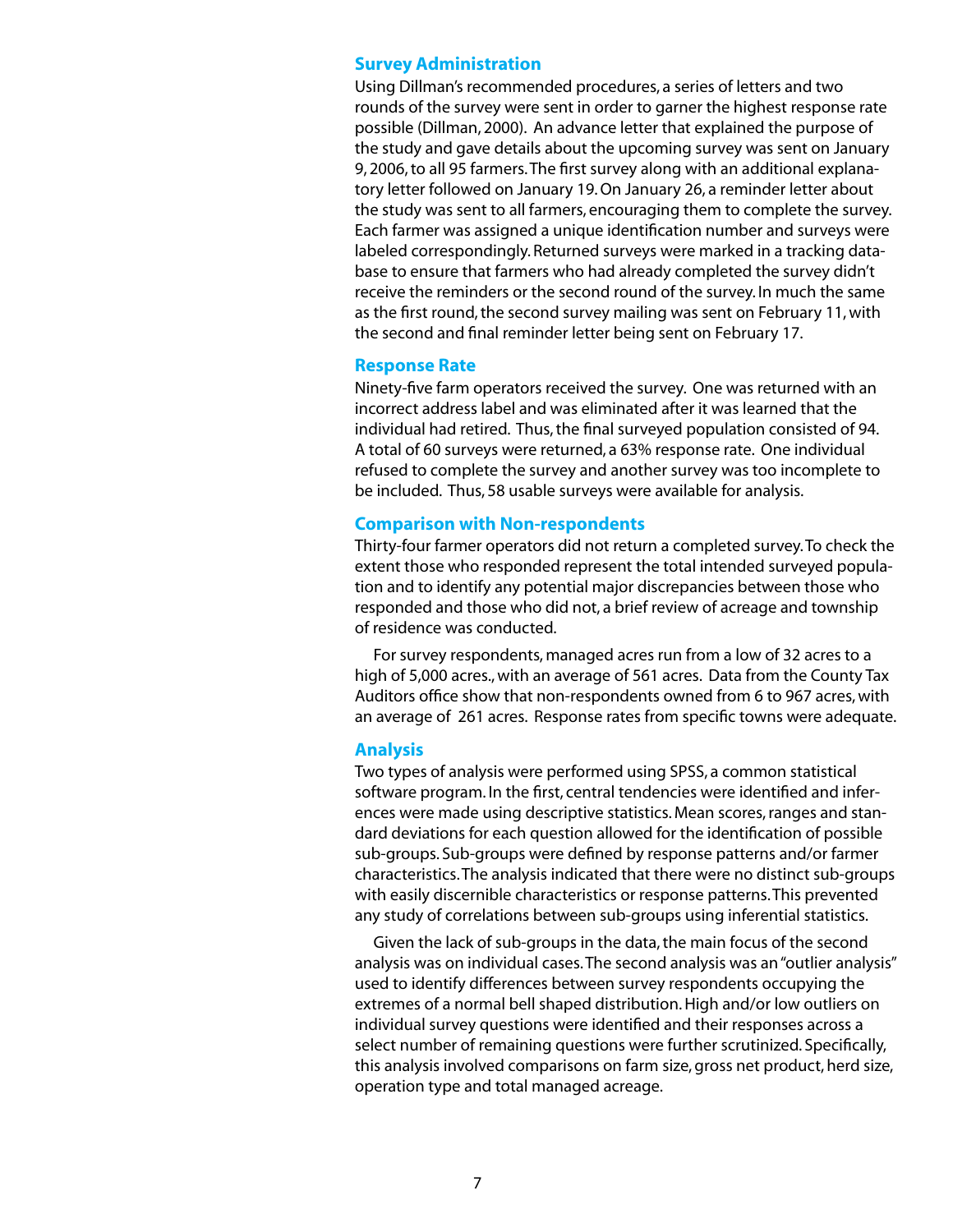#### **Survey Administration**

Using Dillman's recommended procedures, a series of letters and two rounds of the survey were sent in order to garner the highest response rate possible (Dillman, 2000). An advance letter that explained the purpose of the study and gave details about the upcoming survey was sent on January 9, 2006, to all 95 farmers. The first survey along with an additional explanatory letter followed on January 19. On January 26, a reminder letter about the study was sent to all farmers, encouraging them to complete the survey. Each farmer was assigned a unique identification number and surveys were labeled correspondingly. Returned surveys were marked in a tracking database to ensure that farmers who had already completed the survey didn't receive the reminders or the second round of the survey. In much the same as the first round, the second survey mailing was sent on February 11, with the second and final reminder letter being sent on February 17.

#### **Response Rate**

Ninety-five farm operators received the survey. One was returned with an incorrect address label and was eliminated after it was learned that the individual had retired. Thus, the final surveyed population consisted of 94. A total of 60 surveys were returned, a 63% response rate. One individual refused to complete the survey and another survey was too incomplete to be included. Thus, 58 usable surveys were available for analysis.

#### **Comparison with Non-respondents**

Thirty-four farmer operators did not return a completed survey. To check the extent those who responded represent the total intended surveyed population and to identify any potential major discrepancies between those who responded and those who did not, a brief review of acreage and township of residence was conducted.

For survey respondents, managed acres run from a low of 32 acres to a high of 5,000 acres., with an average of 561 acres. Data from the County Tax Auditors office show that non-respondents owned from 6 to 967 acres, with an average of 261 acres. Response rates from specific towns were adequate.

#### **Analysis**

Two types of analysis were performed using SPSS, a common statistical software program. In the first, central tendencies were identified and inferences were made using descriptive statistics. Mean scores, ranges and standard deviations for each question allowed for the identification of possible sub-groups. Sub-groups were defined by response patterns and/or farmer characteristics. The analysis indicated that there were no distinct sub-groups with easily discernible characteristics or response patterns. This prevented any study of correlations between sub-groups using inferential statistics.

Given the lack of sub-groups in the data, the main focus of the second analysis was on individual cases. The second analysis was an "outlier analysis" used to identify differences between survey respondents occupying the extremes of a normal bell shaped distribution. High and/or low outliers on individual survey questions were identified and their responses across a select number of remaining questions were further scrutinized. Specifically, this analysis involved comparisons on farm size, gross net product, herd size, operation type and total managed acreage.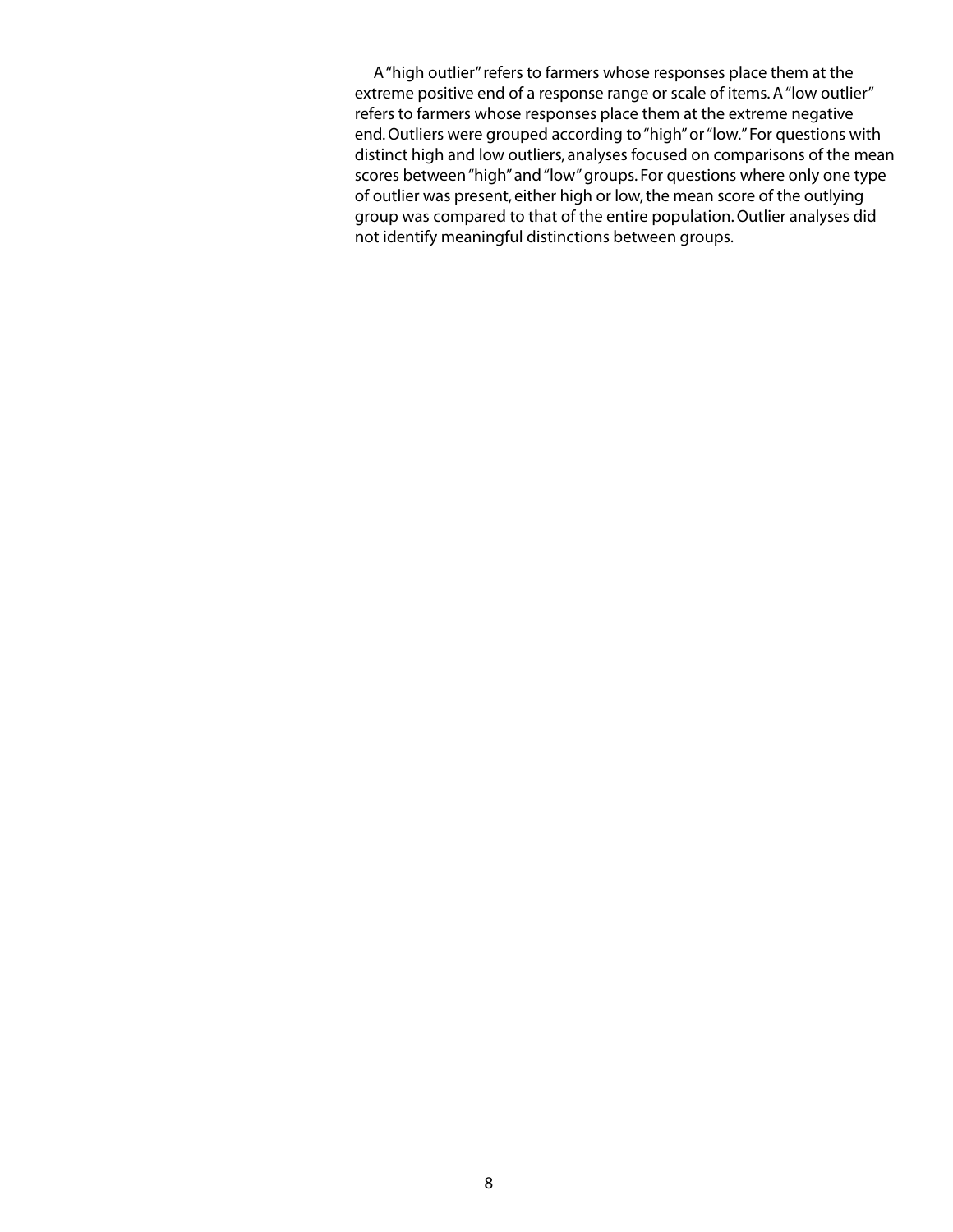A "high outlier" refers to farmers whose responses place them at the extreme positive end of a response range or scale of items. A "low outlier" refers to farmers whose responses place them at the extreme negative end. Outliers were grouped according to "high" or "low." For questions with distinct high and low outliers, analyses focused on comparisons of the mean scores between "high" and "low" groups. For questions where only one type of outlier was present, either high or low, the mean score of the outlying group was compared to that of the entire population. Outlier analyses did not identify meaningful distinctions between groups.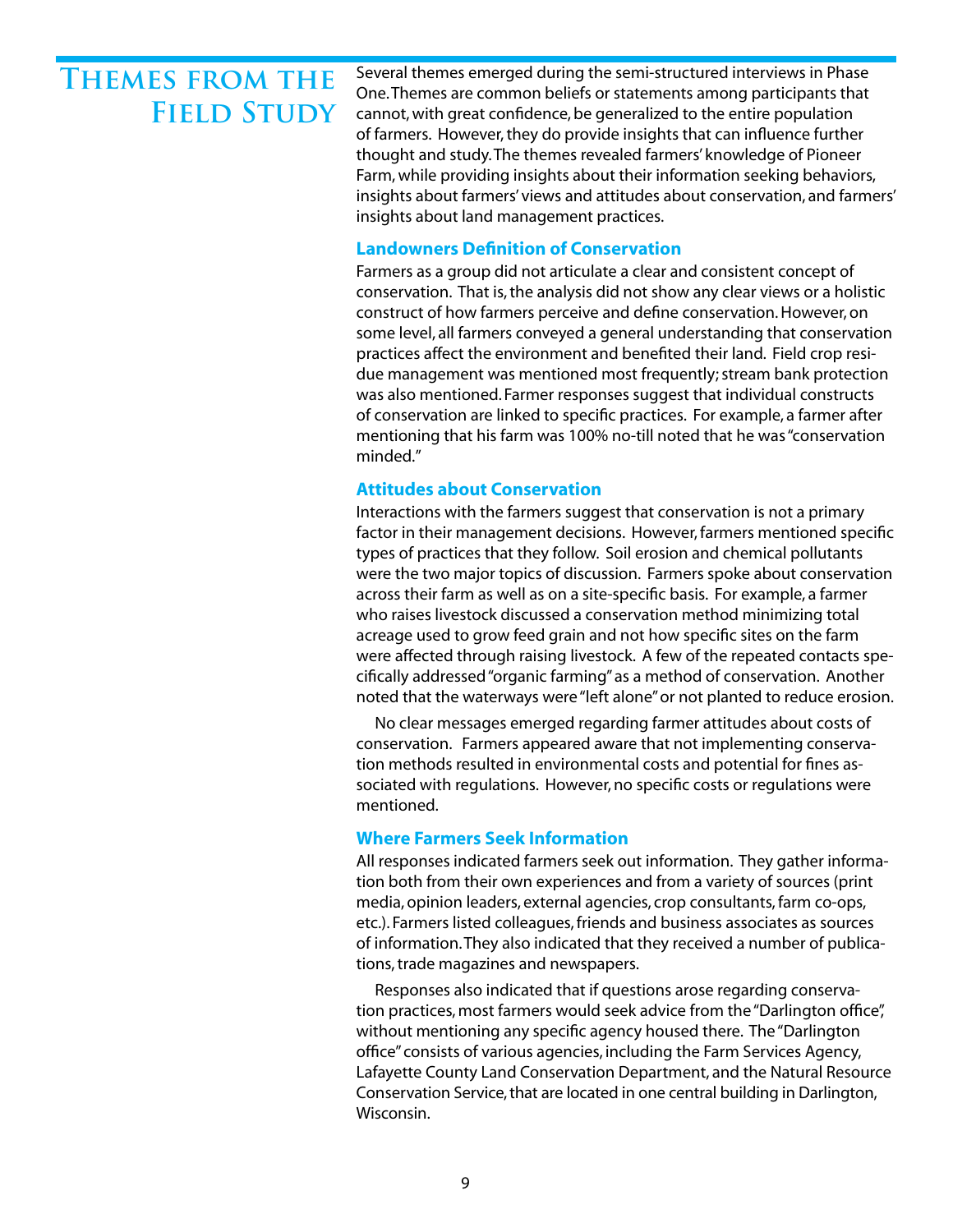# **Themes from the FIELD STUDY**

Several themes emerged during the semi-structured interviews in Phase One. Themes are common beliefs or statements among participants that cannot, with great confidence, be generalized to the entire population of farmers. However, they do provide insights that can influence further thought and study. The themes revealed farmers' knowledge of Pioneer Farm, while providing insights about their information seeking behaviors, insights about farmers' views and attitudes about conservation, and farmers' insights about land management practices.

#### **Landowners Definition of Conservation**

Farmers as a group did not articulate a clear and consistent concept of conservation. That is, the analysis did not show any clear views or a holistic construct of how farmers perceive and define conservation. However, on some level, all farmers conveyed a general understanding that conservation practices affect the environment and benefited their land. Field crop residue management was mentioned most frequently; stream bank protection was also mentioned. Farmer responses suggest that individual constructs of conservation are linked to specific practices. For example, a farmer after mentioning that his farm was 100% no-till noted that he was "conservation minded."

#### **Attitudes about Conservation**

Interactions with the farmers suggest that conservation is not a primary factor in their management decisions. However, farmers mentioned specific types of practices that they follow. Soil erosion and chemical pollutants were the two major topics of discussion. Farmers spoke about conservation across their farm as well as on a site-specific basis. For example, a farmer who raises livestock discussed a conservation method minimizing total acreage used to grow feed grain and not how specific sites on the farm were affected through raising livestock. A few of the repeated contacts specifically addressed "organic farming" as a method of conservation. Another noted that the waterways were "left alone" or not planted to reduce erosion.

No clear messages emerged regarding farmer attitudes about costs of conservation. Farmers appeared aware that not implementing conservation methods resulted in environmental costs and potential for fines associated with regulations. However, no specific costs or regulations were mentioned.

#### **Where Farmers Seek Information**

All responses indicated farmers seek out information. They gather information both from their own experiences and from a variety of sources (print media, opinion leaders, external agencies, crop consultants, farm co-ops, etc.). Farmers listed colleagues, friends and business associates as sources of information. They also indicated that they received a number of publications, trade magazines and newspapers.

Responses also indicated that if questions arose regarding conservation practices, most farmers would seek advice from the "Darlington office", without mentioning any specific agency housed there. The "Darlington office" consists of various agencies, including the Farm Services Agency, Lafayette County Land Conservation Department, and the Natural Resource Conservation Service, that are located in one central building in Darlington, Wisconsin.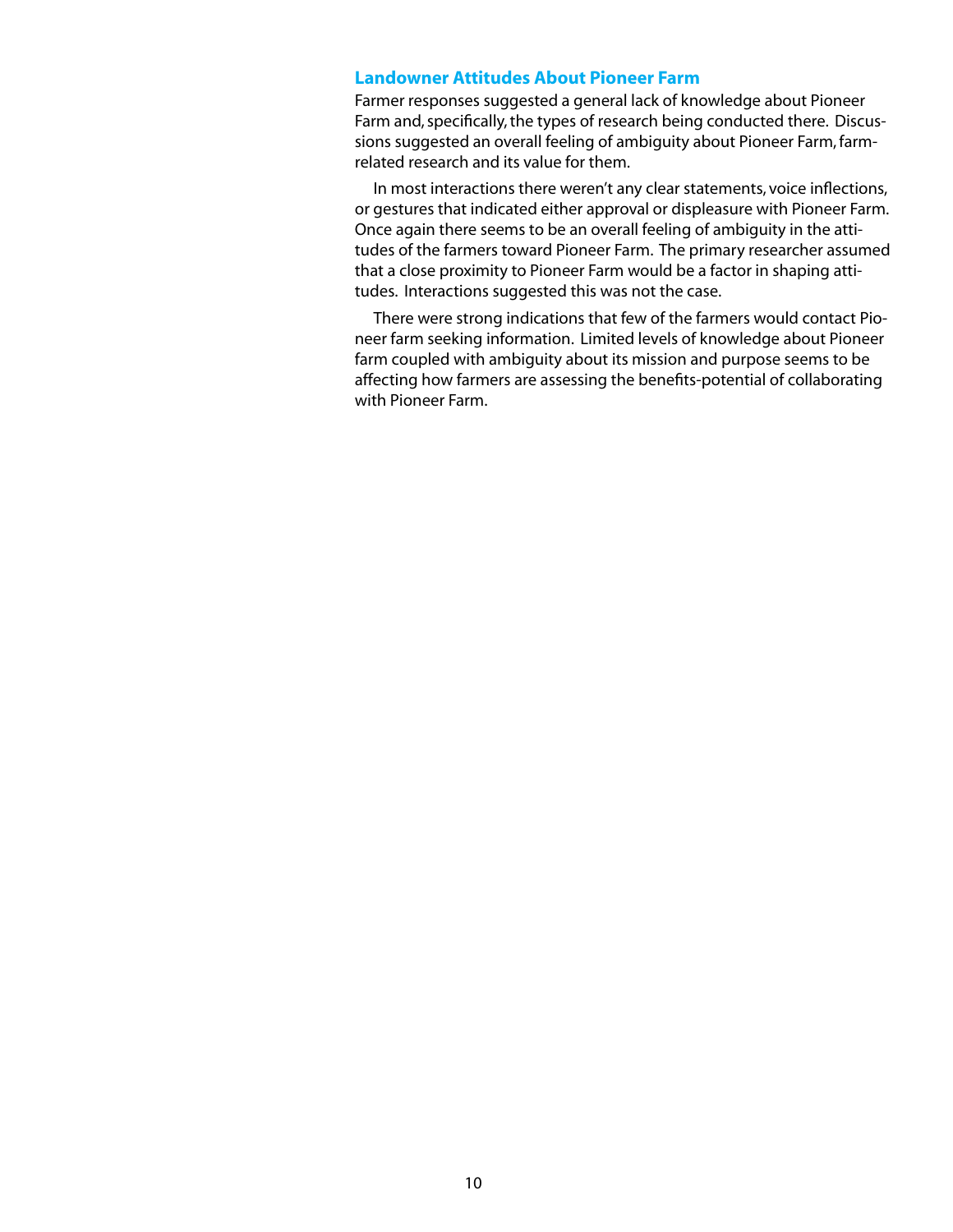#### **Landowner Attitudes About Pioneer Farm**

Farmer responses suggested a general lack of knowledge about Pioneer Farm and, specifically, the types of research being conducted there. Discussions suggested an overall feeling of ambiguity about Pioneer Farm, farmrelated research and its value for them.

In most interactions there weren't any clear statements, voice inflections, or gestures that indicated either approval or displeasure with Pioneer Farm. Once again there seems to be an overall feeling of ambiguity in the attitudes of the farmers toward Pioneer Farm. The primary researcher assumed that a close proximity to Pioneer Farm would be a factor in shaping attitudes. Interactions suggested this was not the case.

There were strong indications that few of the farmers would contact Pioneer farm seeking information. Limited levels of knowledge about Pioneer farm coupled with ambiguity about its mission and purpose seems to be affecting how farmers are assessing the benefits-potential of collaborating with Pioneer Farm.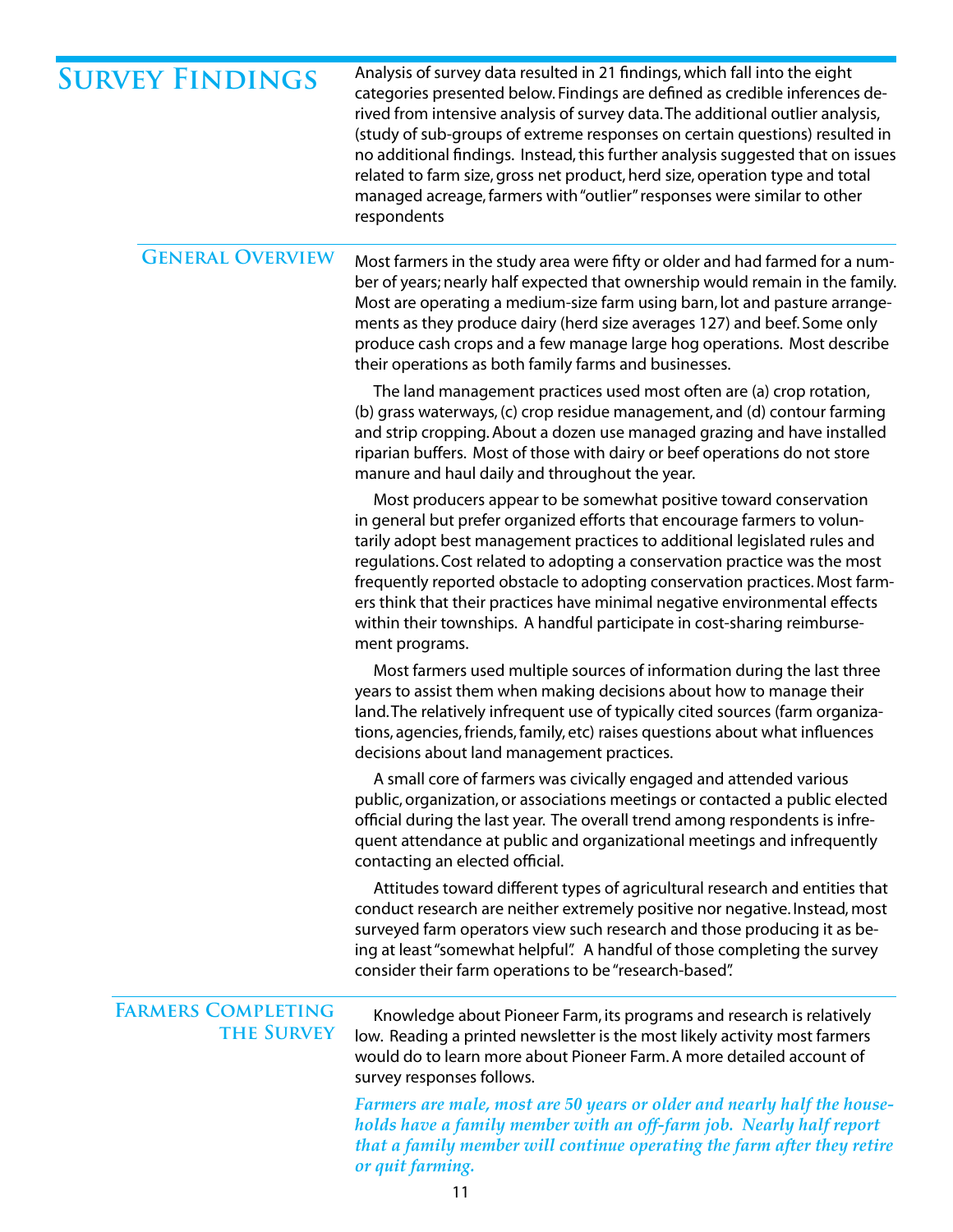| <b>SURVEY FINDINGS</b>                         | Analysis of survey data resulted in 21 findings, which fall into the eight<br>categories presented below. Findings are defined as credible inferences de-<br>rived from intensive analysis of survey data. The additional outlier analysis,<br>(study of sub-groups of extreme responses on certain questions) resulted in<br>no additional findings. Instead, this further analysis suggested that on issues<br>related to farm size, gross net product, herd size, operation type and total<br>managed acreage, farmers with "outlier" responses were similar to other<br>respondents |
|------------------------------------------------|-----------------------------------------------------------------------------------------------------------------------------------------------------------------------------------------------------------------------------------------------------------------------------------------------------------------------------------------------------------------------------------------------------------------------------------------------------------------------------------------------------------------------------------------------------------------------------------------|
| <b>GENERAL OVERVIEW</b>                        | Most farmers in the study area were fifty or older and had farmed for a num-<br>ber of years; nearly half expected that ownership would remain in the family.<br>Most are operating a medium-size farm using barn, lot and pasture arrange-<br>ments as they produce dairy (herd size averages 127) and beef. Some only<br>produce cash crops and a few manage large hog operations. Most describe<br>their operations as both family farms and businesses.                                                                                                                             |
|                                                | The land management practices used most often are (a) crop rotation,<br>(b) grass waterways, (c) crop residue management, and (d) contour farming<br>and strip cropping. About a dozen use managed grazing and have installed<br>riparian buffers. Most of those with dairy or beef operations do not store<br>manure and haul daily and throughout the year.                                                                                                                                                                                                                           |
|                                                | Most producers appear to be somewhat positive toward conservation<br>in general but prefer organized efforts that encourage farmers to volun-<br>tarily adopt best management practices to additional legislated rules and<br>regulations. Cost related to adopting a conservation practice was the most<br>frequently reported obstacle to adopting conservation practices. Most farm-<br>ers think that their practices have minimal negative environmental effects<br>within their townships. A handful participate in cost-sharing reimburse-<br>ment programs.                     |
|                                                | Most farmers used multiple sources of information during the last three<br>years to assist them when making decisions about how to manage their<br>land. The relatively infrequent use of typically cited sources (farm organiza-<br>tions, agencies, friends, family, etc) raises questions about what influences<br>decisions about land management practices.                                                                                                                                                                                                                        |
|                                                | A small core of farmers was civically engaged and attended various<br>public, organization, or associations meetings or contacted a public elected<br>official during the last year. The overall trend among respondents is infre-<br>quent attendance at public and organizational meetings and infrequently<br>contacting an elected official.                                                                                                                                                                                                                                        |
|                                                | Attitudes toward different types of agricultural research and entities that<br>conduct research are neither extremely positive nor negative. Instead, most<br>surveyed farm operators view such research and those producing it as be-<br>ing at least "somewhat helpful". A handful of those completing the survey<br>consider their farm operations to be "research-based".                                                                                                                                                                                                           |
| <b>FARMERS COMPLETING</b><br><b>THE SURVEY</b> | Knowledge about Pioneer Farm, its programs and research is relatively<br>low. Reading a printed newsletter is the most likely activity most farmers<br>would do to learn more about Pioneer Farm. A more detailed account of<br>survey responses follows.                                                                                                                                                                                                                                                                                                                               |
|                                                | Farmers are male, most are 50 years or older and nearly half the house-<br>holds have a family member with an off-farm job. Nearly half report<br>that a family member will continue operating the farm after they retire<br>or quit farming.                                                                                                                                                                                                                                                                                                                                           |

11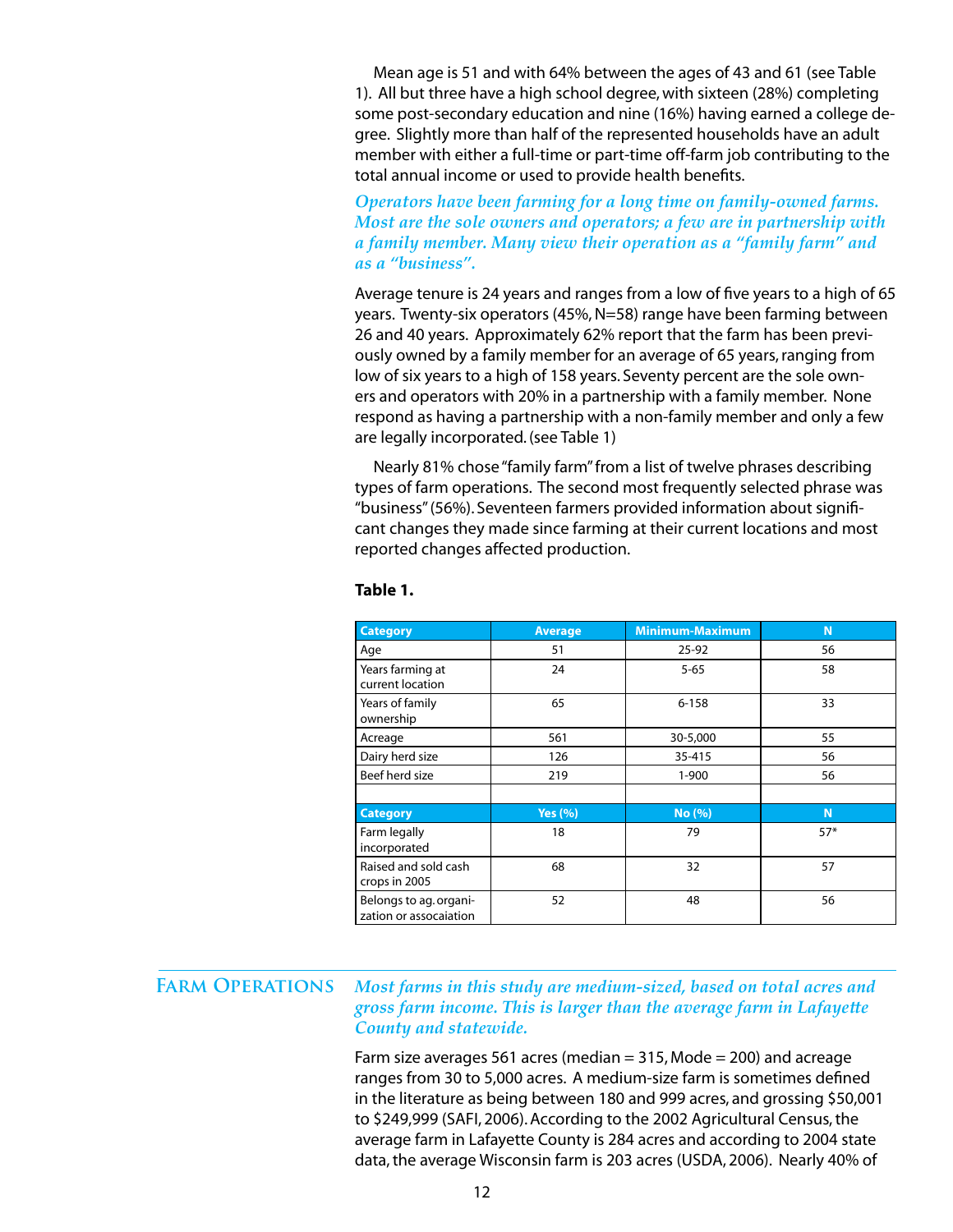Mean age is 51 and with 64% between the ages of 43 and 61 (see Table 1). All but three have a high school degree, with sixteen (28%) completing some post-secondary education and nine (16%) having earned a college degree. Slightly more than half of the represented households have an adult member with either a full-time or part-time off-farm job contributing to the total annual income or used to provide health benefits.

#### *Operators have been farming for a long time on family-owned farms. Most are the sole owners and operators; a few are in partnership with a family member. Many view their operation as a "family farm" and as a "business".*

Average tenure is 24 years and ranges from a low of five years to a high of 65 years. Twenty-six operators (45%, N=58) range have been farming between 26 and 40 years. Approximately 62% report that the farm has been previously owned by a family member for an average of 65 years, ranging from low of six years to a high of 158 years. Seventy percent are the sole owners and operators with 20% in a partnership with a family member. None respond as having a partnership with a non-family member and only a few are legally incorporated. (see Table 1)

Nearly 81% chose "family farm" from a list of twelve phrases describing types of farm operations. The second most frequently selected phrase was "business" (56%). Seventeen farmers provided information about significant changes they made since farming at their current locations and most reported changes affected production.

| <b>Category</b>                                  | <b>Average</b> | <b>Minimum-Maximum</b> | N     |
|--------------------------------------------------|----------------|------------------------|-------|
| Age                                              | 51             | 25-92                  | 56    |
| Years farming at<br>current location             | 24             | $5 - 65$               | 58    |
| Years of family<br>ownership                     | 65             | $6 - 158$              | 33    |
| Acreage                                          | 561            | 30-5,000               | 55    |
| Dairy herd size                                  | 126            | 35-415                 | 56    |
| Beef herd size                                   | 219            | $1 - 900$              | 56    |
|                                                  |                |                        |       |
| <b>Category</b>                                  | Yes $(% )$     | No (%)                 | N     |
| Farm legally<br>incorporated                     | 18             | 79                     | $57*$ |
| Raised and sold cash<br>crops in 2005            | 68             | 32                     | 57    |
| Belongs to ag. organi-<br>zation or assocaiation | 52             | 48                     | 56    |

#### **Table 1.**

#### *Most farms in this study are medium-sized, based on total acres and gross farm income. This is larger than the average farm in Lafayette County and statewide.* **Farm Operations**

Farm size averages 561 acres (median  $=$  315, Mode  $=$  200) and acreage ranges from 30 to 5,000 acres. A medium-size farm is sometimes defined in the literature as being between 180 and 999 acres, and grossing \$50,001 to \$249,999 (SAFI, 2006). According to the 2002 Agricultural Census, the average farm in Lafayette County is 284 acres and according to 2004 state data, the average Wisconsin farm is 203 acres (USDA, 2006). Nearly 40% of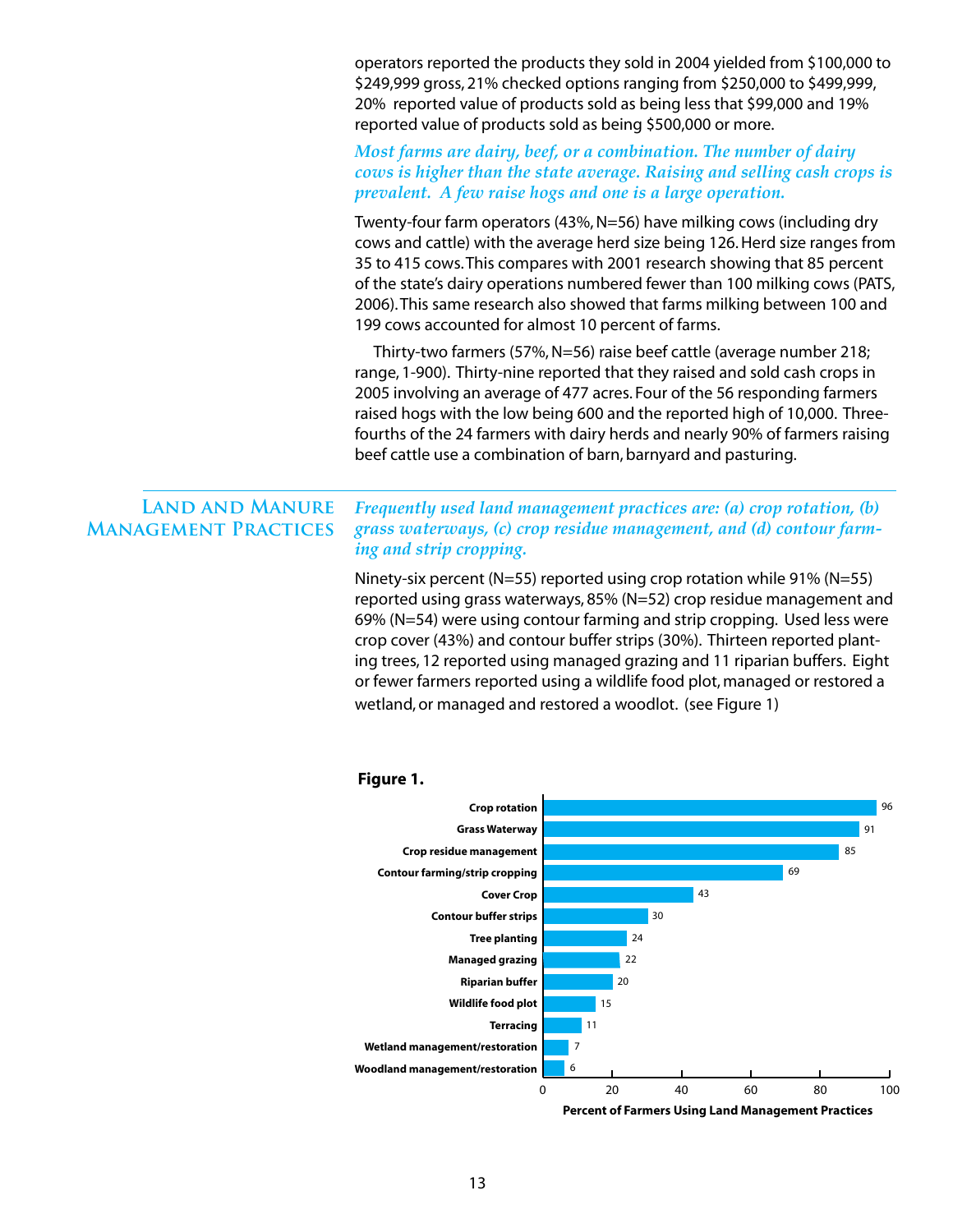operators reported the products they sold in 2004 yielded from \$100,000 to \$249,999 gross, 21% checked options ranging from \$250,000 to \$499,999, 20% reported value of products sold as being less that \$99,000 and 19% reported value of products sold as being \$500,000 or more.

#### *Most farms are dairy, beef, or a combination. The number of dairy cows is higher than the state average. Raising and selling cash crops is prevalent. A few raise hogs and one is a large operation.*

Twenty-four farm operators (43%, N=56) have milking cows (including dry cows and cattle) with the average herd size being 126. Herd size ranges from 35 to 415 cows. This compares with 2001 research showing that 85 percent of the state's dairy operations numbered fewer than 100 milking cows (PATS, 2006). This same research also showed that farms milking between 100 and 199 cows accounted for almost 10 percent of farms.

Thirty-two farmers (57%, N=56) raise beef cattle (average number 218; range, 1-900). Thirty-nine reported that they raised and sold cash crops in 2005 involving an average of 477 acres. Four of the 56 responding farmers raised hogs with the low being 600 and the reported high of 10,000. Threefourths of the 24 farmers with dairy herds and nearly 90% of farmers raising beef cattle use a combination of barn, barnyard and pasturing.

#### *Frequently used land management practices are: (a) crop rotation, (b) grass waterways, (c) crop residue management, and (d) contour farming and strip cropping.*  **Land and Manure Management Practices**

Ninety-six percent (N=55) reported using crop rotation while 91% (N=55) reported using grass waterways, 85% (N=52) crop residue management and 69% (N=54) were using contour farming and strip cropping. Used less were crop cover (43%) and contour buffer strips (30%). Thirteen reported planting trees, 12 reported using managed grazing and 11 riparian buffers. Eight or fewer farmers reported using a wildlife food plot, managed or restored a wetland, or managed and restored a woodlot. (see Figure 1)



#### **Figure 1.**

13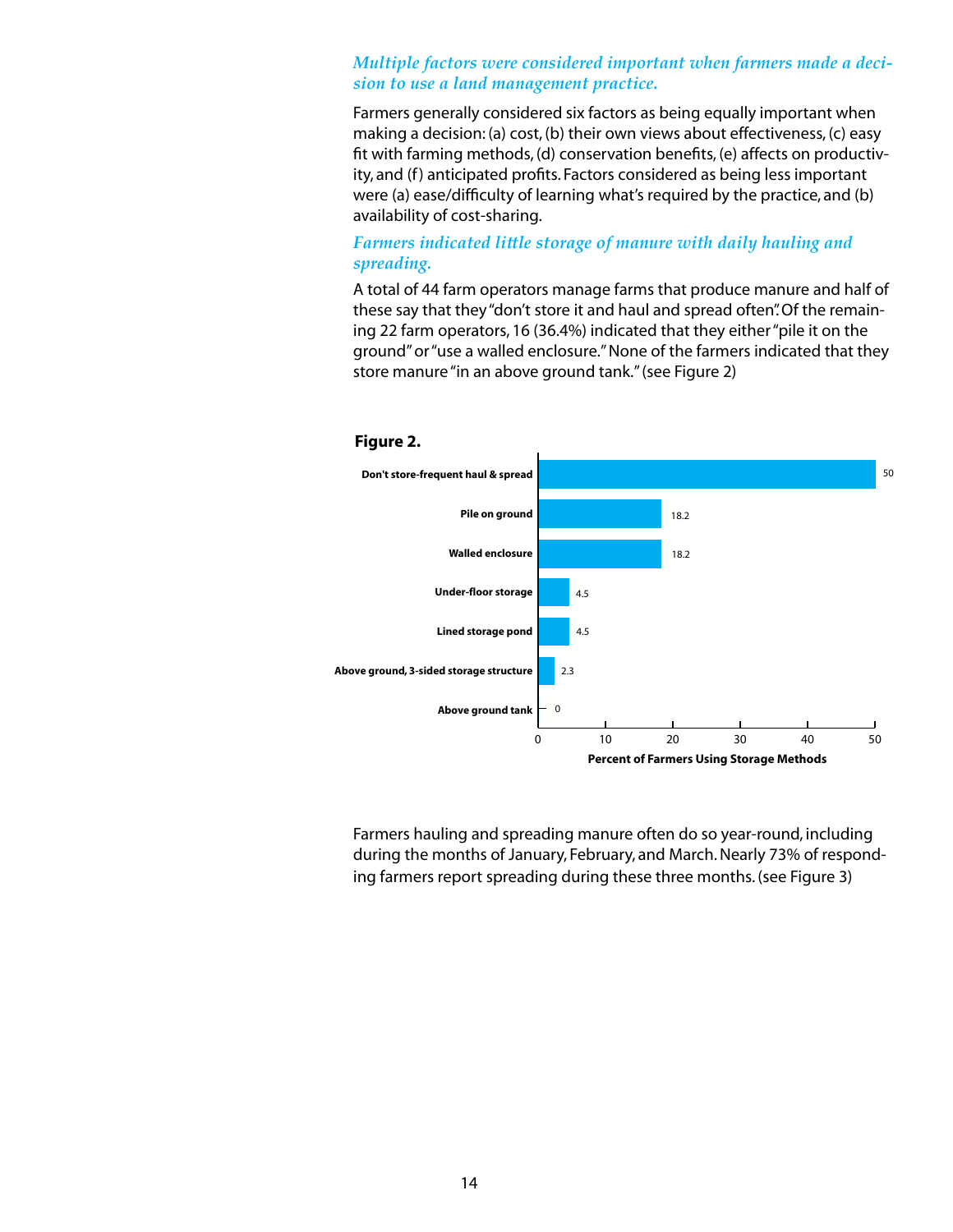#### *Multiple factors were considered important when farmers made a decision to use a land management practice.*

Farmers generally considered six factors as being equally important when making a decision: (a) cost, (b) their own views about effectiveness, (c) easy fit with farming methods, (d) conservation benefits, (e) affects on productivity, and (f) anticipated profits. Factors considered as being less important were (a) ease/difficulty of learning what's required by the practice, and (b) availability of cost-sharing.

#### *Farmers indicated little storage of manure with daily hauling and spreading.*

A total of 44 farm operators manage farms that produce manure and half of these say that they "don't store it and haul and spread often". Of the remaining 22 farm operators, 16 (36.4%) indicated that they either "pile it on the ground" or "use a walled enclosure." None of the farmers indicated that they store manure "in an above ground tank."(see Figure 2)



Farmers hauling and spreading manure often do so year-round, including during the months of January, February, and March. Nearly 73% of responding farmers report spreading during these three months. (see Figure 3)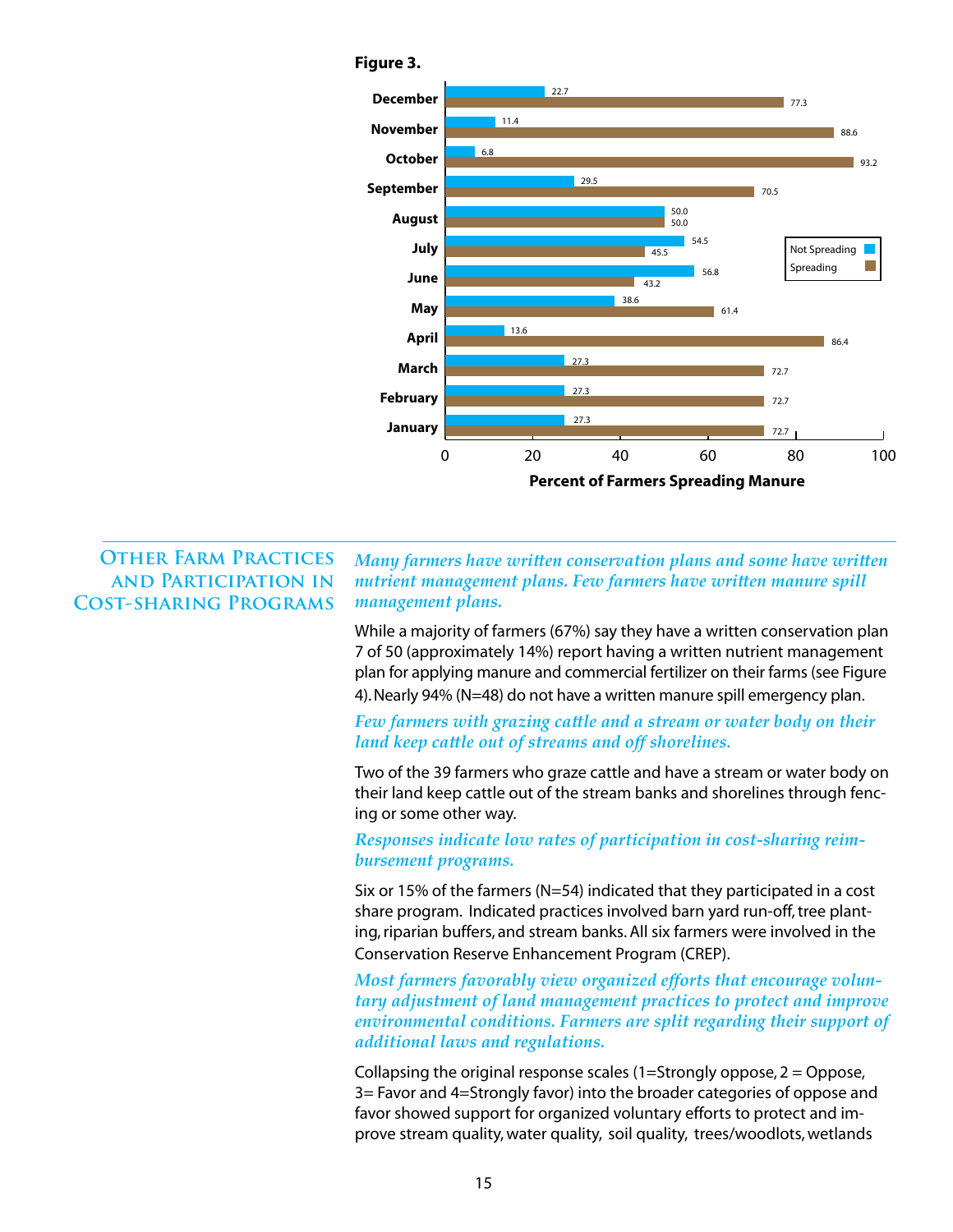

### **Other Farm Practices and Participation in Cost-sharing Programs**

*Many farmers have written conservation plans and some have written nutrient management plans. Few farmers have written manure spill management plans.*

While a majority of farmers (67%) say they have a written conservation plan 7 of 50 (approximately 14%) report having a written nutrient management plan for applying manure and commercial fertilizer on their farms (see Figure 4). Nearly 94% (N=48) do not have a written manure spill emergency plan.

*Few farmers with grazing cattle and a stream or water body on their land keep cattle out of streams and off shorelines.*

Two of the 39 farmers who graze cattle and have a stream or water body on their land keep cattle out of the stream banks and shorelines through fencing or some other way.

*Responses indicate low rates of participation in cost-sharing reimbursement programs.*

Six or 15% of the farmers (N=54) indicated that they participated in a cost share program. Indicated practices involved barn yard run-off, tree planting, riparian buffers, and stream banks. All six farmers were involved in the Conservation Reserve Enhancement Program (CREP).

*Most farmers favorably view organized efforts that encourage voluntary adjustment of land management practices to protect and improve environmental conditions. Farmers are split regarding their support of additional laws and regulations.* 

Collapsing the original response scales  $(1=$ Strongly oppose,  $2 =$ Oppose, 3= Favor and 4=Strongly favor) into the broader categories of oppose and favor showed support for organized voluntary efforts to protect and improve stream quality, water quality, soil quality, trees/woodlots, wetlands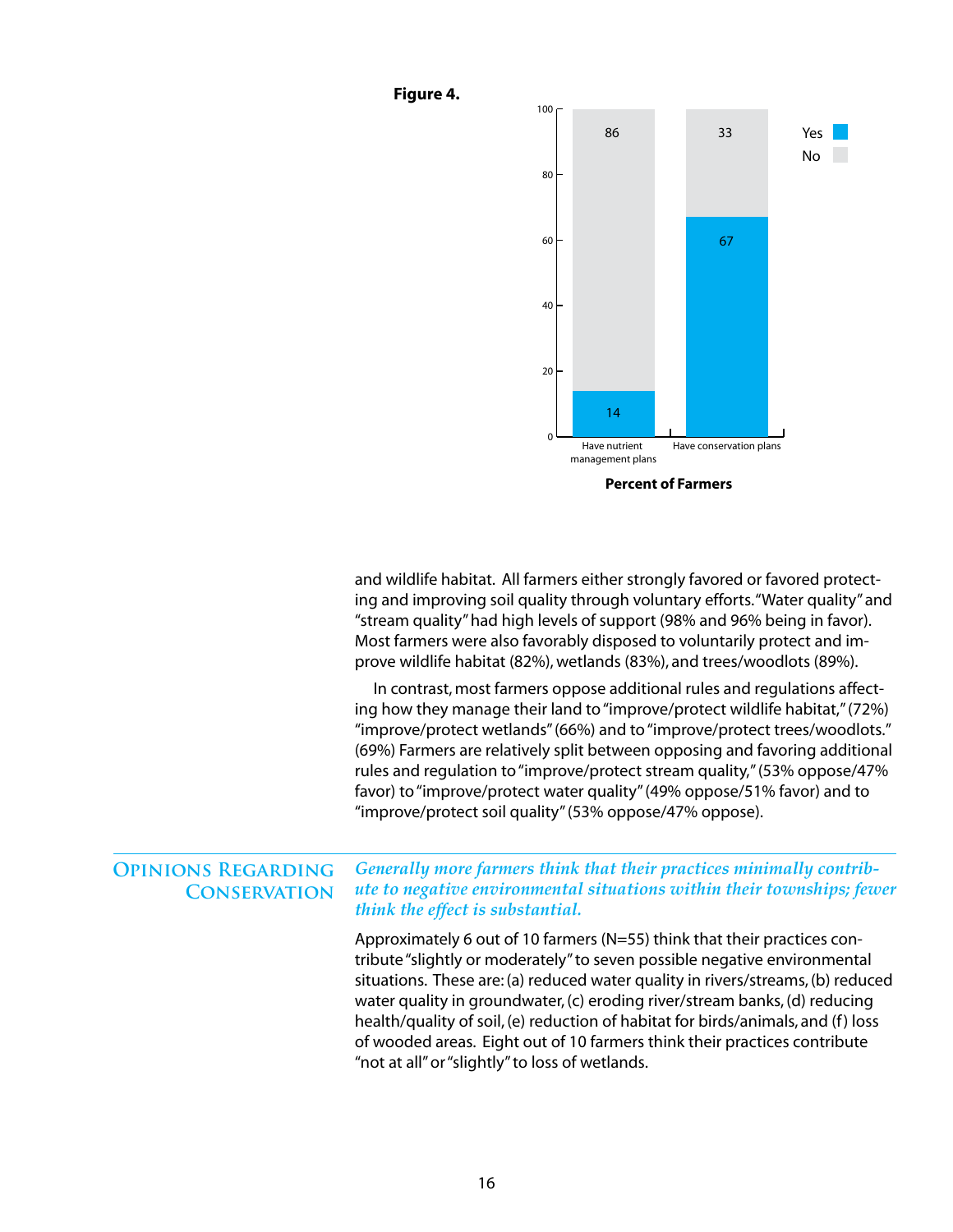

and wildlife habitat. All farmers either strongly favored or favored protecting and improving soil quality through voluntary efforts. "Water quality" and "stream quality" had high levels of support (98% and 96% being in favor). Most farmers were also favorably disposed to voluntarily protect and improve wildlife habitat (82%), wetlands (83%), and trees/woodlots (89%).

In contrast, most farmers oppose additional rules and regulations affecting how they manage their land to "improve/protect wildlife habitat," (72%) "improve/protect wetlands" (66%) and to "improve/protect trees/woodlots." (69%) Farmers are relatively split between opposing and favoring additional rules and regulation to "improve/protect stream quality," (53% oppose/47% favor) to "improve/protect water quality" (49% oppose/51% favor) and to "improve/protect soil quality" (53% oppose/47% oppose).

#### *Generally more farmers think that their practices minimally contribute to negative environmental situations within their townships; fewer think the effect is substantial.*  **Opinions Regarding Conservation**

**Figure 4.**

Approximately 6 out of 10 farmers (N=55) think that their practices contribute "slightly or moderately" to seven possible negative environmental situations. These are: (a) reduced water quality in rivers/streams, (b) reduced water quality in groundwater, (c) eroding river/stream banks, (d) reducing health/quality of soil, (e) reduction of habitat for birds/animals, and (f) loss of wooded areas. Eight out of 10 farmers think their practices contribute "not at all" or "slightly" to loss of wetlands.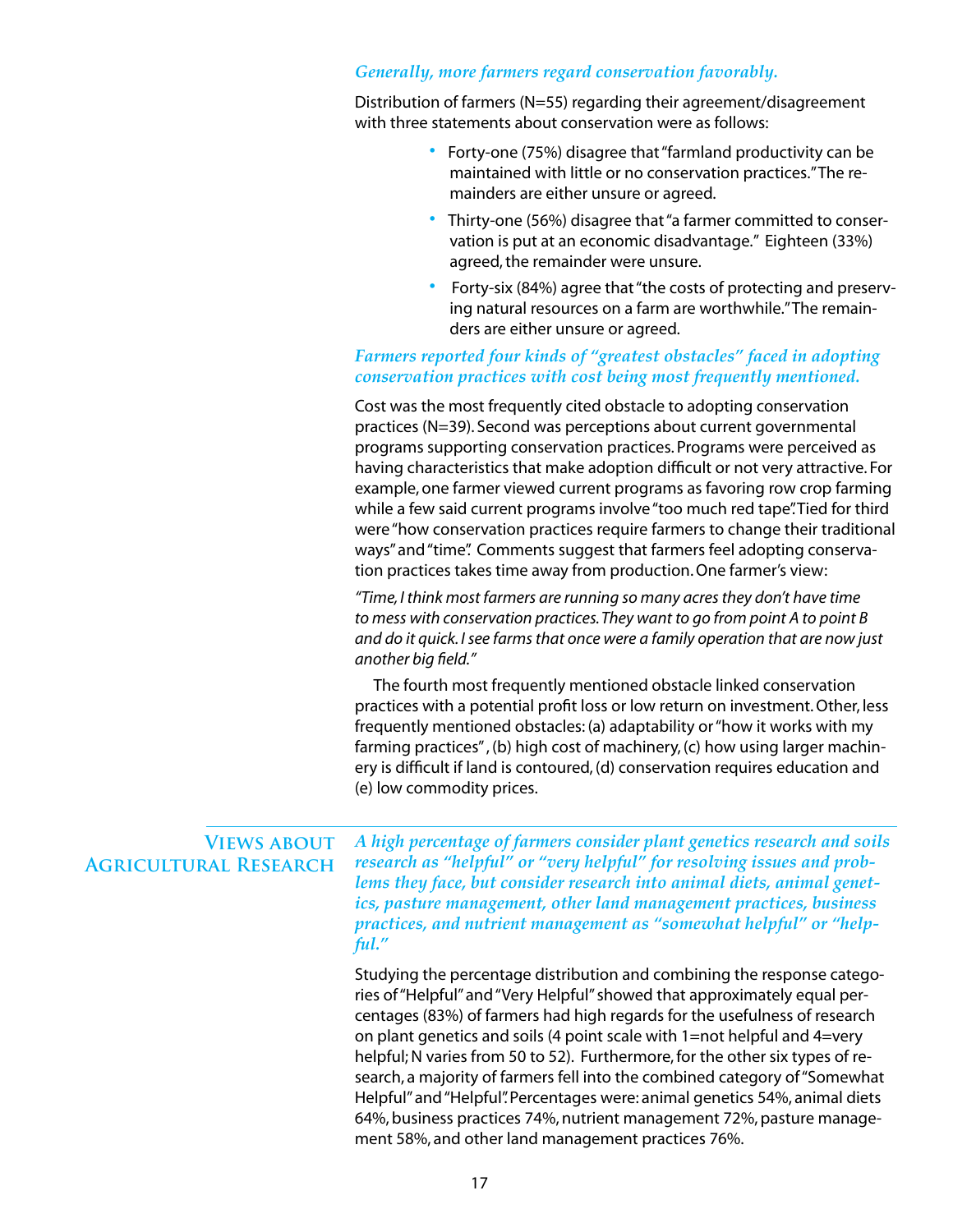#### *Generally, more farmers regard conservation favorably.*

Distribution of farmers (N=55) regarding their agreement/disagreement with three statements about conservation were as follows:

- Forty-one (75%) disagree that "farmland productivity can be maintained with little or no conservation practices." The remainders are either unsure or agreed.
- Thirty-one (56%) disagree that "a farmer committed to conservation is put at an economic disadvantage." Eighteen (33%) agreed, the remainder were unsure.
- Forty-six (84%) agree that "the costs of protecting and preserving natural resources on a farm are worthwhile." The remainders are either unsure or agreed.

#### *Farmers reported four kinds of "greatest obstacles" faced in adopting conservation practices with cost being most frequently mentioned.*

Cost was the most frequently cited obstacle to adopting conservation practices (N=39). Second was perceptions about current governmental programs supporting conservation practices. Programs were perceived as having characteristics that make adoption difficult or not very attractive. For example, one farmer viewed current programs as favoring row crop farming while a few said current programs involve "too much red tape". Tied for third were "how conservation practices require farmers to change their traditional ways" and "time". Comments suggest that farmers feel adopting conservation practices takes time away from production. One farmer's view:

*"Time, I think most farmers are running so many acres they don't have time to mess with conservation practices. They want to go from point A to point B and do it quick. I see farms that once were a family operation that are now just another big field."*

The fourth most frequently mentioned obstacle linked conservation practices with a potential profit loss or low return on investment. Other, less frequently mentioned obstacles: (a) adaptability or "how it works with my farming practices" , (b) high cost of machinery, (c) how using larger machinery is difficult if land is contoured, (d) conservation requires education and (e) low commodity prices.

*A high percentage of farmers consider plant genetics research and soils research as "helpful" or "very helpful" for resolving issues and problems they face, but consider research into animal diets, animal genetics, pasture management, other land management practices, business practices, and nutrient management as "somewhat helpful" or "helpful."*  **Views about Agricultural Research**

> Studying the percentage distribution and combining the response categories of "Helpful" and "Very Helpful" showed that approximately equal percentages (83%) of farmers had high regards for the usefulness of research on plant genetics and soils (4 point scale with 1=not helpful and 4=very helpful; N varies from 50 to 52). Furthermore, for the other six types of research, a majority of farmers fell into the combined category of "Somewhat Helpful" and "Helpful". Percentages were: animal genetics 54%, animal diets 64%, business practices 74%, nutrient management 72%, pasture management 58%, and other land management practices 76%.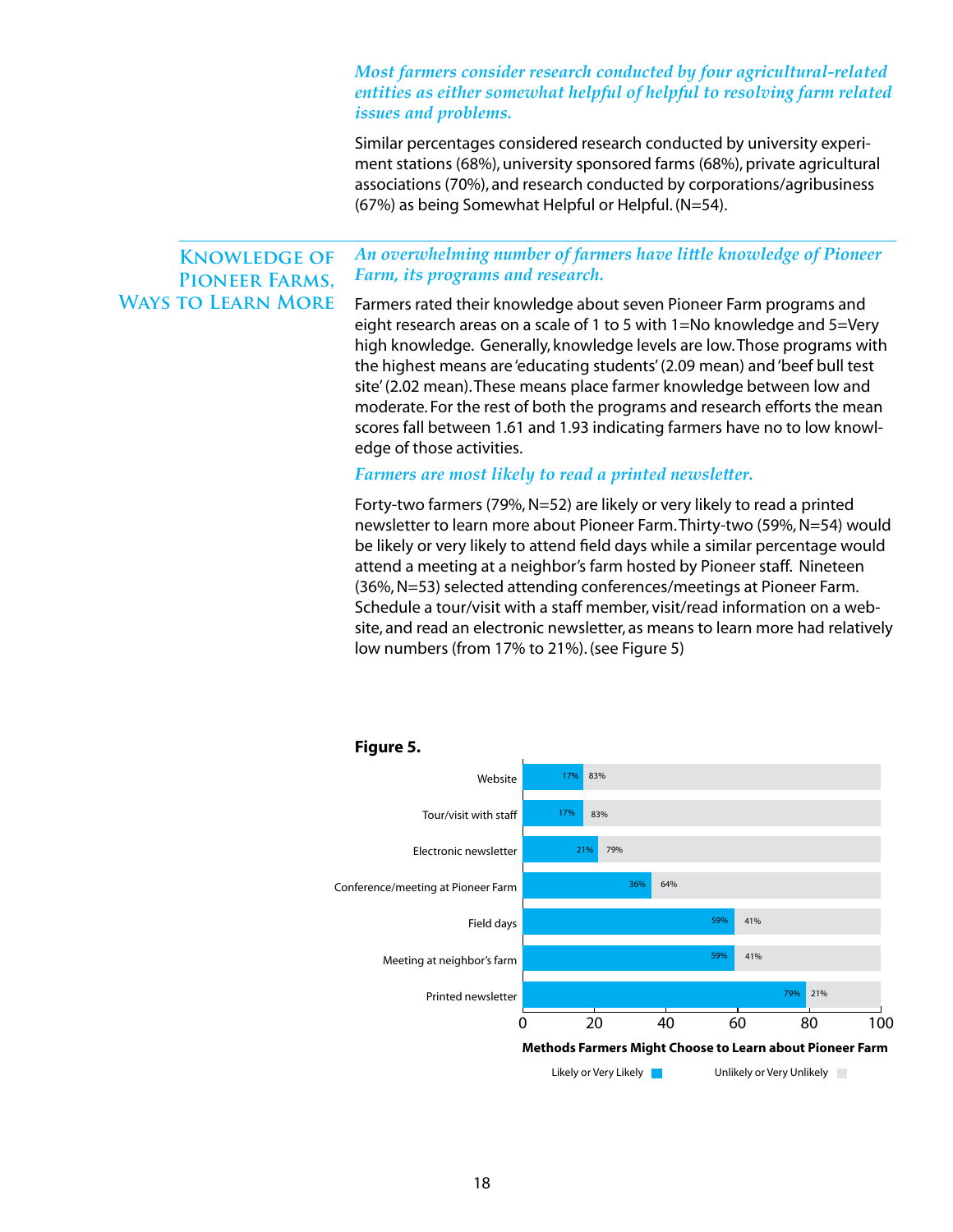#### *Most farmers consider research conducted by four agricultural-related entities as either somewhat helpful of helpful to resolving farm related issues and problems.*

Similar percentages considered research conducted by university experiment stations (68%), university sponsored farms (68%), private agricultural associations (70%), and research conducted by corporations/agribusiness (67%) as being Somewhat Helpful or Helpful. (N=54).

### **Knowledge of Pioneer Farms, Ways to Learn More**

*An overwhelming number of farmers have little knowledge of Pioneer Farm, its programs and research.*

Farmers rated their knowledge about seven Pioneer Farm programs and eight research areas on a scale of 1 to 5 with 1=No knowledge and 5=Very high knowledge. Generally, knowledge levels are low. Those programs with the highest means are 'educating students' (2.09 mean) and 'beef bull test site' (2.02 mean). These means place farmer knowledge between low and moderate. For the rest of both the programs and research efforts the mean scores fall between 1.61 and 1.93 indicating farmers have no to low knowledge of those activities.

#### *Farmers are most likely to read a printed newsletter.*

Forty-two farmers (79%, N=52) are likely or very likely to read a printed newsletter to learn more about Pioneer Farm. Thirty-two (59%, N=54) would be likely or very likely to attend field days while a similar percentage would attend a meeting at a neighbor's farm hosted by Pioneer staff. Nineteen (36%, N=53) selected attending conferences/meetings at Pioneer Farm. Schedule a tour/visit with a staff member, visit/read information on a website, and read an electronic newsletter, as means to learn more had relatively low numbers (from 17% to 21%). (see Figure 5)

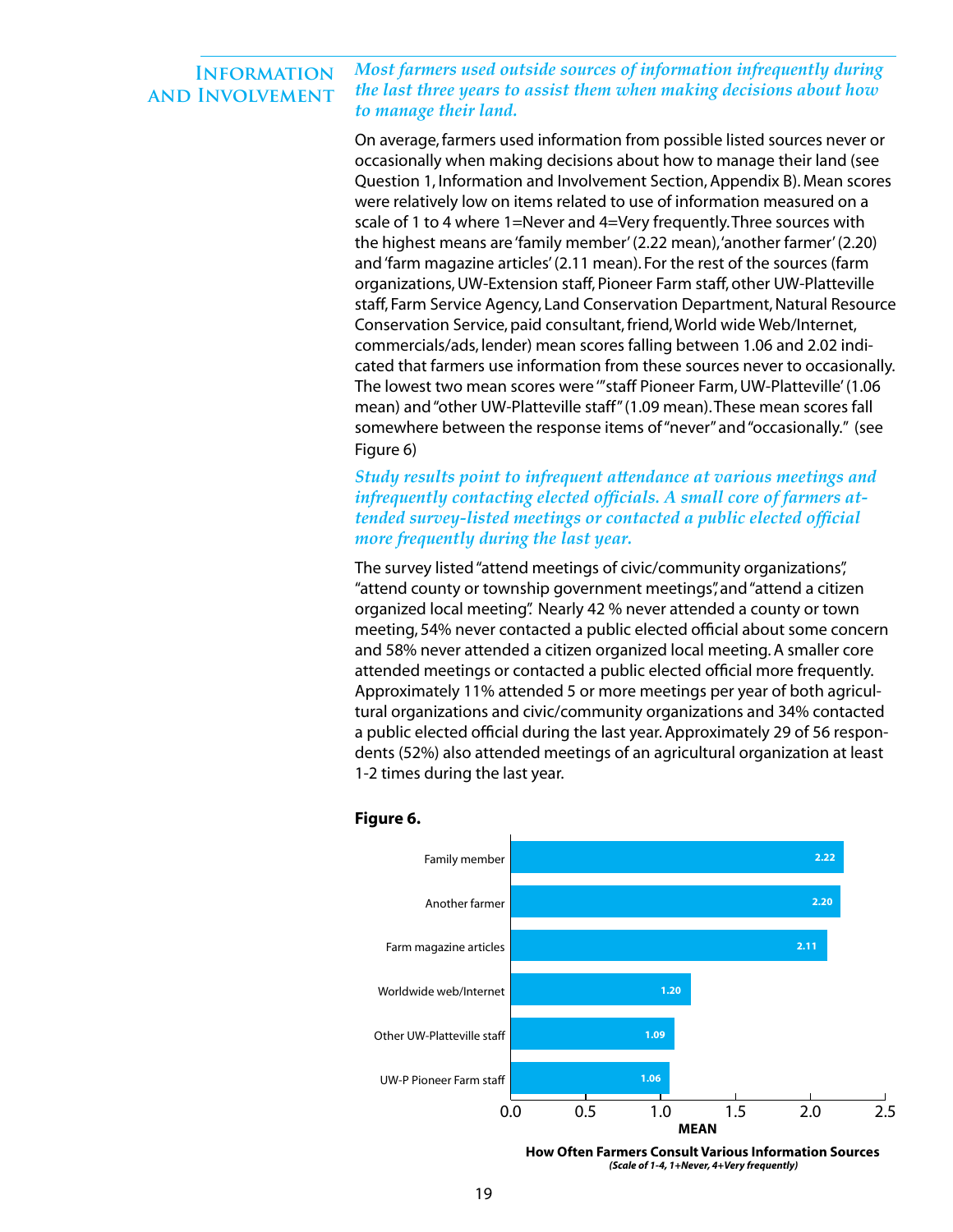#### *Most farmers used outside sources of information infrequently during the last three years to assist them when making decisions about how to manage their land.* **Information and Involvement**

On average, farmers used information from possible listed sources never or occasionally when making decisions about how to manage their land (see Question 1, Information and Involvement Section, Appendix B). Mean scores were relatively low on items related to use of information measured on a scale of 1 to 4 where 1=Never and 4=Very frequently. Three sources with the highest means are 'family member' (2.22 mean), 'another farmer' (2.20) and 'farm magazine articles' (2.11 mean). For the rest of the sources (farm organizations, UW-Extension staff, Pioneer Farm staff, other UW-Platteville staff, Farm Service Agency, Land Conservation Department, Natural Resource Conservation Service, paid consultant, friend, World wide Web/Internet, commercials/ads, lender) mean scores falling between 1.06 and 2.02 indicated that farmers use information from these sources never to occasionally. The lowest two mean scores were '"staff Pioneer Farm, UW-Platteville' (1.06 mean) and "other UW-Platteville staff" (1.09 mean). These mean scores fall somewhere between the response items of "never" and "occasionally." (see Figure 6)

#### *Study results point to infrequent attendance at various meetings and infrequently contacting elected officials. A small core of farmers attended survey-listed meetings or contacted a public elected official more frequently during the last year.*

The survey listed "attend meetings of civic/community organizations", "attend county or township government meetings", and "attend a citizen organized local meeting". Nearly 42 % never attended a county or town meeting, 54% never contacted a public elected official about some concern and 58% never attended a citizen organized local meeting. A smaller core attended meetings or contacted a public elected official more frequently. Approximately 11% attended 5 or more meetings per year of both agricultural organizations and civic/community organizations and 34% contacted a public elected official during the last year. Approximately 29 of 56 respondents (52%) also attended meetings of an agricultural organization at least 1-2 times during the last year.



#### **Figure 6.**

**How Often Farmers Consult Various Information Sources** *(Scale of 1-4, 1+Never, 4+Very frequently)*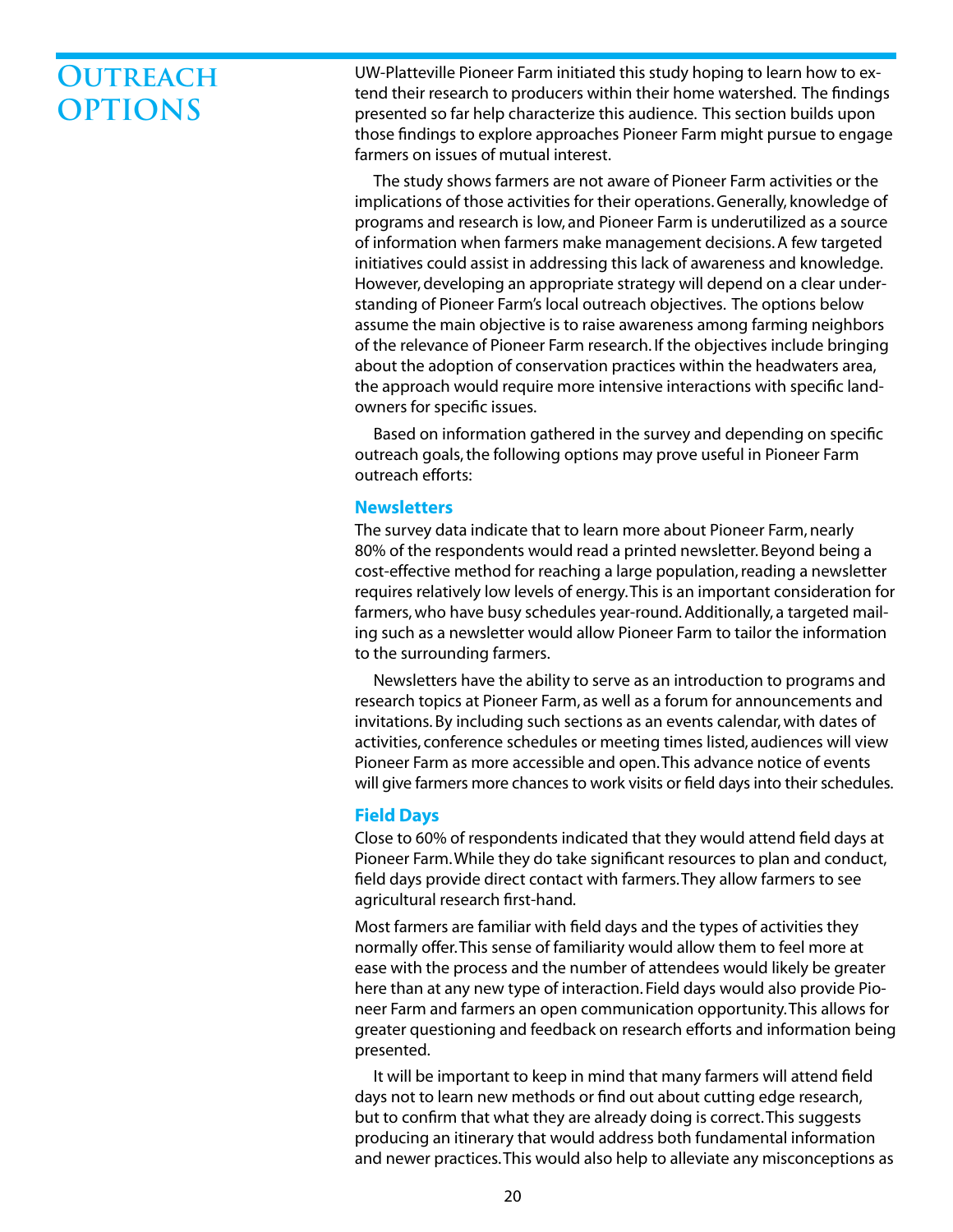# **OUTREACH OPTIONS**

UW-Platteville Pioneer Farm initiated this study hoping to learn how to extend their research to producers within their home watershed. The findings presented so far help characterize this audience. This section builds upon those findings to explore approaches Pioneer Farm might pursue to engage farmers on issues of mutual interest.

The study shows farmers are not aware of Pioneer Farm activities or the implications of those activities for their operations. Generally, knowledge of programs and research is low, and Pioneer Farm is underutilized as a source of information when farmers make management decisions. A few targeted initiatives could assist in addressing this lack of awareness and knowledge. However, developing an appropriate strategy will depend on a clear understanding of Pioneer Farm's local outreach objectives. The options below assume the main objective is to raise awareness among farming neighbors of the relevance of Pioneer Farm research. If the objectives include bringing about the adoption of conservation practices within the headwaters area, the approach would require more intensive interactions with specific landowners for specific issues.

Based on information gathered in the survey and depending on specific outreach goals, the following options may prove useful in Pioneer Farm outreach efforts:

#### **Newsletters**

The survey data indicate that to learn more about Pioneer Farm, nearly 80% of the respondents would read a printed newsletter. Beyond being a cost-effective method for reaching a large population, reading a newsletter requires relatively low levels of energy. This is an important consideration for farmers, who have busy schedules year-round. Additionally, a targeted mailing such as a newsletter would allow Pioneer Farm to tailor the information to the surrounding farmers.

Newsletters have the ability to serve as an introduction to programs and research topics at Pioneer Farm, as well as a forum for announcements and invitations. By including such sections as an events calendar, with dates of activities, conference schedules or meeting times listed, audiences will view Pioneer Farm as more accessible and open. This advance notice of events will give farmers more chances to work visits or field days into their schedules.

#### **Field Days**

Close to 60% of respondents indicated that they would attend field days at Pioneer Farm. While they do take significant resources to plan and conduct, field days provide direct contact with farmers. They allow farmers to see agricultural research first-hand.

Most farmers are familiar with field days and the types of activities they normally offer. This sense of familiarity would allow them to feel more at ease with the process and the number of attendees would likely be greater here than at any new type of interaction. Field days would also provide Pioneer Farm and farmers an open communication opportunity. This allows for greater questioning and feedback on research efforts and information being presented.

It will be important to keep in mind that many farmers will attend field days not to learn new methods or find out about cutting edge research, but to confirm that what they are already doing is correct. This suggests producing an itinerary that would address both fundamental information and newer practices. This would also help to alleviate any misconceptions as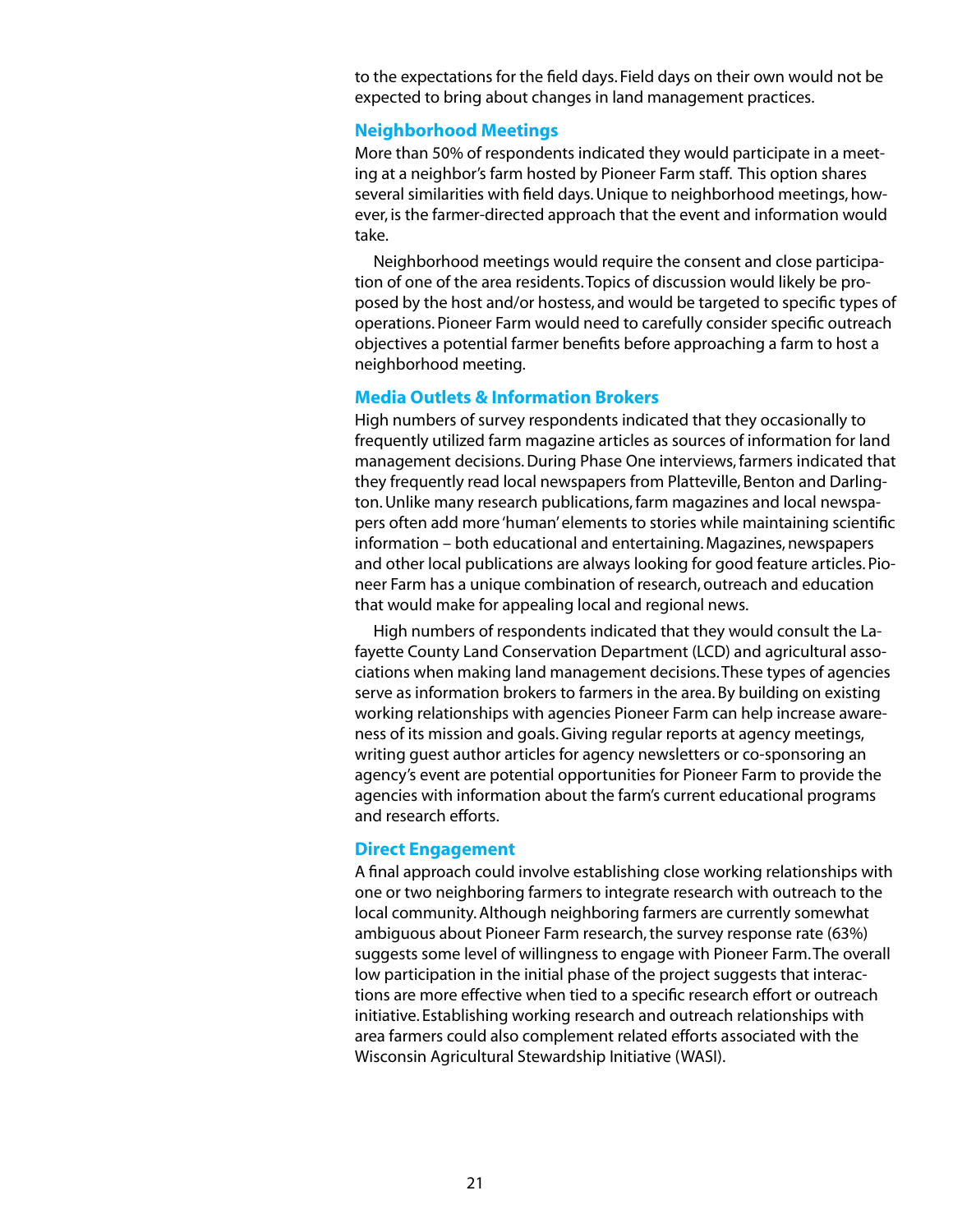to the expectations for the field days. Field days on their own would not be expected to bring about changes in land management practices.

#### **Neighborhood Meetings**

More than 50% of respondents indicated they would participate in a meeting at a neighbor's farm hosted by Pioneer Farm staff. This option shares several similarities with field days. Unique to neighborhood meetings, however, is the farmer-directed approach that the event and information would take.

Neighborhood meetings would require the consent and close participation of one of the area residents. Topics of discussion would likely be proposed by the host and/or hostess, and would be targeted to specific types of operations. Pioneer Farm would need to carefully consider specific outreach objectives a potential farmer benefits before approaching a farm to host a neighborhood meeting.

#### **Media Outlets & Information Brokers**

High numbers of survey respondents indicated that they occasionally to frequently utilized farm magazine articles as sources of information for land management decisions. During Phase One interviews, farmers indicated that they frequently read local newspapers from Platteville, Benton and Darlington. Unlike many research publications, farm magazines and local newspapers often add more 'human' elements to stories while maintaining scientific information – both educational and entertaining. Magazines, newspapers and other local publications are always looking for good feature articles. Pioneer Farm has a unique combination of research, outreach and education that would make for appealing local and regional news.

High numbers of respondents indicated that they would consult the Lafayette County Land Conservation Department (LCD) and agricultural associations when making land management decisions. These types of agencies serve as information brokers to farmers in the area. By building on existing working relationships with agencies Pioneer Farm can help increase awareness of its mission and goals. Giving regular reports at agency meetings, writing guest author articles for agency newsletters or co-sponsoring an agency's event are potential opportunities for Pioneer Farm to provide the agencies with information about the farm's current educational programs and research efforts.

#### **Direct Engagement**

A final approach could involve establishing close working relationships with one or two neighboring farmers to integrate research with outreach to the local community. Although neighboring farmers are currently somewhat ambiguous about Pioneer Farm research, the survey response rate (63%) suggests some level of willingness to engage with Pioneer Farm. The overall low participation in the initial phase of the project suggests that interactions are more effective when tied to a specific research effort or outreach initiative. Establishing working research and outreach relationships with area farmers could also complement related efforts associated with the Wisconsin Agricultural Stewardship Initiative (WASI).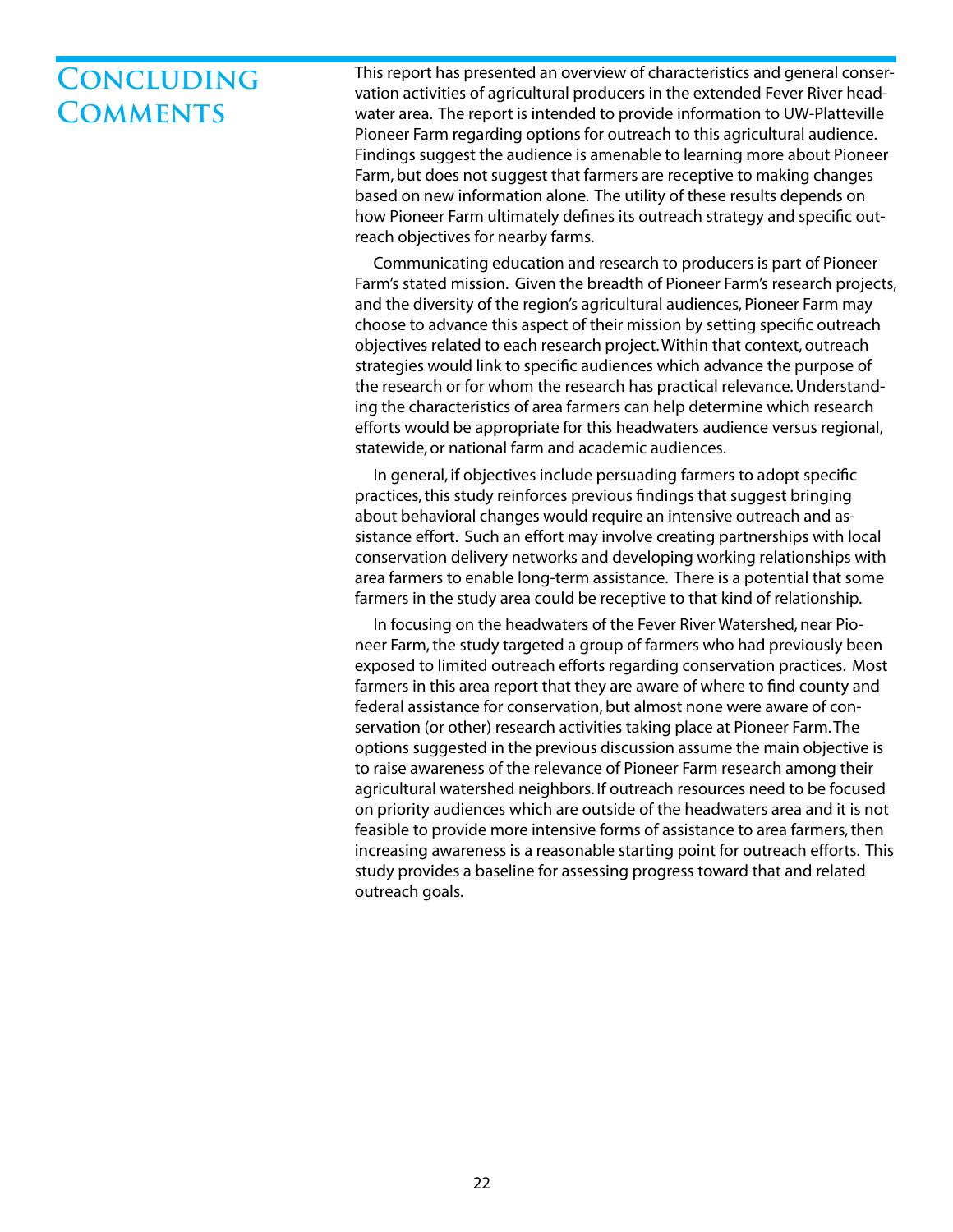# **Concluding Comments**

This report has presented an overview of characteristics and general conservation activities of agricultural producers in the extended Fever River headwater area. The report is intended to provide information to UW-Platteville Pioneer Farm regarding options for outreach to this agricultural audience. Findings suggest the audience is amenable to learning more about Pioneer Farm, but does not suggest that farmers are receptive to making changes based on new information alone. The utility of these results depends on how Pioneer Farm ultimately defines its outreach strategy and specific outreach objectives for nearby farms.

Communicating education and research to producers is part of Pioneer Farm's stated mission. Given the breadth of Pioneer Farm's research projects, and the diversity of the region's agricultural audiences, Pioneer Farm may choose to advance this aspect of their mission by setting specific outreach objectives related to each research project. Within that context, outreach strategies would link to specific audiences which advance the purpose of the research or for whom the research has practical relevance. Understanding the characteristics of area farmers can help determine which research efforts would be appropriate for this headwaters audience versus regional, statewide, or national farm and academic audiences.

In general, if objectives include persuading farmers to adopt specific practices, this study reinforces previous findings that suggest bringing about behavioral changes would require an intensive outreach and assistance effort. Such an effort may involve creating partnerships with local conservation delivery networks and developing working relationships with area farmers to enable long-term assistance. There is a potential that some farmers in the study area could be receptive to that kind of relationship.

In focusing on the headwaters of the Fever River Watershed, near Pioneer Farm, the study targeted a group of farmers who had previously been exposed to limited outreach efforts regarding conservation practices. Most farmers in this area report that they are aware of where to find county and federal assistance for conservation, but almost none were aware of conservation (or other) research activities taking place at Pioneer Farm. The options suggested in the previous discussion assume the main objective is to raise awareness of the relevance of Pioneer Farm research among their agricultural watershed neighbors. If outreach resources need to be focused on priority audiences which are outside of the headwaters area and it is not feasible to provide more intensive forms of assistance to area farmers, then increasing awareness is a reasonable starting point for outreach efforts. This study provides a baseline for assessing progress toward that and related outreach goals.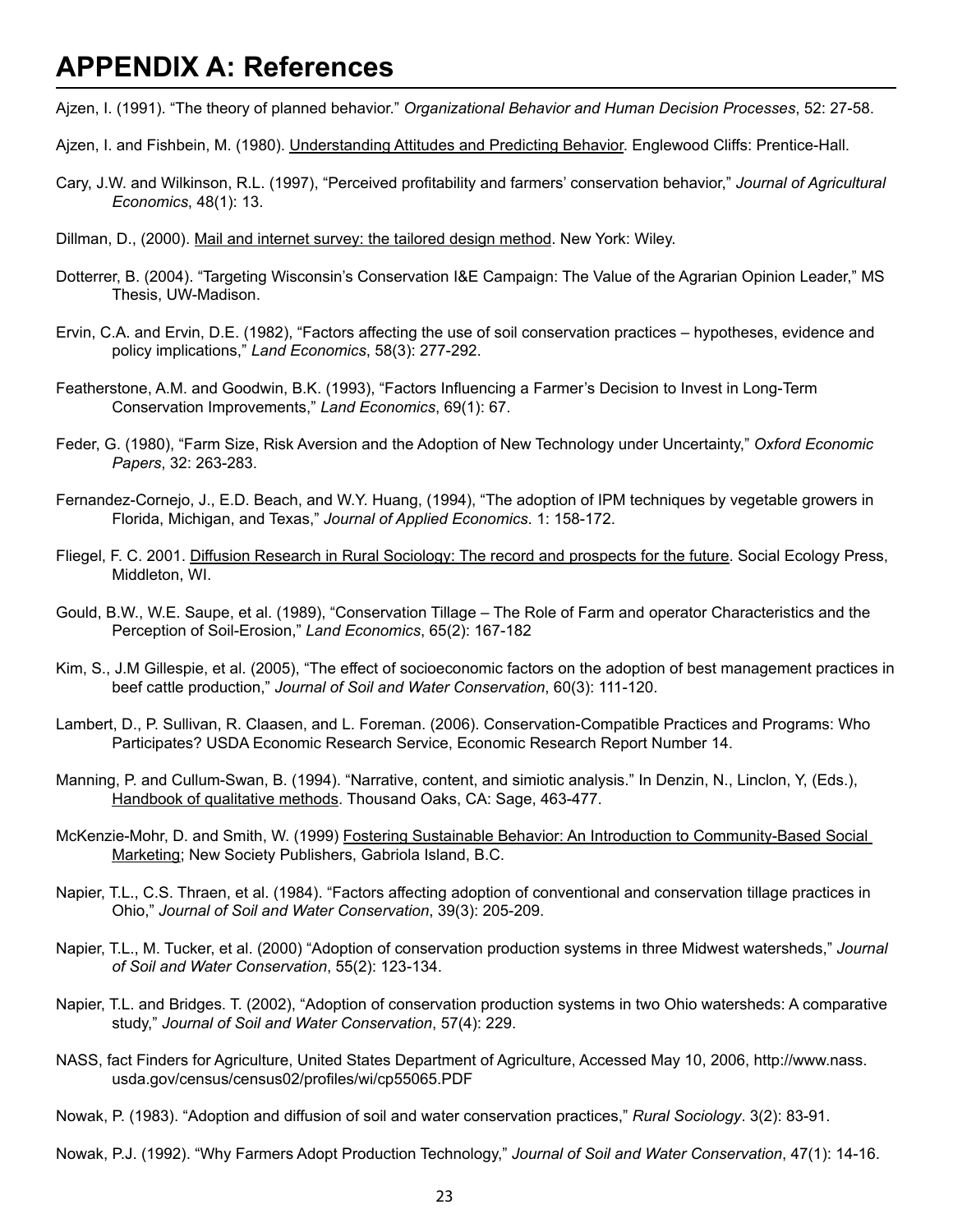## **APPENDIX A: References**

Ajzen, I. (1991). "The theory of planned behavior." *Organizational Behavior and Human Decision Processes*, 52: 27-58.

- Ajzen, I. and Fishbein, M. (1980). Understanding Attitudes and Predicting Behavior. Englewood Cliffs: Prentice-Hall.
- Cary, J.W. and Wilkinson, R.L. (1997), "Perceived profitability and farmers' conservation behavior," *Journal of Agricultural Economics*, 48(1): 13.
- Dillman, D., (2000). Mail and internet survey: the tailored design method. New York: Wiley.
- Dotterrer, B. (2004). "Targeting Wisconsin's Conservation I&E Campaign: The Value of the Agrarian Opinion Leader," MS Thesis, UW-Madison.
- Ervin, C.A. and Ervin, D.E. (1982), "Factors affecting the use of soil conservation practices hypotheses, evidence and policy implications," *Land Economics*, 58(3): 277-292.
- Featherstone, A.M. and Goodwin, B.K. (1993), "Factors Influencing a Farmer's Decision to Invest in Long-Term Conservation Improvements," *Land Economics*, 69(1): 67.
- Feder, G. (1980), "Farm Size, Risk Aversion and the Adoption of New Technology under Uncertainty," *Oxford Economic Papers*, 32: 263-283.
- Fernandez-Cornejo, J., E.D. Beach, and W.Y. Huang, (1994), "The adoption of IPM techniques by vegetable growers in Florida, Michigan, and Texas," *Journal of Applied Economics*. 1: 158-172.
- Fliegel, F. C. 2001. Diffusion Research in Rural Sociology: The record and prospects for the future. Social Ecology Press, Middleton, WI.
- Gould, B.W., W.E. Saupe, et al. (1989), "Conservation Tillage The Role of Farm and operator Characteristics and the Perception of Soil-Erosion," *Land Economics*, 65(2): 167-182
- Kim, S., J.M Gillespie, et al. (2005), "The effect of socioeconomic factors on the adoption of best management practices in beef cattle production," *Journal of Soil and Water Conservation*, 60(3): 111-120.
- Lambert, D., P. Sullivan, R. Claasen, and L. Foreman. (2006). Conservation-Compatible Practices and Programs: Who Participates? USDA Economic Research Service, Economic Research Report Number 14.
- Manning, P. and Cullum-Swan, B. (1994). "Narrative, content, and simiotic analysis." In Denzin, N., Linclon, Y, (Eds.), Handbook of qualitative methods. Thousand Oaks, CA: Sage, 463-477.
- McKenzie-Mohr, D. and Smith, W. (1999) Fostering Sustainable Behavior: An Introduction to Community-Based Social Marketing; New Society Publishers, Gabriola Island, B.C.
- Napier, T.L., C.S. Thraen, et al. (1984). "Factors affecting adoption of conventional and conservation tillage practices in Ohio," *Journal of Soil and Water Conservation*, 39(3): 205-209.
- Napier, T.L., M. Tucker, et al. (2000) "Adoption of conservation production systems in three Midwest watersheds," *Journal of Soil and Water Conservation*, 55(2): 123-134.
- Napier, T.L. and Bridges. T. (2002), "Adoption of conservation production systems in two Ohio watersheds: A comparative study," *Journal of Soil and Water Conservation*, 57(4): 229.
- NASS, fact Finders for Agriculture, United States Department of Agriculture, Accessed May 10, 2006, http://www.nass. usda.gov/census/census02/profiles/wi/cp55065.PDF
- Nowak, P. (1983). "Adoption and diffusion of soil and water conservation practices," *Rural Sociology*. 3(2): 83-91.

Nowak, P.J. (1992). "Why Farmers Adopt Production Technology," *Journal of Soil and Water Conservation*, 47(1): 14-16.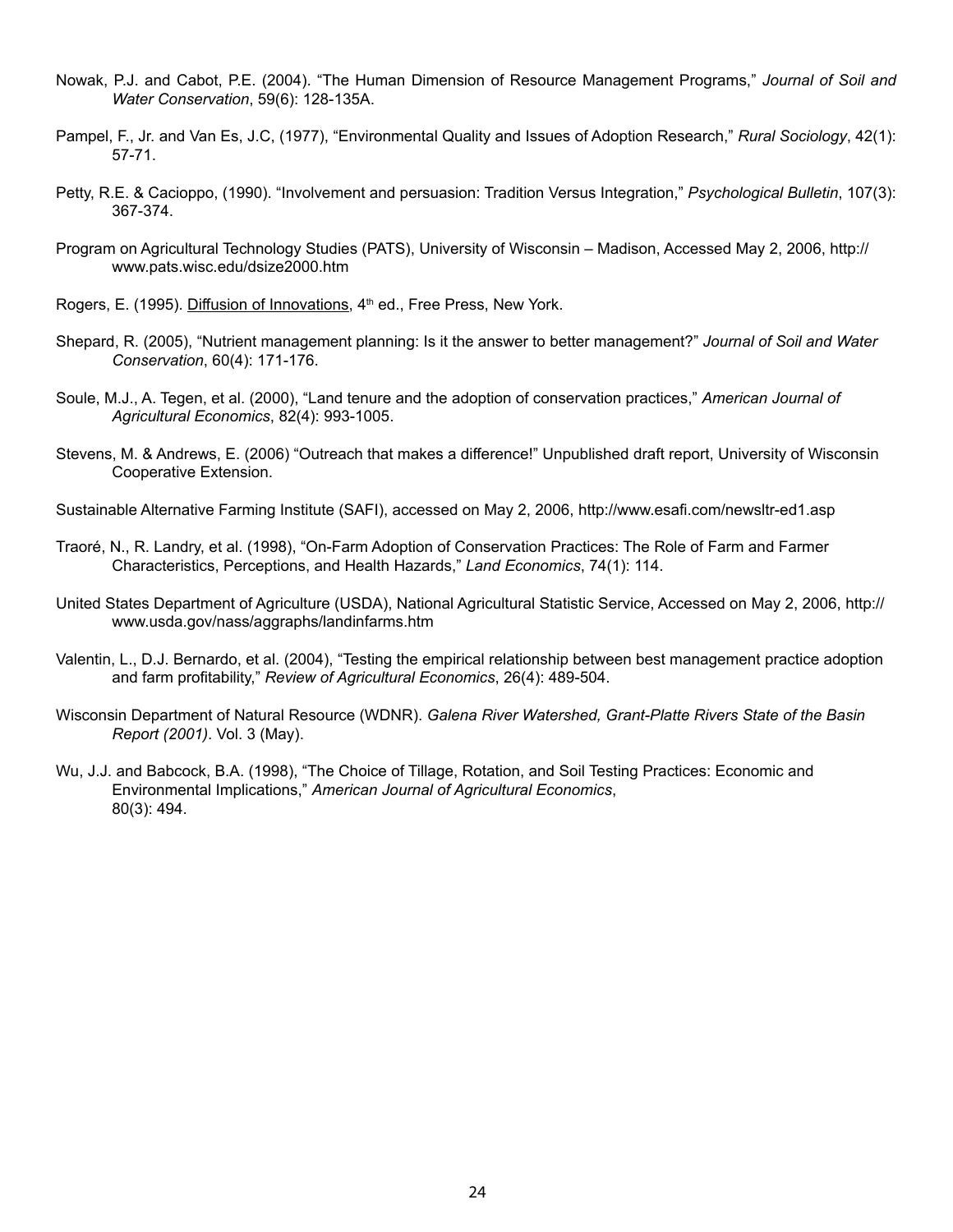- Nowak, P.J. and Cabot, P.E. (2004). "The Human Dimension of Resource Management Programs," *Journal of Soil and Water Conservation*, 59(6): 128-135A.
- Pampel, F., Jr. and Van Es, J.C, (1977), "Environmental Quality and Issues of Adoption Research," *Rural Sociology*, 42(1): 57-71.
- Petty, R.E. & Cacioppo, (1990). "Involvement and persuasion: Tradition Versus Integration," *Psychological Bulletin*, 107(3): 367-374.
- Program on Agricultural Technology Studies (PATS), University of Wisconsin Madison, Accessed May 2, 2006, http:// www.pats.wisc.edu/dsize2000.htm
- Rogers, E. (1995). Diffusion of Innovations, 4<sup>th</sup> ed., Free Press, New York.
- Shepard, R. (2005), "Nutrient management planning: Is it the answer to better management?" *Journal of Soil and Water Conservation*, 60(4): 171-176.
- Soule, M.J., A. Tegen, et al. (2000), "Land tenure and the adoption of conservation practices," *American Journal of Agricultural Economics*, 82(4): 993-1005.
- Stevens, M. & Andrews, E. (2006) "Outreach that makes a difference!" Unpublished draft report, University of Wisconsin Cooperative Extension.
- Sustainable Alternative Farming Institute (SAFI), accessed on May 2, 2006, http://www.esafi.com/newsltr-ed1.asp
- Traoré, N., R. Landry, et al. (1998), "On-Farm Adoption of Conservation Practices: The Role of Farm and Farmer Characteristics, Perceptions, and Health Hazards," *Land Economics*, 74(1): 114.
- United States Department of Agriculture (USDA), National Agricultural Statistic Service, Accessed on May 2, 2006, http:// www.usda.gov/nass/aggraphs/landinfarms.htm
- Valentin, L., D.J. Bernardo, et al. (2004), "Testing the empirical relationship between best management practice adoption and farm profitability," *Review of Agricultural Economics*, 26(4): 489-504.
- Wisconsin Department of Natural Resource (WDNR). *Galena River Watershed, Grant-Platte Rivers State of the Basin Report (2001)*. Vol. 3 (May).
- Wu, J.J. and Babcock, B.A. (1998), "The Choice of Tillage, Rotation, and Soil Testing Practices: Economic and Environmental Implications," *American Journal of Agricultural Economics*, 80(3): 494.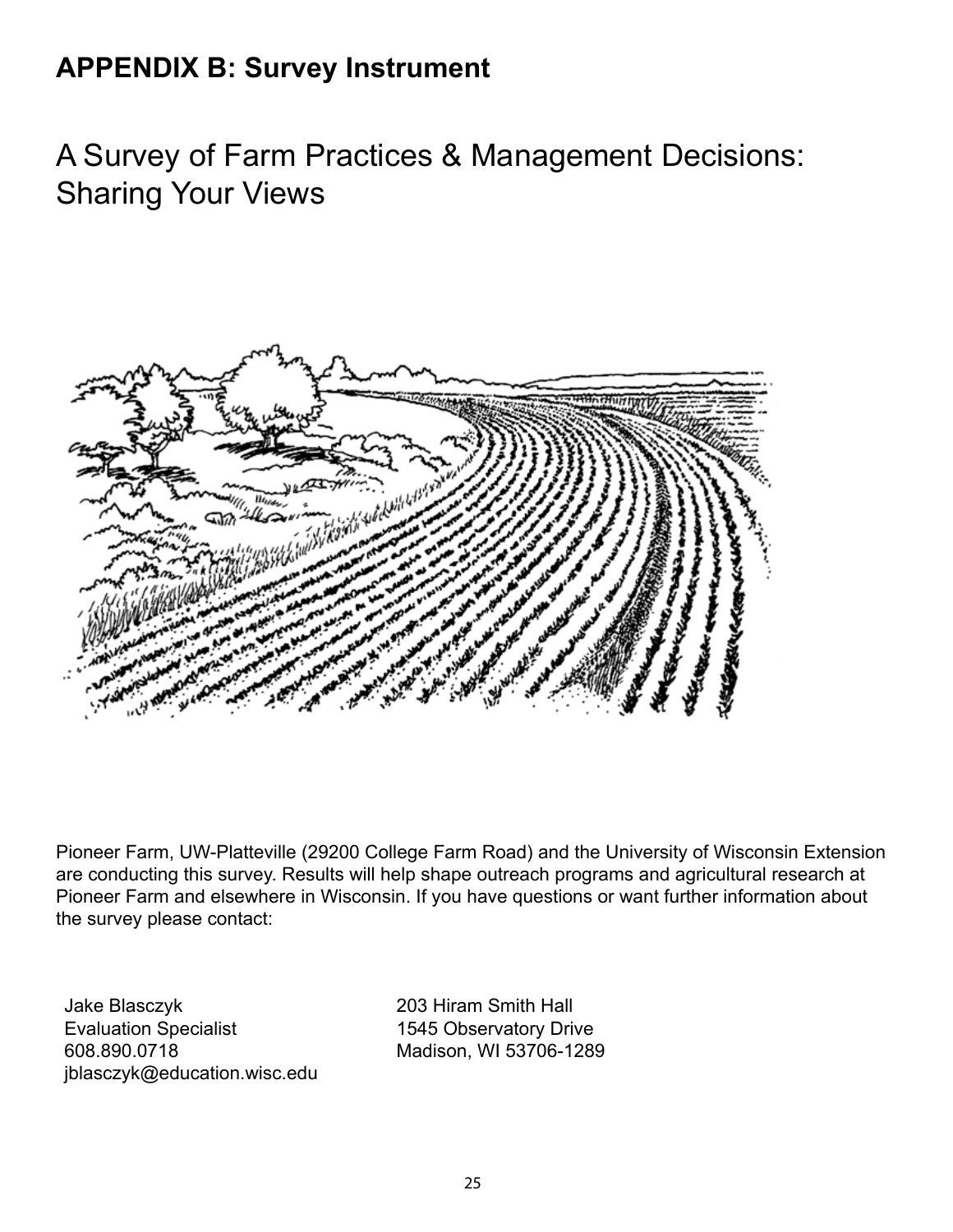# **APPENDIX B: Survey Instrument**

A Survey of Farm Practices & Management Decisions: Sharing Your Views



Pioneer Farm, UW-Platteville (29200 College Farm Road) and the University of Wisconsin Extension are conducting this survey. Results will help shape outreach programs and agricultural research at Pioneer Farm and elsewhere in Wisconsin. If you have questions or want further information about the survey please contact:

Jake Blasczyk Evaluation Specialist 608.890.0718 jblasczyk@education.wisc.edu 203 Hiram Smith Hall 1545 Observatory Drive Madison, WI 53706-1289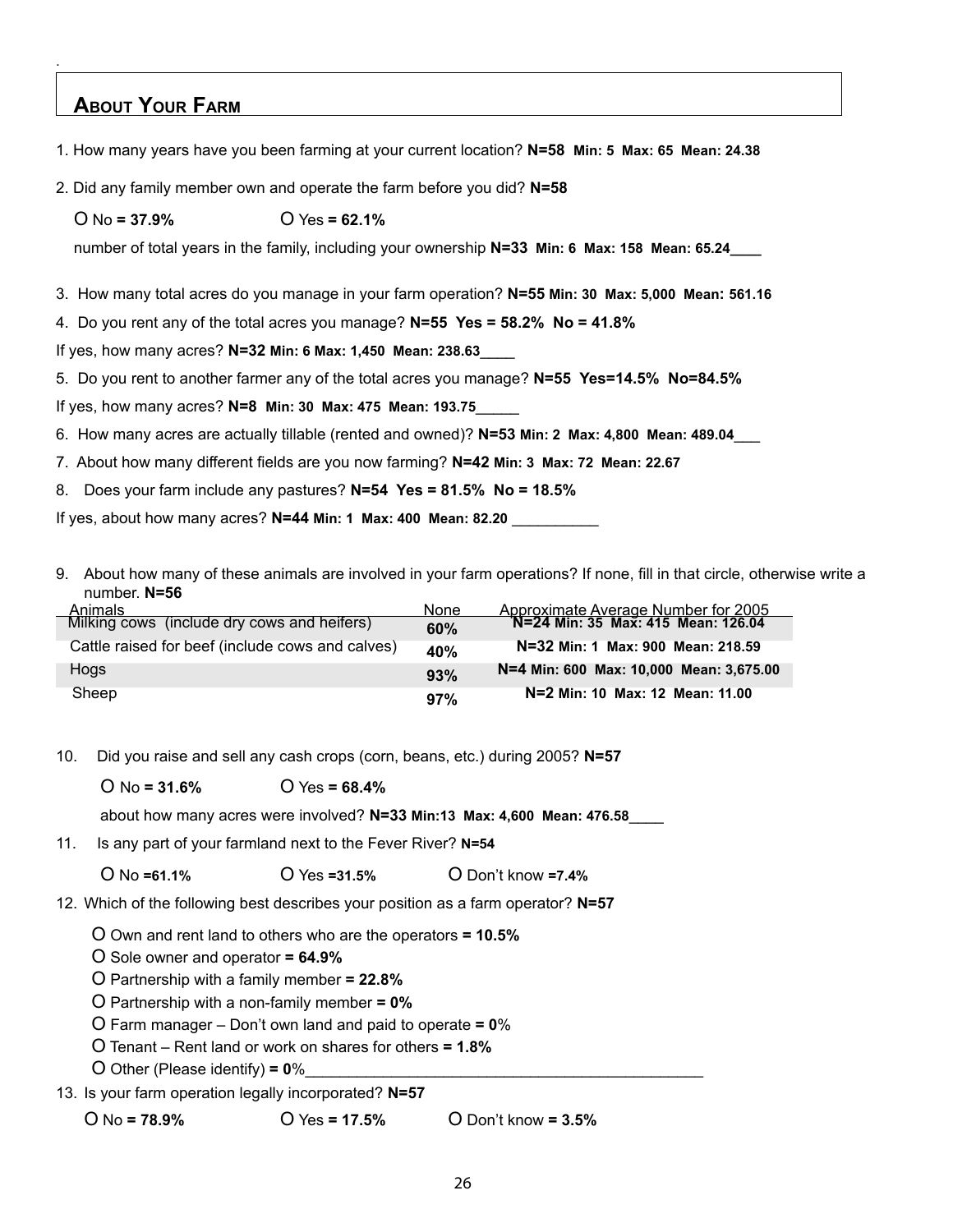### **About Your Farm**

.

- 1. How many years have you been farming at your current location? **N=58 Min: 5 Max: 65 Mean: 24.38**
- 2. Did any family member own and operate the farm before you did? **N=58**
	- O No **= 37.9%** O Yes **= 62.1%**

number of total years in the family, including your ownership N=33 Min: 6 Max: 158 Mean: 65.24\_\_\_\_\_

3. How many total acres do you manage in your farm operation? **N=55 Min: 30 Max: 5,000 Mean: 561.16**

4. Do you rent any of the total acres you manage? **N=55 Yes = 58.2% No = 41.8%**

If yes, how many acres? **N=32 Min: 6 Max: 1,450 Mean: 238.63**\_\_\_\_

5. Do you rent to another farmer any of the total acres you manage? **N=55 Yes=14.5% No=84.5%**

If yes, how many acres? **N=8 Min: 30 Max: 475 Mean: 193.75**\_\_\_\_\_

- 6. How many acres are actually tillable (rented and owned)? **N=53 Min: 2 Max: 4,800 Mean: 489.04**\_\_\_
- 7. About how many different fields are you now farming? **N=42 Min: 3 Max: 72 Mean: 22.67**

8. Does your farm include any pastures? **N=54 Yes = 81.5% No = 18.5%**

If yes, about how many acres? **N=44 Min: 1 Max: 400 Mean: 82.20** \_\_\_\_\_\_\_\_\_\_

9. About how many of these animals are involved in your farm operations? If none, fill in that circle, otherwise write a number. **N=56**

| Animals                                          | None |                                                                                  |
|--------------------------------------------------|------|----------------------------------------------------------------------------------|
| Milking cows (include dry cows and heifers)      | 60%  | Approximate Average Number for 2005<br><b>N=24 Min: 35 Max: 415 Mean: 126.04</b> |
| Cattle raised for beef (include cows and calves) | 40%  | N=32 Min: 1 Max: 900 Mean: 218.59                                                |
| <b>Hogs</b>                                      | 93%  | N=4 Min: 600 Max: 10.000 Mean: 3.675.00                                          |
| Sheep                                            | 97%  | N=2 Min: 10 Max: 12 Mean: 11.00                                                  |

10. Did you raise and sell any cash crops (corn, beans, etc.) during 2005? **N=57**

O No **= 31.6%** O Yes **= 68.4%**

about how many acres were involved? **N=33 Min:13 Max: 4,600 Mean: 476.58**\_\_\_\_

11. Is any part of your farmland next to the Fever River? **N=54**

O No **=61.1%** O Yes **=31.5%** O Don't know **=7.4%**

12. Which of the following best describes your position as a farm operator? **N=57**

O Own and rent land to others who are the operators **= 10.5%**

O Sole owner and operator **= 64.9%**

O Partnership with a family member **= 22.8%**

O Partnership with a non-family member **= 0%**

O Farm manager – Don't own land and paid to operate **= 0**%

- O Tenant Rent land or work on shares for others **= 1.8%**
- O Other (Please identify)  $= 0\%$
- 13. Is your farm operation legally incorporated? **N=57**

O No **= 78.9%** O Yes **= 17.5%** O Don't know **= 3.5%**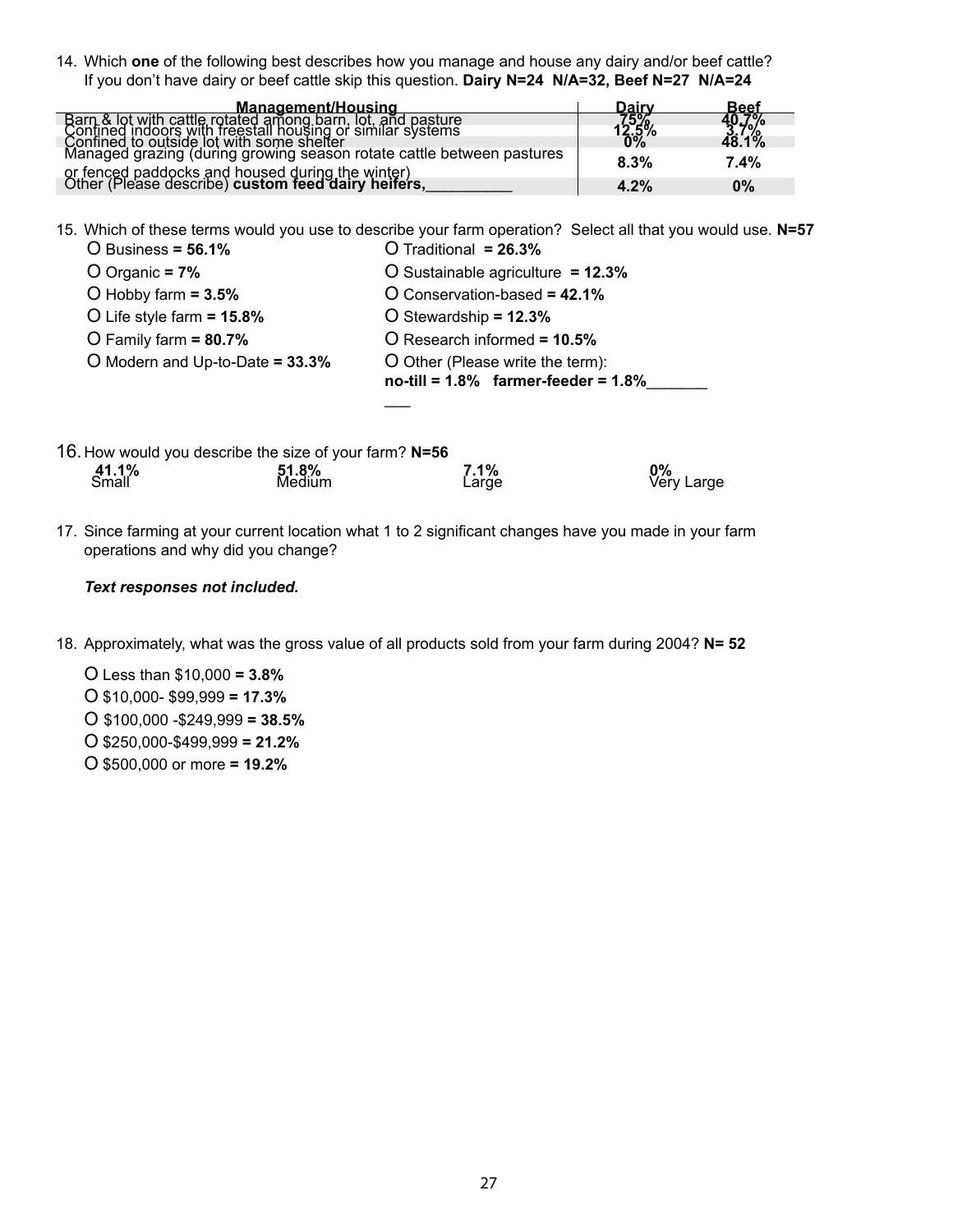14. Which **one** of the following best describes how you manage and house any dairy and/or beef cattle? If you don't have dairy or beef cattle skip this question. **Dairy N=24 N/A=32, Beef N=27 N/A=24**

| Management/Housing                                                                                      | Dairv                 | Beef                   |
|---------------------------------------------------------------------------------------------------------|-----------------------|------------------------|
| Barn & lot with cattle rotated among barn, lot, and pasture                                             | $\frac{75\%}{12.5\%}$ | 40.7%<br>3.7%<br>48.1% |
| Confined indoors with freestall housing or similar systems<br>Confined to outside lot with some shelter |                       |                        |
| Managed grazing (during growing season rotate cattle between pastures                                   | 8.3%                  | 7.4%                   |
| or fenced paddocks and housed during the winter)<br>Other (Please describe) custom feed dairy heifers,  |                       |                        |
|                                                                                                         | 4.2%                  | $0\%$                  |

15. Which of these terms would you use to describe your farm operation? Select all that you would use. **N=57**  $O$  Traditional **= 26.3%** 

| O Business = $56.1\%$           | O Traditional = 26.3%                                                         |
|---------------------------------|-------------------------------------------------------------------------------|
| O Organic = $7\%$               | O Sustainable agriculture = $12.3\%$                                          |
| O Hobby farm $= 3.5\%$          | O Conservation-based = 42.1%                                                  |
| O Life style farm $= 15.8\%$    | O Stewardship = $12.3%$                                                       |
| O Family farm $= 80.7\%$        | O Research informed = 10.5%                                                   |
| O Modern and Up-to-Date = 33.3% | O Other (Please write the term):<br>no-till = $1.8\%$ farmer-feeder = $1.8\%$ |
|                                 |                                                                               |

|                       | 16. How would you describe the size of your farm? N=56 |               |                  |
|-----------------------|--------------------------------------------------------|---------------|------------------|
| <b>41.1%</b><br>Small | <b>51.8%</b><br>Medium                                 | 7.1%<br>Large | 0%<br>Very Large |

17. Since farming at your current location what 1 to 2 significant changes have you made in your farm operations and why did you change?

#### *Text responses not included.*

- 18. Approximately, what was the gross value of all products sold from your farm during 2004? **N= 52**
	- O Less than \$10,000 **= 3.8%**
	- O \$10,000- \$99,999 **= 17.3%**
	- O \$100,000 -\$249,999 **= 38.5%**
	- O \$250,000-\$499,999 **= 21.2%**
	- O \$500,000 or more **= 19.2%**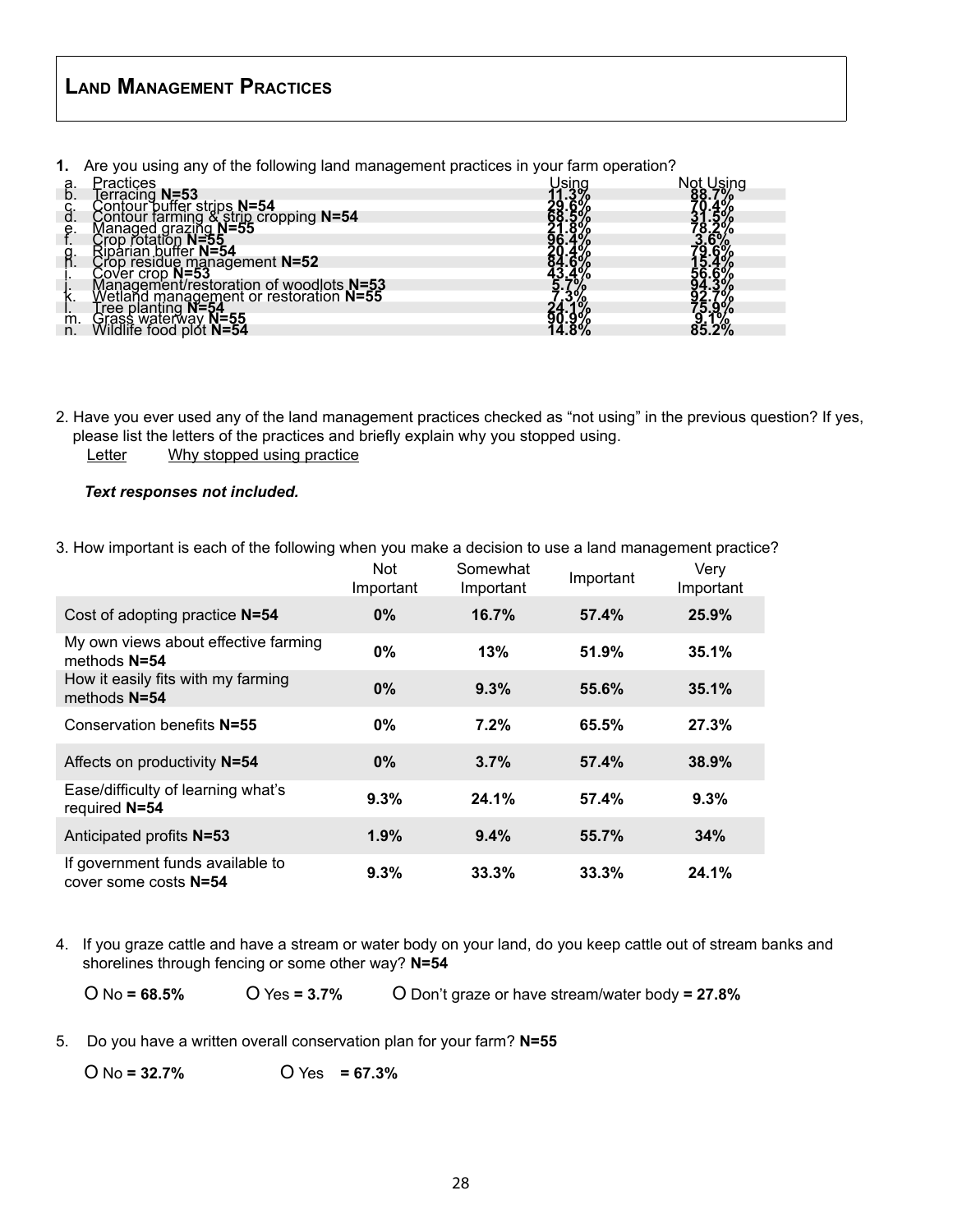### **Land Management Practices**

**1.** Are you using any of the following land management practices in your farm operation?

|          | ractices                                                                                                                                                                                                                                              |       |
|----------|-------------------------------------------------------------------------------------------------------------------------------------------------------------------------------------------------------------------------------------------------------|-------|
| а.<br>b. | Firactives<br>Contour puffer strips N=54<br>Contour farming & strip cropping N=54<br>Managed grazing N=55<br>Crop rotation N=55<br>Riparian buffer N=54<br>Crop residue management N=52<br>Cover crop N=53<br>Management/restoration of woodlots N=53 |       |
| Ġ.       |                                                                                                                                                                                                                                                       |       |
|          |                                                                                                                                                                                                                                                       |       |
| е.       |                                                                                                                                                                                                                                                       |       |
|          |                                                                                                                                                                                                                                                       |       |
| g.       |                                                                                                                                                                                                                                                       |       |
|          |                                                                                                                                                                                                                                                       |       |
|          |                                                                                                                                                                                                                                                       |       |
|          |                                                                                                                                                                                                                                                       |       |
| r.       |                                                                                                                                                                                                                                                       |       |
|          |                                                                                                                                                                                                                                                       | Ð     |
| m.       | ree planting N=<br><i>irass waterway</i><br>/ildlife food plot<br><u>N=55</u>                                                                                                                                                                         | $2\%$ |
| n.       |                                                                                                                                                                                                                                                       |       |

- 2. Have you ever used any of the land management practices checked as "not using" in the previous question? If yes, please list the letters of the practices and briefly explain why you stopped using.
	- Letter Why stopped using practice

#### *Text responses not included.*

3. How important is each of the following when you make a decision to use a land management practice?

|                                                           | <b>Not</b><br>Important | Somewhat<br>Important | Important | Very<br>Important |
|-----------------------------------------------------------|-------------------------|-----------------------|-----------|-------------------|
| Cost of adopting practice N=54                            | $0\%$                   | 16.7%                 | 57.4%     | 25.9%             |
| My own views about effective farming<br>methods $N=54$    | 0%                      | 13%                   | 51.9%     | 35.1%             |
| How it easily fits with my farming<br>methods N=54        | $0\%$                   | 9.3%                  | 55.6%     | 35.1%             |
| Conservation benefits N=55                                | $0\%$                   | 7.2%                  | 65.5%     | 27.3%             |
| Affects on productivity N=54                              | $0\%$                   | 3.7%                  | 57.4%     | 38.9%             |
| Ease/difficulty of learning what's<br>required N=54       | 9.3%                    | 24.1%                 | 57.4%     | 9.3%              |
| Anticipated profits N=53                                  | 1.9%                    | 9.4%                  | 55.7%     | 34%               |
| If government funds available to<br>cover some costs N=54 | 9.3%                    | 33.3%                 | 33.3%     | 24.1%             |

- 4. If you graze cattle and have a stream or water body on your land, do you keep cattle out of stream banks and shorelines through fencing or some other way? **N=54**
	- O No **= 68.5%** O Yes **= 3.7%** O Don't graze or have stream/water body **= 27.8%**
- 5. Do you have a written overall conservation plan for your farm? **N=55**

O No **= 32.7%** O Yes **= 67.3%**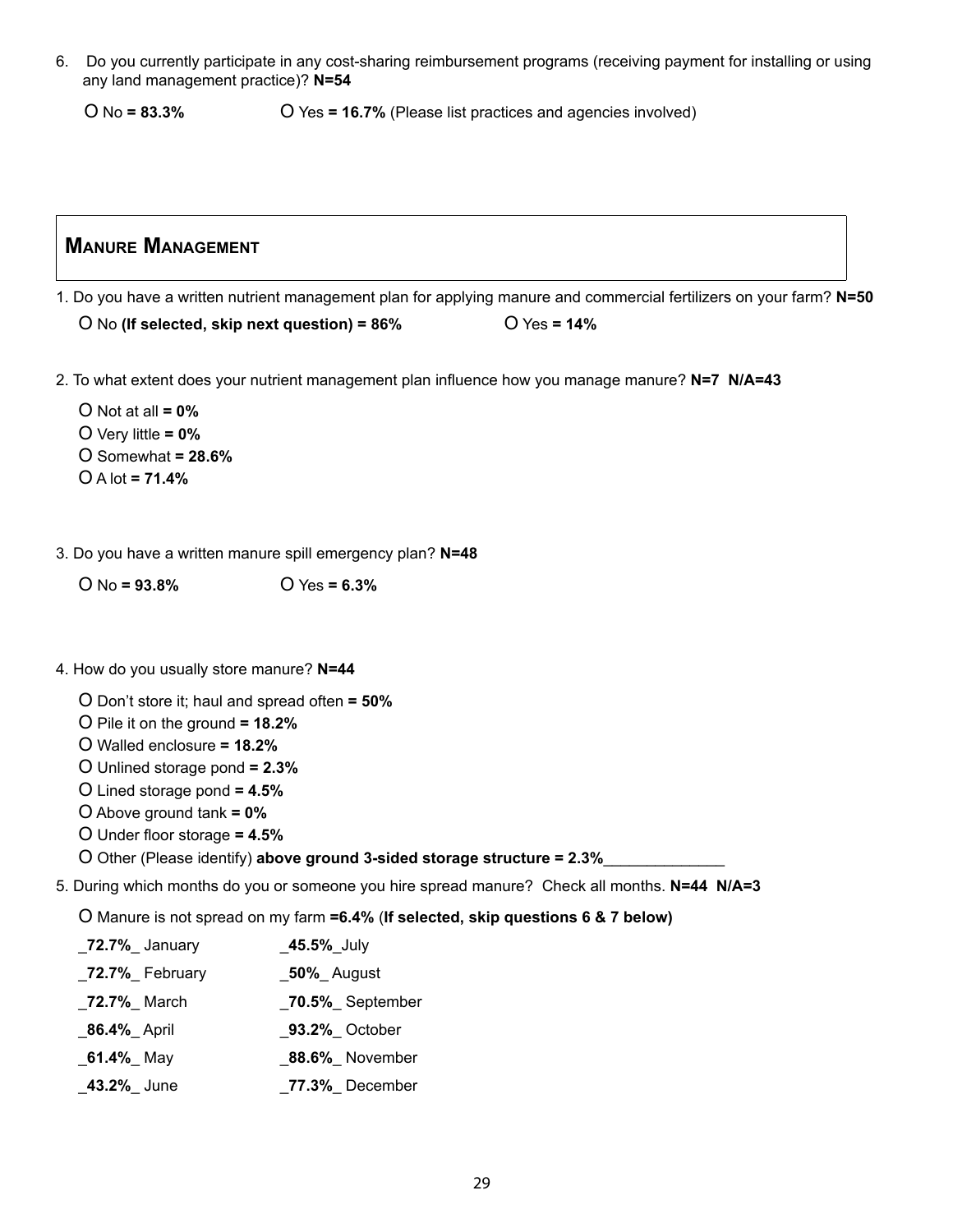6. Do you currently participate in any cost-sharing reimbursement programs (receiving payment for installing or using any land management practice)? **N=54**

O No **= 83.3%** O Yes **= 16.7%** (Please list practices and agencies involved)

### **Manure Management**

- 1. Do you have a written nutrient management plan for applying manure and commercial fertilizers on your farm? **N=50** O No **(If selected, skip next question) = 86%** O Yes **= 14%**
- 2. To what extent does your nutrient management plan influence how you manage manure? **N=7 N/A=43**

O Not at all **= 0%** O Very little **= 0%** O Somewhat **= 28.6%** O A lot **= 71.4%**

3. Do you have a written manure spill emergency plan? **N=48**

O No **= 93.8%** O Yes **= 6.3%**

- 4. How do you usually store manure? **N=44**
	- O Don't store it; haul and spread often **= 50%**
	- O Pile it on the ground **= 18.2%**
	- O Walled enclosure **= 18.2%**
	- O Unlined storage pond **= 2.3%**
	- O Lined storage pond **= 4.5%**
	- O Above ground tank **= 0%**
	- O Under floor storage **= 4.5%**
	- O Other (Please identify) **above ground 3-sided storage structure = 2.3%**\_\_\_\_\_\_\_\_\_\_\_\_\_\_
- 5. During which months do you or someone you hire spread manure? Check all months. **N=44 N/A=3**

O Manure is not spread on my farm **=6.4%** (**If selected, skip questions 6 & 7 below)**

| _72.7%_ January  | $\_45.5\%$ July   |
|------------------|-------------------|
| _72.7%_ February | _50%_ August      |
| _72.7%_ March    | _70.5%_September  |
| _86.4%_ April    | _93.2%_ October   |
| $\_61.4\%$ May   | _88.6%_ November  |
| $-43.2\%$ June   | $27.3\%$ December |
|                  |                   |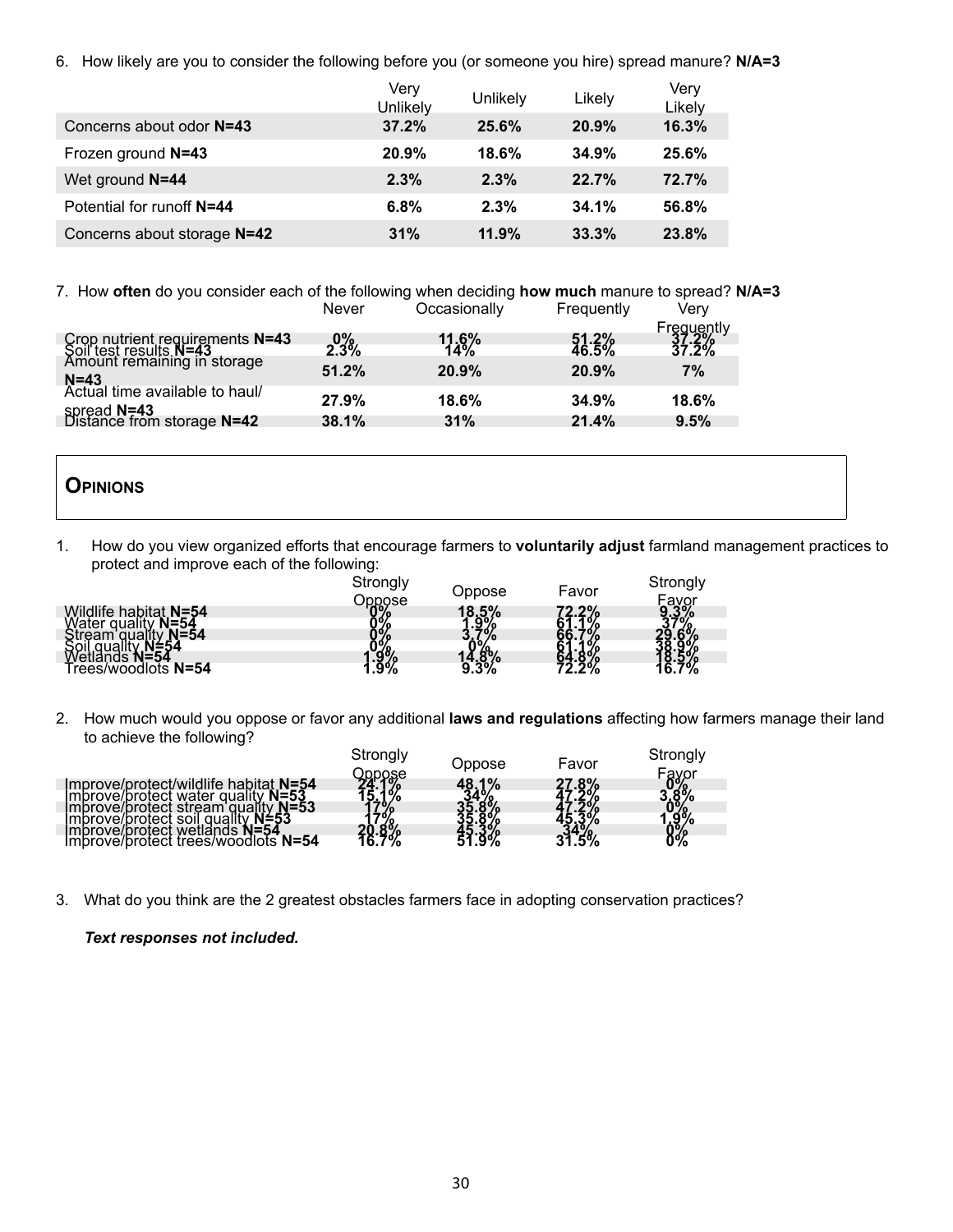6. How likely are you to consider the following before you (or someone you hire) spread manure? **N/A=3**

|                             | Very<br>Unlikely | Unlikely | Likely | Very<br>Likely |
|-----------------------------|------------------|----------|--------|----------------|
| Concerns about odor N=43    | 37.2%            | 25.6%    | 20.9%  | 16.3%          |
| Frozen ground N=43          | 20.9%            | 18.6%    | 34.9%  | 25.6%          |
| Wet ground N=44             | 2.3%             | 2.3%     | 22.7%  | 72.7%          |
| Potential for runoff N=44   | 6.8%             | 2.3%     | 34.1%  | 56.8%          |
| Concerns about storage N=42 | 31%              | 11.9%    | 33.3%  | 23.8%          |

7. How **often** do you consider each of the following when deciding **how much** manure to spread? **N/A=3**

|                                                                                          | Never   | Occasionally    | Frequently       | Verv                         |
|------------------------------------------------------------------------------------------|---------|-----------------|------------------|------------------------------|
| Crop nutrient requirements N=43<br>Soil test results N=43<br>Amount remaining in storage | $2.3\%$ | $11.6\%$<br>14% | $51.2%$<br>46.5% | Frequently<br>37.2%<br>37.2% |
|                                                                                          | 51.2%   | 20.9%           | 20.9%            | 7%                           |
| N=43<br>Actual time available to haul/                                                   | 27.9%   | 18.6%           | 34.9%            | 18.6%                        |
| spread N=43<br>Distance from storage N=42                                                | 38.1%   | 31%             | 21.4%            | 9.5%                         |

### **Opinions**

1. How do you view organized efforts that encourage farmers to **voluntarily adjust** farmland management practices to protect and improve each of the following:

|                                    | Strongly                     | Oppose                                                 | Favor                 | Strongly   |
|------------------------------------|------------------------------|--------------------------------------------------------|-----------------------|------------|
| Wildlife habitat N=54              |                              |                                                        |                       | Fayor      |
| Water quality<br>$N = 54$          |                              | $18.5\%$<br>$1.9\%$                                    | <b>72.2%</b><br>61.1% | 9.3%<br>8ء |
| Stream quality<br>$N = 54$<br>N≐54 | Pppose<br>03%<br>03%<br>1.9% | $\mathcal{L}_{\mathbf{a}^{\prime}\mathbf{b}^{\prime}}$ |                       |            |
| `N=54                              |                              | 14.8%                                                  | 94.070<br>72.2%       |            |
| rees/woodlots N=54                 |                              |                                                        |                       | "%         |

2. How much would you oppose or favor any additional **laws and regulations** affecting how farmers manage their land to achieve the following?

|                                                                                                                                                                                                                                       | Strongly                        | Oppose    | Favor                 | Strongly                        |
|---------------------------------------------------------------------------------------------------------------------------------------------------------------------------------------------------------------------------------------|---------------------------------|-----------|-----------------------|---------------------------------|
| Improve/protect/wildlife habitat N=54<br>Improve/protect water quality N=53<br>Improve/protect stream quality<br>$N = 53$<br>N≐53<br>Imbrove/brotect soil quality.<br>Improve/protect wetlands<br>Improve/protect trees/woodlots N=54 | )ppose<br><b>24.1</b> %<br>70/0 | 1%<br>48. | 27.8%<br>$.5\%$<br>31 | Fayor<br>3.8%<br>0%<br>0%<br>0% |

3. What do you think are the 2 greatest obstacles farmers face in adopting conservation practices?

#### *Text responses not included.*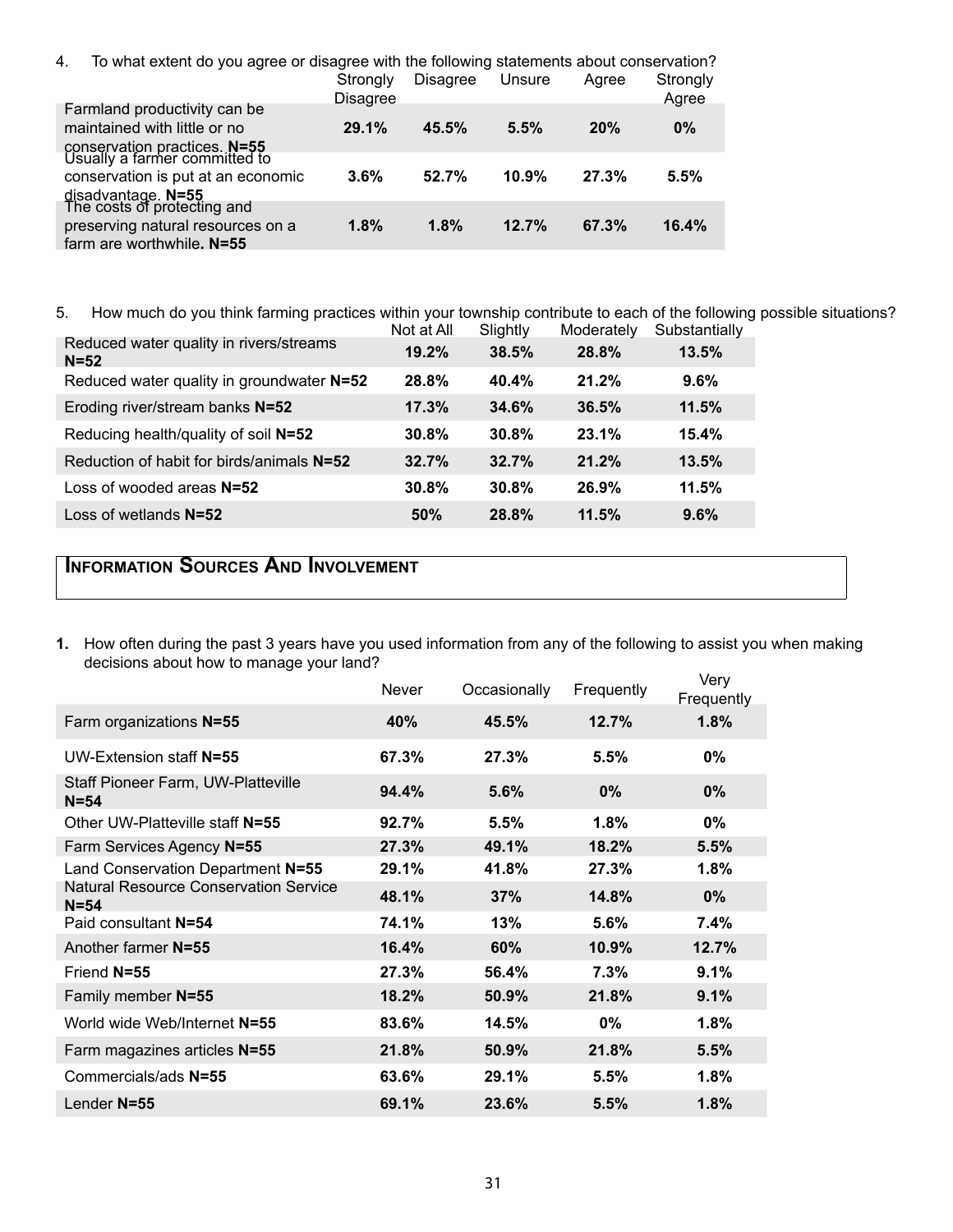| To what extent do you agree or disagree with the following statements about conservation?<br>4. |                 |                 |        |       |          |
|-------------------------------------------------------------------------------------------------|-----------------|-----------------|--------|-------|----------|
|                                                                                                 | Strongly        | <b>Disagree</b> | Unsure | Agree | Strongly |
|                                                                                                 | <b>Disagree</b> |                 |        |       | Agree    |
| Farmland productivity can be                                                                    |                 |                 |        |       |          |
| maintained with little or no                                                                    | 29.1%           | 45.5%           | 5.5%   | 20%   | $0\%$    |
| conservation practices. N=55<br>Usually a farmer committed to                                   |                 |                 |        |       |          |
|                                                                                                 |                 |                 |        |       |          |
| conservation is put at an economic                                                              | 3.6%            | 52.7%           | 10.9%  | 27.3% | 5.5%     |
| disadvantage. N=55<br>The costs of protecting and                                               |                 |                 |        |       |          |
|                                                                                                 |                 |                 |        |       |          |
| preserving natural resources on a                                                               | 1.8%            | 1.8%            | 12.7%  | 67.3% | 16.4%    |
| farm are worthwhile. N=55                                                                       |                 |                 |        |       |          |

## 5. How much do you think farming practices within your township contribute to each of the following possible situations?

|                                                   | Not at All | Slightly | Moderately | Substantially |
|---------------------------------------------------|------------|----------|------------|---------------|
| Reduced water quality in rivers/streams<br>$N=52$ | 19.2%      | 38.5%    | 28.8%      | 13.5%         |
| Reduced water quality in groundwater N=52         | 28.8%      | 40.4%    | 21.2%      | 9.6%          |
| Eroding river/stream banks N=52                   | 17.3%      | 34.6%    | 36.5%      | 11.5%         |
| Reducing health/quality of soil N=52              | 30.8%      | 30.8%    | 23.1%      | 15.4%         |
| Reduction of habit for birds/animals N=52         | 32.7%      | 32.7%    | 21.2%      | 13.5%         |
| Loss of wooded areas $N=52$                       | 30.8%      | 30.8%    | 26.9%      | 11.5%         |
| Loss of wetlands $N=52$                           | 50%        | 28.8%    | 11.5%      | 9.6%          |

### **Information Sources And Involvement**

**1.** How often during the past 3 years have you used information from any of the following to assist you when making decisions about how to manage your land?

|                                                          | <b>Never</b> | Occasionally | Frequently | Very<br>Frequently |
|----------------------------------------------------------|--------------|--------------|------------|--------------------|
| Farm organizations N=55                                  | <b>40%</b>   | 45.5%        | 12.7%      | 1.8%               |
| UW-Extension staff N=55                                  | 67.3%        | 27.3%        | 5.5%       | $0\%$              |
| Staff Pioneer Farm, UW-Platteville<br>$N = 54$           | 94.4%        | 5.6%         | $0\%$      | 0%                 |
| Other UW-Platteville staff N=55                          | 92.7%        | 5.5%         | 1.8%       | $0\%$              |
| Farm Services Agency N=55                                | 27.3%        | 49.1%        | 18.2%      | 5.5%               |
| Land Conservation Department N=55                        | 29.1%        | 41.8%        | 27.3%      | 1.8%               |
| <b>Natural Resource Conservation Service</b><br>$N = 54$ | 48.1%        | 37%          | 14.8%      | $0\%$              |
| Paid consultant N=54                                     | 74.1%        | 13%          | 5.6%       | 7.4%               |
| Another farmer N=55                                      | 16.4%        | 60%          | 10.9%      | 12.7%              |
| Friend N=55                                              | 27.3%        | 56.4%        | 7.3%       | 9.1%               |
| Family member N=55                                       | 18.2%        | 50.9%        | 21.8%      | 9.1%               |
| World wide Web/Internet N=55                             | 83.6%        | 14.5%        | $0\%$      | 1.8%               |
| Farm magazines articles N=55                             | 21.8%        | 50.9%        | 21.8%      | 5.5%               |
| Commercials/ads N=55                                     | 63.6%        | 29.1%        | 5.5%       | 1.8%               |
| Lender N=55                                              | 69.1%        | 23.6%        | 5.5%       | 1.8%               |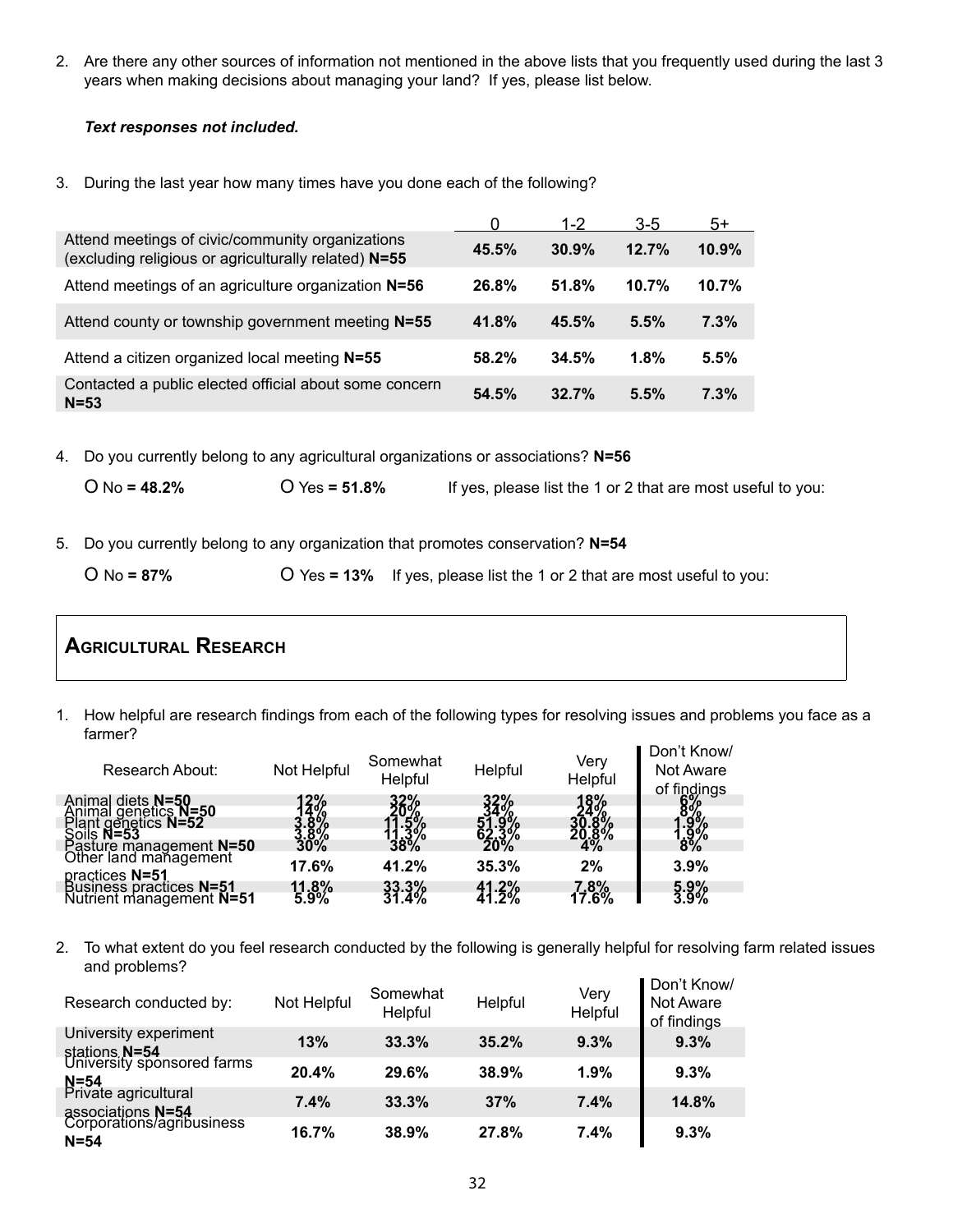2. Are there any other sources of information not mentioned in the above lists that you frequently used during the last 3 years when making decisions about managing your land? If yes, please list below.

#### *Text responses not included.*

3. During the last year how many times have you done each of the following?

|                                                                                                          |       | $1-2$ | $3-5$ | $5+$  |
|----------------------------------------------------------------------------------------------------------|-------|-------|-------|-------|
| Attend meetings of civic/community organizations<br>(excluding religious or agriculturally related) N=55 | 45.5% | 30.9% | 12.7% | 10.9% |
| Attend meetings of an agriculture organization N=56                                                      | 26.8% | 51.8% | 10.7% | 10.7% |
| Attend county or township government meeting N=55                                                        | 41.8% | 45.5% | 5.5%  | 7.3%  |
| Attend a citizen organized local meeting N=55                                                            | 58.2% | 34.5% | 1.8%  | 5.5%  |
| Contacted a public elected official about some concern<br>$N = 53$                                       | 54.5% | 32.7% | 5.5%  | 7.3%  |

4. Do you currently belong to any agricultural organizations or associations? **N=56**

O No **= 48.2%** O Yes **= 51.8%** If yes, please list the 1 or 2 that are most useful to you:

5. Do you currently belong to any organization that promotes conservation? **N=54**

O No **= 87%** O Yes **= 13%** If yes, please list the 1 or 2 that are most useful to you:

### **Agricultural Research**

1. How helpful are research findings from each of the following types for resolving issues and problems you face as a farmer?  $\blacksquare$ 

| Research About:                                                       | Not Helpful   | Somewhat<br>Helpful | Helpful   | Very<br>Helpful   | Don't Know<br>Not Aware<br>of findings |
|-----------------------------------------------------------------------|---------------|---------------------|-----------|-------------------|----------------------------------------|
| Animal diets N=50                                                     |               | 32%                 | 32%       | 18%               |                                        |
|                                                                       |               |                     |           |                   |                                        |
| Animal genetics N=50<br>Plant genetics N=52<br>Soils N=53             |               |                     |           |                   |                                        |
| Pasture management N=50<br>Other land management                      | $30\%$        |                     |           | $^{20.8^{\circ}}$ | $8\%$                                  |
|                                                                       | 17.6%         | 41.2%               | 35.3%     | 2%                | 3.9%                                   |
|                                                                       |               |                     |           |                   |                                        |
| practices N=51<br>Business practices N=51<br>Nutrient management N=51 | 11.8%<br>5.9% | 33.3%<br>31.4%      | $41 - 3%$ | 7,8%<br>17.6%     | $\frac{5.9\%}{3.9\%}$                  |
|                                                                       |               |                     |           |                   |                                        |

2. To what extent do you feel research conducted by the following is generally helpful for resolving farm related issues and problems?

| Research conducted by:                                     | Not Helpful | Somewhat<br>Helpful | Helpful | Very<br>Helpful | Don't Know/<br>Not Aware<br>of findings |
|------------------------------------------------------------|-------------|---------------------|---------|-----------------|-----------------------------------------|
| University experiment                                      | 13%         | 33.3%               | 35.2%   | 9.3%            | 9.3%                                    |
| stations N=54<br>University sponsored farms                | 20.4%       | 29.6%               | 38.9%   | 1.9%            | 9.3%                                    |
| N=54<br>Private agricultural                               | 7.4%        | 33.3%               | 37%     | 7.4%            | 14.8%                                   |
| associations N=54<br>Corporations/agribusiness<br>$N = 54$ | 16.7%       | 38.9%               | 27.8%   | 7.4%            | 9.3%                                    |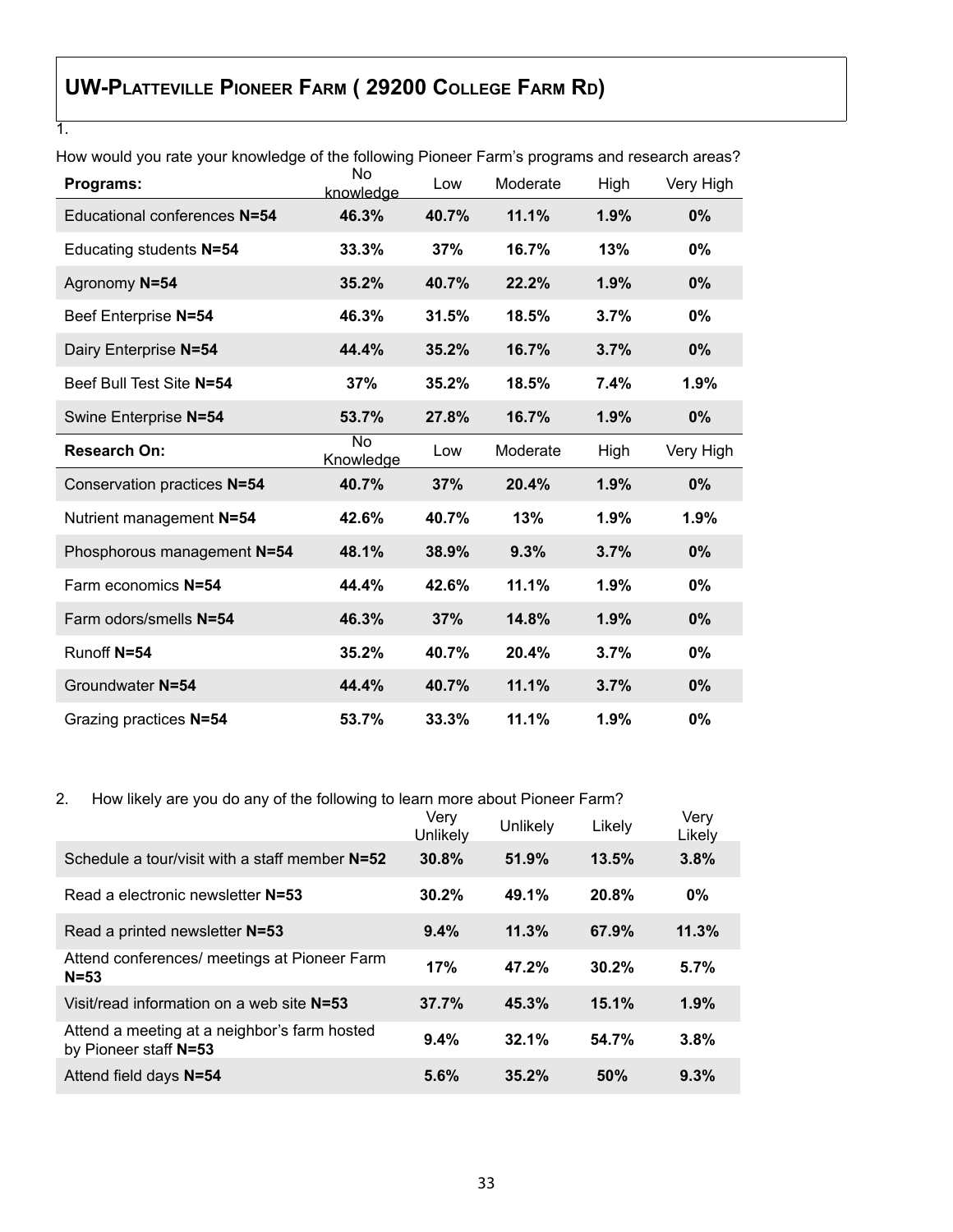# **UW-Platteville Pioneer Farm ( 29200 College Farm Rd)**

1.

| Programs:                    | No.<br>knowledge | Low   | Moderate | High | Very High |
|------------------------------|------------------|-------|----------|------|-----------|
| Educational conferences N=54 | 46.3%            | 40.7% | 11.1%    | 1.9% | $0\%$     |
| Educating students N=54      | 33.3%            | 37%   | 16.7%    | 13%  | 0%        |
| Agronomy N=54                | 35.2%            | 40.7% | 22.2%    | 1.9% | 0%        |
| Beef Enterprise N=54         | 46.3%            | 31.5% | 18.5%    | 3.7% | 0%        |
| Dairy Enterprise N=54        | 44.4%            | 35.2% | 16.7%    | 3.7% | $0\%$     |
| Beef Bull Test Site N=54     | 37%              | 35.2% | 18.5%    | 7.4% | 1.9%      |
| Swine Enterprise N=54        | 53.7%            | 27.8% | 16.7%    | 1.9% | 0%        |
| <b>Research On:</b>          | No<br>Knowledge  | Low   | Moderate | High | Very High |
| Conservation practices N=54  | 40.7%            | 37%   | 20.4%    | 1.9% | 0%        |
| Nutrient management N=54     | 42.6%            | 40.7% | 13%      | 1.9% | 1.9%      |
| Phosphorous management N=54  | 48.1%            | 38.9% | 9.3%     | 3.7% | 0%        |
| Farm economics N=54          | 44.4%            | 42.6% | 11.1%    | 1.9% | 0%        |
| Farm odors/smells N=54       | 46.3%            | 37%   | 14.8%    | 1.9% | 0%        |
| Runoff N=54                  | 35.2%            | 40.7% | 20.4%    | 3.7% | 0%        |
| Groundwater N=54             | 44.4%            | 40.7% | 11.1%    | 3.7% | 0%        |
| Grazing practices N=54       | 53.7%            | 33.3% | 11.1%    | 1.9% | 0%        |

How would you rate your knowledge of the following Pioneer Farm's programs and research areas?

### 2. How likely are you do any of the following to learn more about Pioneer Farm?

|                                                                       | Verv<br>Unlikely | Unlikely | Likely | Very<br>Likely |
|-----------------------------------------------------------------------|------------------|----------|--------|----------------|
| Schedule a tour/visit with a staff member N=52                        | 30.8%            | 51.9%    | 13.5%  | 3.8%           |
| Read a electronic newsletter N=53                                     | 30.2%            | 49.1%    | 20.8%  | 0%             |
| Read a printed newsletter N=53                                        | 9.4%             | 11.3%    | 67.9%  | 11.3%          |
| Attend conferences/ meetings at Pioneer Farm<br>$N = 53$              | 17%              | 47.2%    | 30.2%  | 5.7%           |
| Visit/read information on a web site N=53                             | 37.7%            | 45.3%    | 15.1%  | 1.9%           |
| Attend a meeting at a neighbor's farm hosted<br>by Pioneer staff N=53 | 9.4%             | 32.1%    | 54.7%  | 3.8%           |
| Attend field days N=54                                                | 5.6%             | 35.2%    | 50%    | 9.3%           |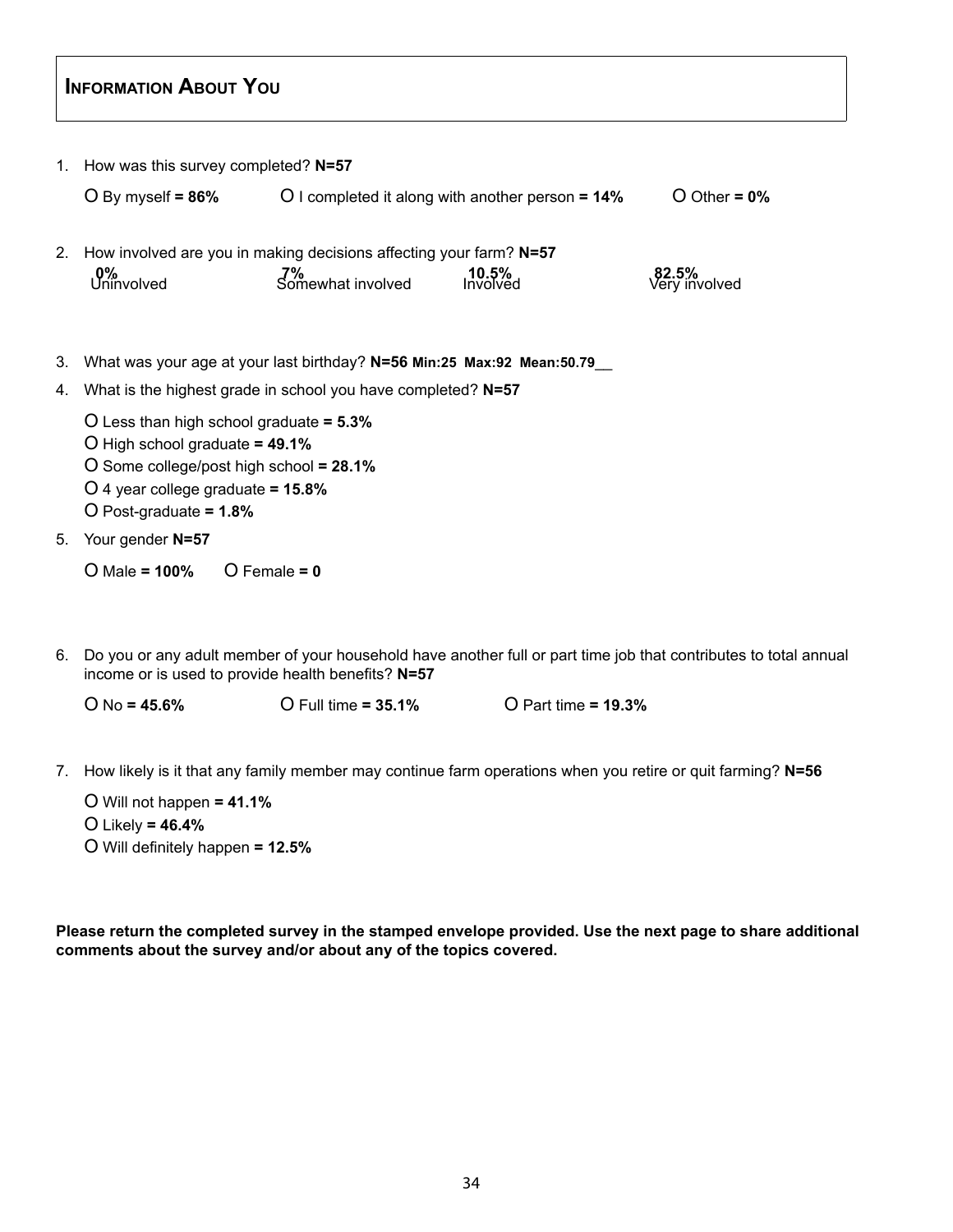### **INFORMATION ABOUT YOU**

|                | 1. How was this survey completed? N=57                                                                                                                                                            |                         |                                                     |                        |
|----------------|---------------------------------------------------------------------------------------------------------------------------------------------------------------------------------------------------|-------------------------|-----------------------------------------------------|------------------------|
|                | $O$ By myself = 86%                                                                                                                                                                               |                         | O I completed it along with another person $= 14\%$ | O Other = $0\%$        |
| 2 <sub>1</sub> | How involved are you in making decisions affecting your farm? N=57<br>0%<br>Uninvolved                                                                                                            | 7%<br>Somewhat involved | $10.5\%$<br>Involved                                | 82.5%<br>Very involved |
| 3.             | What was your age at your last birthday? N=56 Min:25 Max:92 Mean:50.79_                                                                                                                           |                         |                                                     |                        |
| 4.             | What is the highest grade in school you have completed? N=57                                                                                                                                      |                         |                                                     |                        |
|                | O Less than high school graduate $= 5.3\%$<br>$O$ High school graduate = 49.1%<br>O Some college/post high school = $28.1\%$<br>O 4 year college graduate = $15.8\%$<br>O Post-graduate = $1.8\%$ |                         |                                                     |                        |
| 5.             | Your gender N=57                                                                                                                                                                                  |                         |                                                     |                        |
|                | $O$ Male = 100%                                                                                                                                                                                   | $O$ Female = 0          |                                                     |                        |

6. Do you or any adult member of your household have another full or part time job that contributes to total annual income or is used to provide health benefits? **N=57**

O No **= 45.6%** O Full time **= 35.1%** O Part time **= 19.3%**

7. How likely is it that any family member may continue farm operations when you retire or quit farming? **N=56**

O Will not happen **= 41.1%** O Likely **= 46.4%** O Will definitely happen **= 12.5%**

**Please return the completed survey in the stamped envelope provided. Use the next page to share additional comments about the survey and/or about any of the topics covered.**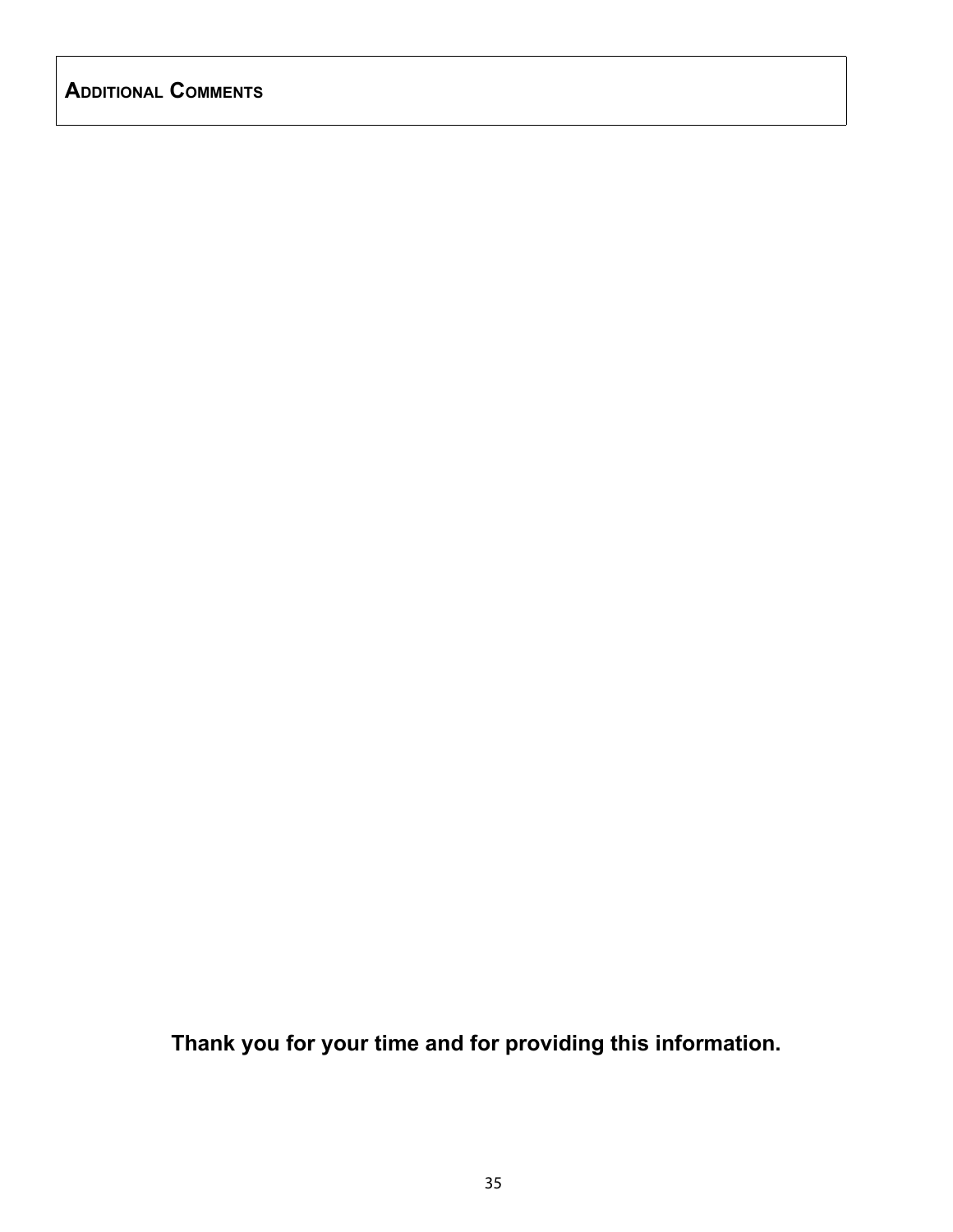### **Additional Comments**

**Thank you for your time and for providing this information.**